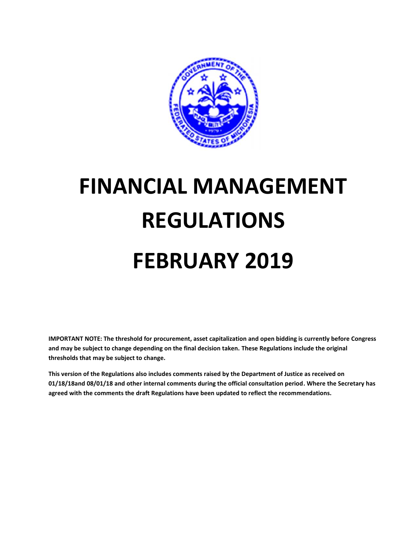

# **FINANCIAL MANAGEMENT REGULATIONS FEBRUARY 2019**

**IMPORTANT NOTE: The threshold for procurement, asset capitalization and open bidding is currently before Congress and may be subject to change depending on the final decision taken. These Regulations include the original thresholds that may be subject to change.**

**This version of the Regulations also includes comments raised by the Department of Justice as received on 01/18/18and 08/01/18 and other internal comments during the official consultation period. Where the Secretary has agreed with the comments the draft Regulations have been updated to reflect the recommendations.**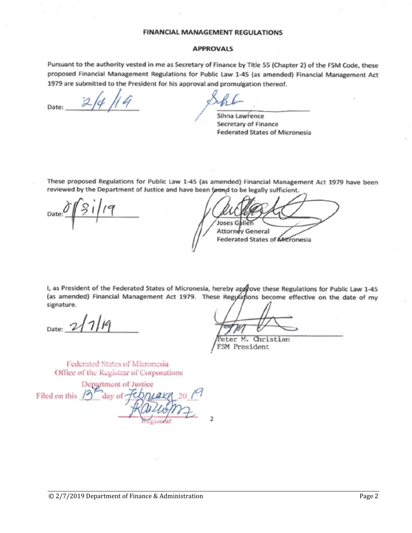#### **FINANCIAL MANAGEMENT REGULATIONS**

#### **APPROVALS**

Pursuant to the authority vested in me as Secretary of Finance by Title 55 (Chapter 2) of the FSM Code, these proposed Financial Management Regulations for Public Law 1-45 (as amended) Financial Management Act 1979 are submitted to the President for his approval and promulgation thereof.

Date:

Sihna Lawrence Secretary of Finance **Federated States of Micronesia** 

These proposed Regulations for Public Law 1-45 (as amended) Financial Management Act 1979 have been reviewed by the Department of Justice and have been found to be legally sufficient.

Joses G **Attorney General Federated States of AHicronesia** 

I, as President of the Federated States of Micronesia, hereby approve these Regulations for Public Law 1-45 (as amended) Financial Management Act 1979. These Regylations become effective on the date of my signature.

Christian eter M. FSM President

Federated States of Micronesia Office of the Registrar of Corporations

Department of Justice Filed on this day of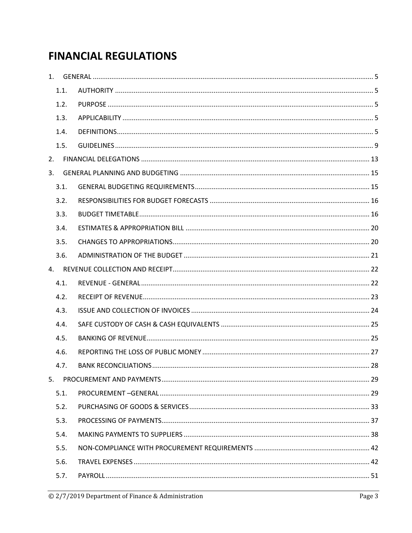# **FINANCIAL REGULATIONS**

| 1.   |  |
|------|--|
| 1.1. |  |
| 1.2. |  |
| 1.3. |  |
| 1.4. |  |
| 1.5. |  |
| 2.   |  |
| 3.   |  |
| 3.1. |  |
| 3.2. |  |
| 3.3. |  |
| 3.4. |  |
| 3.5. |  |
| 3.6. |  |
|      |  |
| 4.1. |  |
| 4.2. |  |
| 4.3. |  |
| 4.4. |  |
| 4.5. |  |
| 4.6. |  |
| 4.7. |  |
| 5.   |  |
| 5.1. |  |
| 5.2. |  |
| 5.3. |  |
| 5.4. |  |
| 5.5. |  |
| 5.6. |  |
| 5.7. |  |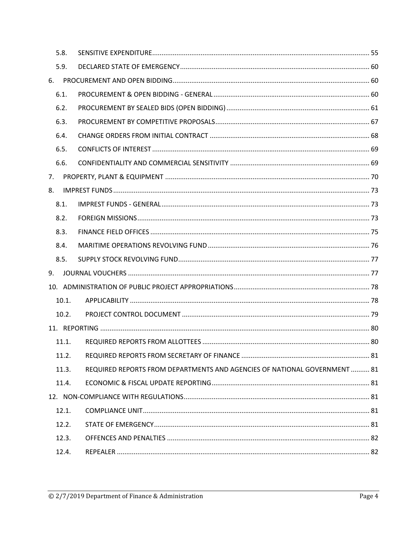|    | 5.8.  |                                                                           |  |
|----|-------|---------------------------------------------------------------------------|--|
|    | 5.9.  |                                                                           |  |
| 6. |       |                                                                           |  |
|    | 6.1.  |                                                                           |  |
|    | 6.2.  |                                                                           |  |
|    | 6.3.  |                                                                           |  |
|    | 6.4.  |                                                                           |  |
|    | 6.5.  |                                                                           |  |
|    | 6.6.  |                                                                           |  |
| 7. |       |                                                                           |  |
| 8. |       |                                                                           |  |
|    | 8.1.  |                                                                           |  |
|    | 8.2.  |                                                                           |  |
|    | 8.3.  |                                                                           |  |
|    | 8.4.  |                                                                           |  |
|    | 8.5.  |                                                                           |  |
| 9. |       |                                                                           |  |
|    |       |                                                                           |  |
|    | 10.1. |                                                                           |  |
|    | 10.2. |                                                                           |  |
|    |       |                                                                           |  |
|    | 11.1. |                                                                           |  |
|    | 11.2. |                                                                           |  |
|    | 11.3. | REQUIRED REPORTS FROM DEPARTMENTS AND AGENCIES OF NATIONAL GOVERNMENT  81 |  |
|    | 11.4. |                                                                           |  |
|    |       |                                                                           |  |
|    | 12.1. |                                                                           |  |
|    | 12.2. |                                                                           |  |
|    | 12.3. |                                                                           |  |
|    | 12.4. |                                                                           |  |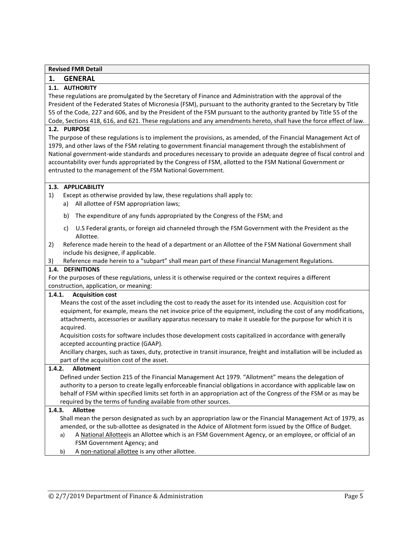# **1. GENERAL**

# **1.1. AUTHORITY**

These regulations are promulgated by the Secretary of Finance and Administration with the approval of the President of the Federated States of Micronesia (FSM), pursuant to the authority granted to the Secretary by Title 55 of the Code, 227 and 606, and by the President of the FSM pursuant to the authority granted by Title 55 of the Code, Sections 418, 616, and 621. These regulations and any amendments hereto, shall have the force effect of law.

# **1.2. PURPOSE**

The purpose of these regulations is to implement the provisions, as amended, of the Financial Management Act of 1979, and other laws of the FSM relating to government financial management through the establishment of National government-wide standards and procedures necessary to provide an adequate degree of fiscal control and accountability over funds appropriated by the Congress of FSM, allotted to the FSM National Government or entrusted to the management of the FSM National Government.

# **1.3. APPLICABILITY**

- 1) Except as otherwise provided by law, these regulations shall apply to:
	- a) All allottee of FSM appropriation laws;
	- b) The expenditure of any funds appropriated by the Congress of the FSM; and
	- c) U.S Federal grants, or foreign aid channeled through the FSM Government with the President as the Allottee.
- 2) Reference made herein to the head of a department or an Allottee of the FSM National Government shall include his designee, if applicable.
- 3) Reference made herein to a "subpart" shall mean part of these Financial Management Regulations.

# **1.4. DEFINITIONS**

For the purposes of these regulations, unless it is otherwise required or the context requires a different construction, application, or meaning:

# **1.4.1. Acquisition cost**

Means the cost of the asset including the cost to ready the asset for its intended use. Acquisition cost for equipment, for example, means the net invoice price of the equipment, including the cost of any modifications, attachments, accessories or auxiliary apparatus necessary to make it useable for the purpose for which it is acquired.

Acquisition costs for software includes those development costs capitalized in accordance with generally accepted accounting practice (GAAP).

Ancillary charges, such as taxes, duty, protective in transit insurance, freight and installation will be included as part of the acquisition cost of the asset.

# **1.4.2. Allotment**

Defined under Section 215 of the Financial Management Act 1979. "Allotment" means the delegation of authority to a person to create legally enforceable financial obligations in accordance with applicable law on behalf of FSM within specified limits set forth in an appropriation act of the Congress of the FSM or as may be required by the terms of funding available from other sources.

# **1.4.3. Allottee**

Shall mean the person designated as such by an appropriation law or the Financial Management Act of 1979, as amended, or the sub-allottee as designated in the Advice of Allotment form issued by the Office of Budget.

- a) A National Allotteeis an Allottee which is an FSM Government Agency, or an employee, or official of an FSM Government Agency; and
- b) A non-national allottee is any other allottee.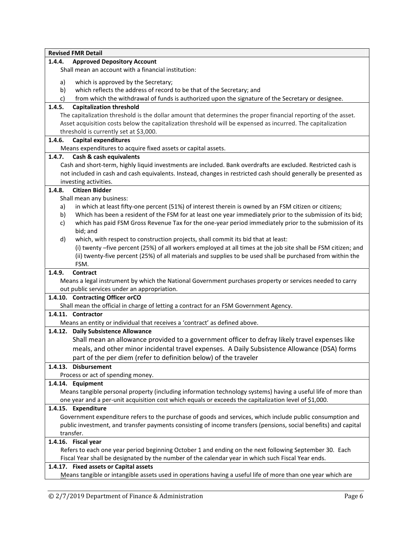|        | <b>Revised FMR Detail</b>                                                                                       |
|--------|-----------------------------------------------------------------------------------------------------------------|
| 1.4.4. | <b>Approved Depository Account</b>                                                                              |
|        | Shall mean an account with a financial institution:                                                             |
| a)     | which is approved by the Secretary;                                                                             |
| b)     | which reflects the address of record to be that of the Secretary; and                                           |
| c)     | from which the withdrawal of funds is authorized upon the signature of the Secretary or designee.               |
| 1.4.5. | <b>Capitalization threshold</b>                                                                                 |
|        | The capitalization threshold is the dollar amount that determines the proper financial reporting of the asset.  |
|        | Asset acquisition costs below the capitalization threshold will be expensed as incurred. The capitalization     |
|        | threshold is currently set at \$3,000.                                                                          |
| 1.4.6. | <b>Capital expenditures</b>                                                                                     |
|        | Means expenditures to acquire fixed assets or capital assets.                                                   |
| 1.4.7. | Cash & cash equivalents                                                                                         |
|        | Cash and short-term, highly liquid investments are included. Bank overdrafts are excluded. Restricted cash is   |
|        | not included in cash and cash equivalents. Instead, changes in restricted cash should generally be presented as |
|        | investing activities.                                                                                           |
| 1.4.8. | <b>Citizen Bidder</b>                                                                                           |
|        | Shall mean any business:                                                                                        |
| a)     | in which at least fifty-one percent (51%) of interest therein is owned by an FSM citizen or citizens;           |
| b)     | Which has been a resident of the FSM for at least one year immediately prior to the submission of its bid;      |
| c)     | which has paid FSM Gross Revenue Tax for the one-year period immediately prior to the submission of its         |
|        | bid; and                                                                                                        |
| d)     | which, with respect to construction projects, shall commit its bid that at least:                               |
|        | (i) twenty -five percent (25%) of all workers employed at all times at the job site shall be FSM citizen; and   |
|        | (ii) twenty-five percent (25%) of all materials and supplies to be used shall be purchased from within the      |
|        | FSM.                                                                                                            |
| 1.4.9. | Contract                                                                                                        |
|        | Means a legal instrument by which the National Government purchases property or services needed to carry        |
|        | out public services under an appropriation.                                                                     |
|        | 1.4.10. Contracting Officer orCO                                                                                |
|        | Shall mean the official in charge of letting a contract for an FSM Government Agency.                           |
|        | 1.4.11. Contractor                                                                                              |
|        | Means an entity or individual that receives a 'contract' as defined above.                                      |
|        | 1.4.12. Daily Subsistence Allowance                                                                             |
|        | Shall mean an allowance provided to a government officer to defray likely travel expenses like                  |
|        | meals, and other minor incidental travel expenses. A Daily Subsistence Allowance (DSA) forms                    |
|        | part of the per diem (refer to definition below) of the traveler                                                |
|        | 1.4.13. Disbursement                                                                                            |
|        | Process or act of spending money.                                                                               |
|        | 1.4.14. Equipment                                                                                               |
|        | Means tangible personal property (including information technology systems) having a useful life of more than   |
|        | one year and a per-unit acquisition cost which equals or exceeds the capitalization level of \$1,000.           |
|        | 1.4.15. Expenditure                                                                                             |
|        | Government expenditure refers to the purchase of goods and services, which include public consumption and       |
|        | public investment, and transfer payments consisting of income transfers (pensions, social benefits) and capital |
|        | transfer.                                                                                                       |
|        | 1.4.16. Fiscal year                                                                                             |
|        | Refers to each one year period beginning October 1 and ending on the next following September 30. Each          |
|        | Fiscal Year shall be designated by the number of the calendar year in which such Fiscal Year ends.              |
|        | 1.4.17. Fixed assets or Capital assets                                                                          |
|        | Means tangible or intangible assets used in operations having a useful life of more than one year which are     |
|        |                                                                                                                 |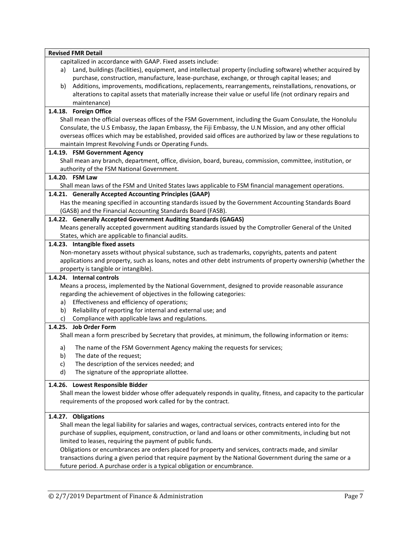|    | <b>Revised FMR Detail</b>                                                                                        |
|----|------------------------------------------------------------------------------------------------------------------|
|    | capitalized in accordance with GAAP. Fixed assets include:                                                       |
|    | a) Land, buildings (facilities), equipment, and intellectual property (including software) whether acquired by   |
|    | purchase, construction, manufacture, lease-purchase, exchange, or through capital leases; and                    |
| b) | Additions, improvements, modifications, replacements, rearrangements, reinstallations, renovations, or           |
|    | alterations to capital assets that materially increase their value or useful life (not ordinary repairs and      |
|    | maintenance)                                                                                                     |
|    | 1.4.18. Foreign Office                                                                                           |
|    | Shall mean the official overseas offices of the FSM Government, including the Guam Consulate, the Honolulu       |
|    | Consulate, the U.S Embassy, the Japan Embassy, the Fiji Embassy, the U.N Mission, and any other official         |
|    | overseas offices which may be established, provided said offices are authorized by law or these regulations to   |
|    | maintain Imprest Revolving Funds or Operating Funds.                                                             |
|    | 1.4.19. FSM Government Agency                                                                                    |
|    | Shall mean any branch, department, office, division, board, bureau, commission, committee, institution, or       |
|    | authority of the FSM National Government.                                                                        |
|    | 1.4.20. FSM Law                                                                                                  |
|    | Shall mean laws of the FSM and United States laws applicable to FSM financial management operations.             |
|    | 1.4.21. Generally Accepted Accounting Principles (GAAP)                                                          |
|    | Has the meaning specified in accounting standards issued by the Government Accounting Standards Board            |
|    | (GASB) and the Financial Accounting Standards Board (FASB).                                                      |
|    | 1.4.22. Generally Accepted Government Auditing Standards (GAGAS)                                                 |
|    | Means generally accepted government auditing standards issued by the Comptroller General of the United           |
|    | States, which are applicable to financial audits.                                                                |
|    | 1.4.23. Intangible fixed assets                                                                                  |
|    | Non-monetary assets without physical substance, such as trademarks, copyrights, patents and patent               |
|    | applications and property, such as loans, notes and other debt instruments of property ownership (whether the    |
|    | property is tangible or intangible).                                                                             |
|    | 1.4.24. Internal controls                                                                                        |
|    | Means a process, implemented by the National Government, designed to provide reasonable assurance                |
|    | regarding the achievement of objectives in the following categories:                                             |
| a) | Effectiveness and efficiency of operations;                                                                      |
| b) | Reliability of reporting for internal and external use; and                                                      |
| C) | Compliance with applicable laws and regulations.                                                                 |
|    | 1.4.25. Job Order Form                                                                                           |
|    | Shall mean a form prescribed by Secretary that provides, at minimum, the following information or items:         |
| a) | The name of the FSM Government Agency making the requests for services;                                          |
| b) | The date of the request;                                                                                         |
| c) | The description of the services needed; and                                                                      |
| d) | The signature of the appropriate allottee.                                                                       |
|    |                                                                                                                  |
|    | 1.4.26. Lowest Responsible Bidder                                                                                |
|    | Shall mean the lowest bidder whose offer adequately responds in quality, fitness, and capacity to the particular |
|    | requirements of the proposed work called for by the contract.                                                    |
|    |                                                                                                                  |
|    | 1.4.27. Obligations                                                                                              |
|    | Shall mean the legal liability for salaries and wages, contractual services, contracts entered into for the      |
|    | purchase of supplies, equipment, construction, or land and loans or other commitments, including but not         |
|    | limited to leases, requiring the payment of public funds.                                                        |
|    | Obligations or encumbrances are orders placed for property and services, contracts made, and similar             |
|    | transactions during a given period that require payment by the National Government during the same or a          |
|    | future period. A purchase order is a typical obligation or encumbrance.                                          |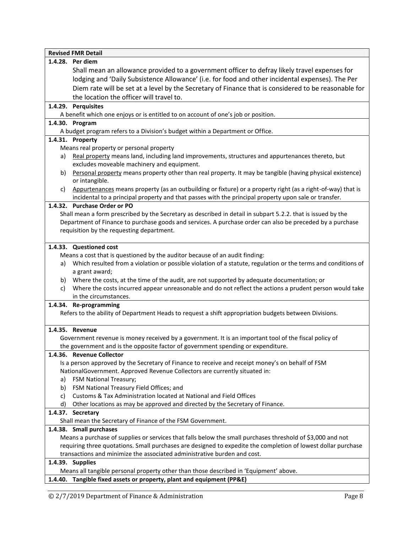| <b>Revised FMR Detail</b>                                                                                                                                                                                                  |
|----------------------------------------------------------------------------------------------------------------------------------------------------------------------------------------------------------------------------|
| 1.4.28. Per diem                                                                                                                                                                                                           |
| Shall mean an allowance provided to a government officer to defray likely travel expenses for                                                                                                                              |
| lodging and 'Daily Subsistence Allowance' (i.e. for food and other incidental expenses). The Per                                                                                                                           |
| Diem rate will be set at a level by the Secretary of Finance that is considered to be reasonable for                                                                                                                       |
| the location the officer will travel to.                                                                                                                                                                                   |
| 1.4.29. Perquisites                                                                                                                                                                                                        |
| A benefit which one enjoys or is entitled to on account of one's job or position.                                                                                                                                          |
| 1.4.30. Program                                                                                                                                                                                                            |
| A budget program refers to a Division's budget within a Department or Office.                                                                                                                                              |
| 1.4.31. Property                                                                                                                                                                                                           |
| Means real property or personal property                                                                                                                                                                                   |
| Real property means land, including land improvements, structures and appurtenances thereto, but<br>a)                                                                                                                     |
| excludes moveable machinery and equipment.                                                                                                                                                                                 |
| Personal property means property other than real property. It may be tangible (having physical existence)<br>b)<br>or intangible.                                                                                          |
| Appurtenances means property (as an outbuilding or fixture) or a property right (as a right-of-way) that is<br>c)<br>incidental to a principal property and that passes with the principal property upon sale or transfer. |
| 1.4.32. Purchase Order or PO                                                                                                                                                                                               |
| Shall mean a form prescribed by the Secretary as described in detail in subpart 5.2.2. that is issued by the                                                                                                               |
| Department of Finance to purchase goods and services. A purchase order can also be preceded by a purchase                                                                                                                  |
| requisition by the requesting department.                                                                                                                                                                                  |
|                                                                                                                                                                                                                            |
| 1.4.33. Questioned cost                                                                                                                                                                                                    |
| Means a cost that is questioned by the auditor because of an audit finding:                                                                                                                                                |
| Which resulted from a violation or possible violation of a statute, regulation or the terms and conditions of<br>a)                                                                                                        |
| a grant award;                                                                                                                                                                                                             |
| Where the costs, at the time of the audit, are not supported by adequate documentation; or<br>b)                                                                                                                           |
| Where the costs incurred appear unreasonable and do not reflect the actions a prudent person would take<br>C)<br>in the circumstances.                                                                                     |
|                                                                                                                                                                                                                            |
| 1.4.34. Re-programming<br>Refers to the ability of Department Heads to request a shift appropriation budgets between Divisions.                                                                                            |
|                                                                                                                                                                                                                            |
| 1.4.35. Revenue                                                                                                                                                                                                            |
| Government revenue is money received by a government. It is an important tool of the fiscal policy of                                                                                                                      |
| the government and is the opposite factor of government spending or expenditure.                                                                                                                                           |
| 1.4.36. Revenue Collector                                                                                                                                                                                                  |
| Is a person approved by the Secretary of Finance to receive and receipt money's on behalf of FSM                                                                                                                           |
| NationalGovernment. Approved Revenue Collectors are currently situated in:                                                                                                                                                 |
| FSM National Treasury;<br>a)                                                                                                                                                                                               |
| FSM National Treasury Field Offices; and<br>b)                                                                                                                                                                             |
| Customs & Tax Administration located at National and Field Offices<br>C)                                                                                                                                                   |
| Other locations as may be approved and directed by the Secretary of Finance.<br>d)                                                                                                                                         |
| 1.4.37. Secretary                                                                                                                                                                                                          |
| Shall mean the Secretary of Finance of the FSM Government.                                                                                                                                                                 |
| 1.4.38. Small purchases                                                                                                                                                                                                    |
| Means a purchase of supplies or services that falls below the small purchases threshold of \$3,000 and not                                                                                                                 |
| requiring three quotations. Small purchases are designed to expedite the completion of lowest dollar purchase                                                                                                              |
| transactions and minimize the associated administrative burden and cost.                                                                                                                                                   |
| 1.4.39. Supplies<br>Means all tangible personal property other than those described in 'Equipment' above.                                                                                                                  |
| 1.4.40. Tangible fixed assets or property, plant and equipment (PP&E)                                                                                                                                                      |
|                                                                                                                                                                                                                            |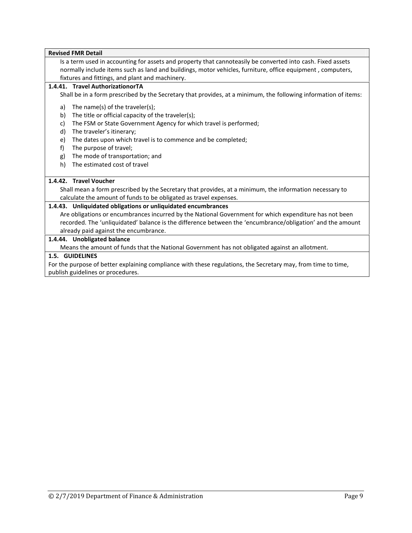Is a term used in accounting for assets and property that cannoteasily be converted into cash. Fixed assets normally include items such as land and buildings, motor vehicles, furniture, office equipment , computers, fixtures and fittings, and plant and machinery.

#### **1.4.41. Travel AuthorizationorTA**

Shall be in a form prescribed by the Secretary that provides, at a minimum, the following information of items:

- a) The name(s) of the traveler(s);
- b) The title or official capacity of the traveler(s);
- c) The FSM or State Government Agency for which travel is performed;
- d) The traveler's itinerary;
- e) The dates upon which travel is to commence and be completed;
- f) The purpose of travel;
- g) The mode of transportation; and
- h) The estimated cost of travel

# **1.4.42. Travel Voucher**

Shall mean a form prescribed by the Secretary that provides, at a minimum, the information necessary to calculate the amount of funds to be obligated as travel expenses.

#### **1.4.43. Unliquidated obligations or unliquidated encumbrances**

Are obligations or encumbrances incurred by the National Government for which expenditure has not been recorded. The 'unliquidated' balance is the difference between the 'encumbrance/obligation' and the amount already paid against the encumbrance.

#### **1.4.44. Unobligated balance**

Means the amount of funds that the National Government has not obligated against an allotment.

#### **1.5. GUIDELINES**

For the purpose of better explaining compliance with these regulations, the Secretary may, from time to time, publish guidelines or procedures.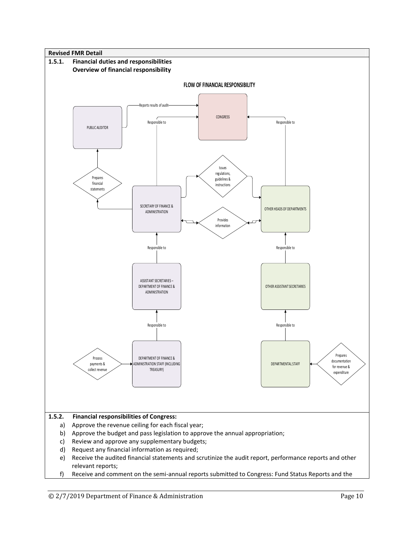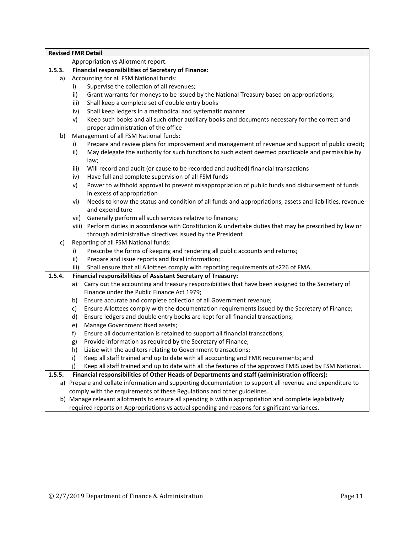|        | <b>Revised FMR Detail</b>                                                                                                                                                                                                   |  |
|--------|-----------------------------------------------------------------------------------------------------------------------------------------------------------------------------------------------------------------------------|--|
|        | Appropriation vs Allotment report.                                                                                                                                                                                          |  |
| 1.5.3. | <b>Financial responsibilities of Secretary of Finance:</b>                                                                                                                                                                  |  |
| a)     | Accounting for all FSM National funds:                                                                                                                                                                                      |  |
|        | Supervise the collection of all revenues;<br>i)                                                                                                                                                                             |  |
|        | Grant warrants for moneys to be issued by the National Treasury based on appropriations;<br>ii)                                                                                                                             |  |
|        | Shall keep a complete set of double entry books<br>iii)                                                                                                                                                                     |  |
|        | Shall keep ledgers in a methodical and systematic manner<br>iv)                                                                                                                                                             |  |
|        | Keep such books and all such other auxiliary books and documents necessary for the correct and<br>v)<br>proper administration of the office                                                                                 |  |
| b)     | Management of all FSM National funds:                                                                                                                                                                                       |  |
|        | Prepare and review plans for improvement and management of revenue and support of public credit;<br>i)<br>May delegate the authority for such functions to such extent deemed practicable and permissible by<br>ii)<br>law; |  |
|        | Will record and audit (or cause to be recorded and audited) financial transactions<br>iii)<br>Have full and complete supervision of all FSM funds<br>iv)                                                                    |  |
|        | Power to withhold approval to prevent misappropriation of public funds and disbursement of funds<br>V)<br>in excess of appropriation                                                                                        |  |
|        | Needs to know the status and condition of all funds and appropriations, assets and liabilities, revenue<br>vi)<br>and expenditure                                                                                           |  |
|        | vii) Generally perform all such services relative to finances;                                                                                                                                                              |  |
|        | viii) Perform duties in accordance with Constitution & undertake duties that may be prescribed by law or<br>through administrative directives issued by the President                                                       |  |
| c)     | Reporting of all FSM National funds:                                                                                                                                                                                        |  |
|        | Prescribe the forms of keeping and rendering all public accounts and returns;<br>i)                                                                                                                                         |  |
|        | Prepare and issue reports and fiscal information;<br>ii)                                                                                                                                                                    |  |
|        | Shall ensure that all Allottees comply with reporting requirements of s226 of FMA.<br>iii)                                                                                                                                  |  |
| 1.5.4. | Financial responsibilities of Assistant Secretary of Treasury:                                                                                                                                                              |  |
|        | Carry out the accounting and treasury responsibilities that have been assigned to the Secretary of<br>a)                                                                                                                    |  |
|        | Finance under the Public Finance Act 1979;                                                                                                                                                                                  |  |
|        | Ensure accurate and complete collection of all Government revenue;<br>b)                                                                                                                                                    |  |
|        | Ensure Allottees comply with the documentation requirements issued by the Secretary of Finance;<br>C)                                                                                                                       |  |
|        | Ensure ledgers and double entry books are kept for all financial transactions;<br>d)                                                                                                                                        |  |
|        | Manage Government fixed assets;<br>e)                                                                                                                                                                                       |  |
|        | Ensure all documentation is retained to support all financial transactions;<br>f)                                                                                                                                           |  |
|        | Provide information as required by the Secretary of Finance;<br>g)                                                                                                                                                          |  |
|        | Liaise with the auditors relating to Government transactions;<br>h)                                                                                                                                                         |  |
|        | Keep all staff trained and up to date with all accounting and FMR requirements; and<br>i)                                                                                                                                   |  |
|        | Keep all staff trained and up to date with all the features of the approved FMIS used by FSM National.<br>i)                                                                                                                |  |
| 1.5.5. | Financial responsibilities of Other Heads of Departments and staff (administration officers):                                                                                                                               |  |
|        | a) Prepare and collate information and supporting documentation to support all revenue and expenditure to                                                                                                                   |  |
|        | comply with the requirements of these Regulations and other guidelines.                                                                                                                                                     |  |
|        | b) Manage relevant allotments to ensure all spending is within appropriation and complete legislatively                                                                                                                     |  |
|        | required reports on Appropriations vs actual spending and reasons for significant variances.                                                                                                                                |  |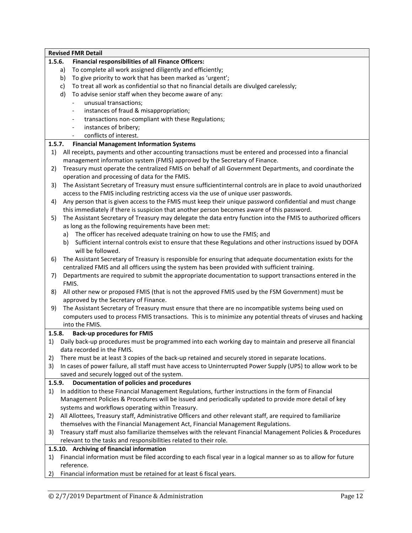| <b>Revised FMR Detail</b>                                                                                                                                                             |
|---------------------------------------------------------------------------------------------------------------------------------------------------------------------------------------|
| <b>Financial responsibilities of all Finance Officers:</b>                                                                                                                            |
| To complete all work assigned diligently and efficiently;<br>a)                                                                                                                       |
| To give priority to work that has been marked as 'urgent';<br>b)                                                                                                                      |
| To treat all work as confidential so that no financial details are divulged carelessly;<br>c)                                                                                         |
| d)<br>To advise senior staff when they become aware of any:                                                                                                                           |
| unusual transactions;                                                                                                                                                                 |
| instances of fraud & misappropriation;                                                                                                                                                |
| transactions non-compliant with these Regulations;<br>$\qquad \qquad \blacksquare$                                                                                                    |
| instances of bribery;<br>$\overline{\phantom{a}}$                                                                                                                                     |
| conflicts of interest.                                                                                                                                                                |
| <b>Financial Management Information Systems</b>                                                                                                                                       |
| All receipts, payments and other accounting transactions must be entered and processed into a financial<br>management information system (FMIS) approved by the Secretary of Finance. |
| Treasury must operate the centralized FMIS on behalf of all Government Departments, and coordinate the                                                                                |
| operation and processing of data for the FMIS.                                                                                                                                        |
| The Assistant Secretary of Treasury must ensure sufficientinternal controls are in place to avoid unauthorized                                                                        |
| access to the FMIS including restricting access via the use of unique user passwords.                                                                                                 |
| Any person that is given access to the FMIS must keep their unique password confidential and must change                                                                              |
| this immediately if there is suspicion that another person becomes aware of this password.                                                                                            |
| The Assistant Secretary of Treasury may delegate the data entry function into the FMIS to authorized officers                                                                         |
| as long as the following requirements have been met:                                                                                                                                  |
| a) The officer has received adequate training on how to use the FMIS; and                                                                                                             |
| b)<br>Sufficient internal controls exist to ensure that these Regulations and other instructions issued by DOFA                                                                       |
| will be followed.                                                                                                                                                                     |
| The Assistant Secretary of Treasury is responsible for ensuring that adequate documentation exists for the                                                                            |
| centralized FMIS and all officers using the system has been provided with sufficient training.                                                                                        |
| Departments are required to submit the appropriate documentation to support transactions entered in the                                                                               |
| FMIS.                                                                                                                                                                                 |
| All other new or proposed FMIS (that is not the approved FMIS used by the FSM Government) must be                                                                                     |
| approved by the Secretary of Finance.                                                                                                                                                 |
| The Assistant Secretary of Treasury must ensure that there are no incompatible systems being used on                                                                                  |
| computers used to process FMIS transactions. This is to minimize any potential threats of viruses and hacking                                                                         |
| into the FMIS.                                                                                                                                                                        |
| <b>Back-up procedures for FMIS</b>                                                                                                                                                    |
| Daily back-up procedures must be programmed into each working day to maintain and preserve all financial                                                                              |
| data recorded in the FMIS.                                                                                                                                                            |
| There must be at least 3 copies of the back-up retained and securely stored in separate locations.                                                                                    |
| In cases of power failure, all staff must have access to Uninterrupted Power Supply (UPS) to allow work to be                                                                         |
| saved and securely logged out of the system.                                                                                                                                          |
| Documentation of policies and procedures                                                                                                                                              |
| In addition to these Financial Management Regulations, further instructions in the form of Financial                                                                                  |
| Management Policies & Procedures will be issued and periodically updated to provide more detail of key                                                                                |
| systems and workflows operating within Treasury.                                                                                                                                      |
| All Allottees, Treasury staff, Administrative Officers and other relevant staff, are required to familiarize                                                                          |
| themselves with the Financial Management Act, Financial Management Regulations.                                                                                                       |
| Treasury staff must also familiarize themselves with the relevant Financial Management Policies & Procedures                                                                          |
| relevant to the tasks and responsibilities related to their role.                                                                                                                     |
| 1.5.10. Archiving of financial information                                                                                                                                            |
| Financial information must be filed according to each fiscal year in a logical manner so as to allow for future                                                                       |
| reference.                                                                                                                                                                            |
| Financial information must be retained for at least 6 fiscal years.                                                                                                                   |
| 1.5.6.<br>1.5.7.<br>1)<br>2)<br>3)<br>4)<br>5)<br>$6)$<br>7)<br>8)<br>9)<br>1.5.8.<br>1.5.9.                                                                                          |

2) Financial information must be retained for at least 6 fiscal years.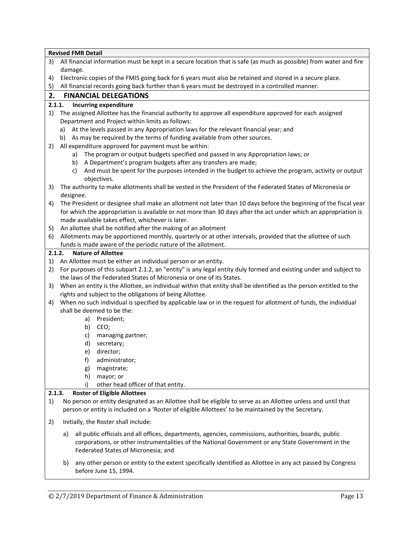|        | <b>Revised FMR Detail</b>                                                                                          |
|--------|--------------------------------------------------------------------------------------------------------------------|
| 3)     | All financial information must be kept in a secure location that is safe (as much as possible) from water and fire |
|        | damage.                                                                                                            |
| 4)     | Electronic copies of the FMIS going back for 6 years must also be retained and stored in a secure place.           |
| 5)     | All financial records going back further than 6 years must be destroyed in a controlled manner.                    |
| 2.     | <b>FINANCIAL DELEGATIONS</b>                                                                                       |
|        | <b>Incurring expenditure</b><br>2.1.1.                                                                             |
| 1)     | The assigned Allottee has the financial authority to approve all expenditure approved for each assigned            |
|        | Department and Project within limits as follows:                                                                   |
|        | a) At the levels passed in any Appropriation laws for the relevant financial year; and                             |
|        | b) As may be required by the terms of funding available from other sources.                                        |
| 2)     | All expenditure approved for payment must be within:                                                               |
|        | The program or output budgets specified and passed in any Appropriation laws; or<br>a)                             |
|        | A Department's program budgets after any transfers are made;<br>b)                                                 |
|        | And must be spent for the purposes intended in the budget to achieve the program, activity or output<br>c)         |
|        | objectives.                                                                                                        |
| 3)     | The authority to make allotments shall be vested in the President of the Federated States of Micronesia or         |
|        | designee.                                                                                                          |
| 4)     | The President or designee shall make an allotment not later than 10 days before the beginning of the fiscal year   |
|        | for which the appropriation is available or not more than 30 days after the act under which an appropriation is    |
|        | made available takes effect, whichever is later.                                                                   |
| 5)     | An allottee shall be notified after the making of an allotment                                                     |
| 6)     | Allotments may be apportioned monthly, quarterly or at other intervals, provided that the allottee of such         |
|        | funds is made aware of the periodic nature of the allotment.                                                       |
|        | <b>Nature of Allottee</b><br>2.1.2.                                                                                |
| 1)     | An Allottee must be either an individual person or an entity.                                                      |
| 2)     | For purposes of this subpart 2.1.2, an "entity" is any legal entity duly formed and existing under and subject to  |
|        | the laws of the Federated States of Micronesia or one of its States.                                               |
| 3)     | When an entity is the Allottee, an individual within that entity shall be identified as the person entitled to the |
|        | rights and subject to the obligations of being Allottee.                                                           |
| 4)     | When no such individual is specified by applicable law or in the request for allotment of funds, the individual    |
|        | shall be deemed to be the:                                                                                         |
|        | a) President;                                                                                                      |
|        | CEO;<br>b)                                                                                                         |
|        | c)<br>managing partner;                                                                                            |
|        | d)<br>secretary;                                                                                                   |
|        | director;<br>e)                                                                                                    |
|        | f)<br>administrator;                                                                                               |
|        | magistrate;<br>g)                                                                                                  |
|        | h)<br>mayor; or                                                                                                    |
|        | other head officer of that entity.<br>i)                                                                           |
| 2.1.3. | <b>Roster of Eligible Allottees</b>                                                                                |
| 1)     | No person or entity designated as an Allottee shall be eligible to serve as an Allottee unless and until that      |
|        | person or entity is included on a 'Roster of eligible Allottees' to be maintained by the Secretary.                |
| 2)     | Initially, the Roster shall include:                                                                               |
|        | all public officials and all offices, departments, agencies, commissions, authorities, boards, public<br>a)        |
|        | corporations, or other instrumentalities of the National Government or any State Government in the                 |
|        | Federated States of Micronesia; and                                                                                |
|        |                                                                                                                    |

b) any other person or entity to the extent specifically identified as Allottee in any act passed by Congress before June 15, 1994.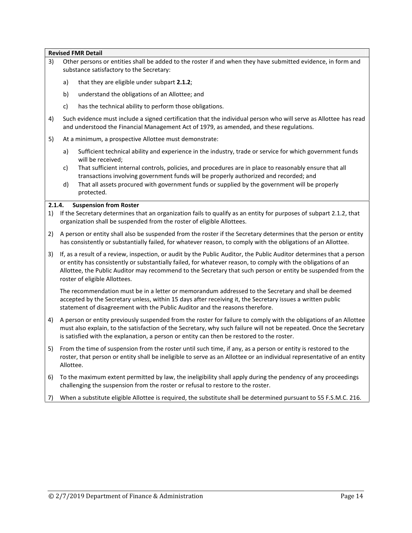- 3) Other persons or entities shall be added to the roster if and when they have submitted evidence, in form and substance satisfactory to the Secretary:
	- a) that they are eligible under subpart **2.1.2**;
	- b) understand the obligations of an Allottee; and
	- c) has the technical ability to perform those obligations.
- 4) Such evidence must include a signed certification that the individual person who will serve as Allottee has read and understood the Financial Management Act of 1979, as amended, and these regulations.
- 5) At a minimum, a prospective Allottee must demonstrate:
	- a) Sufficient technical ability and experience in the industry, trade or service for which government funds will be received;
	- c) That sufficient internal controls, policies, and procedures are in place to reasonably ensure that all transactions involving government funds will be properly authorized and recorded; and
	- d) That all assets procured with government funds or supplied by the government will be properly protected.

#### **2.1.4. Suspension from Roster**

- 1) If the Secretary determines that an organization fails to qualify as an entity for purposes of subpart 2.1.2, that organization shall be suspended from the roster of eligible Allottees.
- 2) A person or entity shall also be suspended from the roster if the Secretary determines that the person or entity has consistently or substantially failed, for whatever reason, to comply with the obligations of an Allottee.
- 3) If, as a result of a review, inspection, or audit by the Public Auditor, the Public Auditor determines that a person or entity has consistently or substantially failed, for whatever reason, to comply with the obligations of an Allottee, the Public Auditor may recommend to the Secretary that such person or entity be suspended from the roster of eligible Allottees.

The recommendation must be in a letter or memorandum addressed to the Secretary and shall be deemed accepted by the Secretary unless, within 15 days after receiving it, the Secretary issues a written public statement of disagreement with the Public Auditor and the reasons therefore.

- 4) A person or entity previously suspended from the roster for failure to comply with the obligations of an Allottee must also explain, to the satisfaction of the Secretary, why such failure will not be repeated. Once the Secretary is satisfied with the explanation, a person or entity can then be restored to the roster.
- 5) From the time of suspension from the roster until such time, if any, as a person or entity is restored to the roster, that person or entity shall be ineligible to serve as an Allottee or an individual representative of an entity Allottee.
- 6) To the maximum extent permitted by law, the ineligibility shall apply during the pendency of any proceedings challenging the suspension from the roster or refusal to restore to the roster.
- 7) When a substitute eligible Allottee is required, the substitute shall be determined pursuant to 55 F.S.M.C. 216.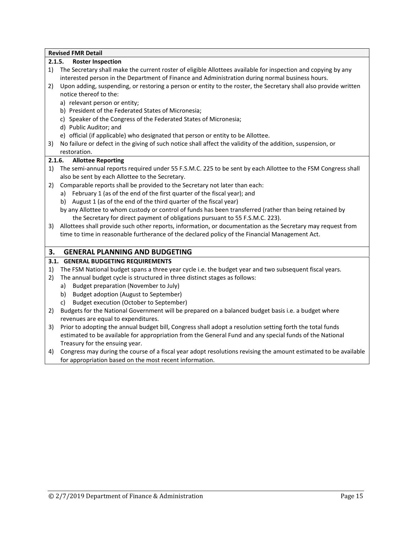|        | <b>Revised FMR Detail</b>                                                                                        |
|--------|------------------------------------------------------------------------------------------------------------------|
|        | <b>Roster Inspection</b><br>2.1.5.                                                                               |
| 1)     | The Secretary shall make the current roster of eligible Allottees available for inspection and copying by any    |
|        | interested person in the Department of Finance and Administration during normal business hours.                  |
| 2)     | Upon adding, suspending, or restoring a person or entity to the roster, the Secretary shall also provide written |
|        | notice thereof to the:                                                                                           |
|        | a) relevant person or entity;                                                                                    |
|        | b) President of the Federated States of Micronesia;                                                              |
|        | c) Speaker of the Congress of the Federated States of Micronesia;                                                |
|        | d) Public Auditor; and                                                                                           |
|        | e) official (if applicable) who designated that person or entity to be Allottee.                                 |
| 3)     | No failure or defect in the giving of such notice shall affect the validity of the addition, suspension, or      |
|        | restoration.                                                                                                     |
| 2.1.6. | <b>Allottee Reporting</b>                                                                                        |
| 1)     | The semi-annual reports required under 55 F.S.M.C. 225 to be sent by each Allottee to the FSM Congress shall     |
|        | also be sent by each Allottee to the Secretary.                                                                  |
| 2)     | Comparable reports shall be provided to the Secretary not later than each:                                       |
|        | a) February 1 (as of the end of the first quarter of the fiscal year); and                                       |
|        | August 1 (as of the end of the third quarter of the fiscal year)<br>b)                                           |
|        | by any Allottee to whom custody or control of funds has been transferred (rather than being retained by          |
|        | the Secretary for direct payment of obligations pursuant to 55 F.S.M.C. 223).                                    |
|        | 3) Allottees shall provide such other reports, information, or documentation as the Secretary may request from   |
|        | time to time in reasonable furtherance of the declared policy of the Financial Management Act.                   |
|        |                                                                                                                  |
| 3.     | <b>GENERAL PLANNING AND BUDGETING</b>                                                                            |
|        | 3.1. GENERAL BUDGETING REQUIREMENTS                                                                              |
| 1)     | The FSM National budget spans a three year cycle i.e. the budget year and two subsequent fiscal years.           |
| 2)     | The annual budget cycle is structured in three distinct stages as follows:                                       |
|        | Budget preparation (November to July)<br>a)                                                                      |
|        | Budget adoption (August to September)<br>b)                                                                      |
|        | Budget execution (October to September)<br>c)                                                                    |
| 2)     | Budgets for the National Government will be prepared on a balanced budget basis i.e. a budget where              |
|        | revenues are equal to expenditures.                                                                              |
| 3)     | Prior to adopting the annual budget bill, Congress shall adopt a resolution setting forth the total funds        |
|        | estimated to be available for appropriation from the General Fund and any special funds of the National          |

Treasury for the ensuing year. 4) Congress may during the course of a fiscal year adopt resolutions revising the amount estimated to be available for appropriation based on the most recent information.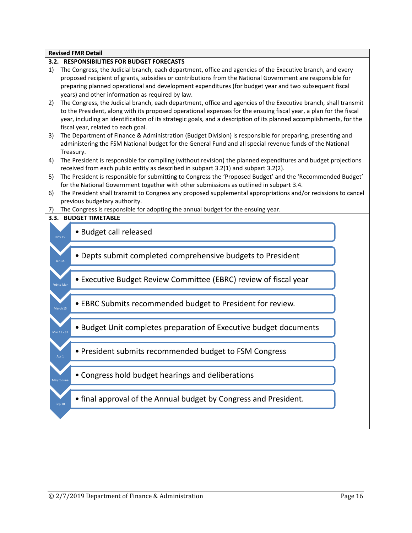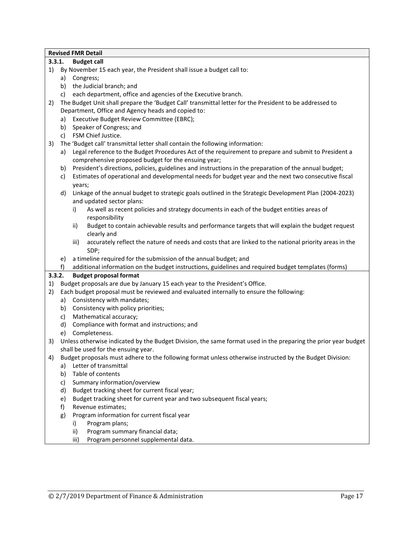#### **3.3.1. Budget call**

- 1) By November 15 each year, the President shall issue a budget call to:
	- a) Congress;
	- b) the Judicial branch; and
	- c) each department, office and agencies of the Executive branch.
- 2) The Budget Unit shall prepare the 'Budget Call' transmittal letter for the President to be addressed to Department, Office and Agency heads and copied to:
	- a) Executive Budget Review Committee (EBRC);
	- b) Speaker of Congress; and
	- c) FSM Chief Justice.
- 3) The 'Budget call' transmittal letter shall contain the following information:
	- a) Legal reference to the Budget Procedures Act of the requirement to prepare and submit to President a comprehensive proposed budget for the ensuing year;
	- b) President's directions, policies, guidelines and instructions in the preparation of the annual budget;
	- c) Estimates of operational and developmental needs for budget year and the next two consecutive fiscal years;
	- d) Linkage of the annual budget to strategic goals outlined in the Strategic Development Plan (2004-2023) and updated sector plans:
		- i) As well as recent policies and strategy documents in each of the budget entities areas of responsibility
		- ii) Budget to contain achievable results and performance targets that will explain the budget request clearly and
		- iii) accurately reflect the nature of needs and costs that are linked to the national priority areas in the SDP;
	- e) a timeline required for the submission of the annual budget; and
	- f) additional information on the budget instructions, guidelines and required budget templates (forms)

# **3.3.2. Budget proposal format**

- 1) Budget proposals are due by January 15 each year to the President's Office.
- 2) Each budget proposal must be reviewed and evaluated internally to ensure the following:
	- a) Consistency with mandates;
	- b) Consistency with policy priorities;
	- c) Mathematical accuracy;
	- d) Compliance with format and instructions; and
	- e) Completeness.
- 3) Unless otherwise indicated by the Budget Division, the same format used in the preparing the prior year budget shall be used for the ensuing year.
- 4) Budget proposals must adhere to the following format unless otherwise instructed by the Budget Division:
	- a) Letter of transmittal
	- b) Table of contents
	- c) Summary information/overview
	- d) Budget tracking sheet for current fiscal year;
	- e) Budget tracking sheet for current year and two subsequent fiscal years;
	- f) Revenue estimates;
	- g) Program information for current fiscal year
		- i) Program plans;
		- ii) Program summary financial data;
		- iii) Program personnel supplemental data.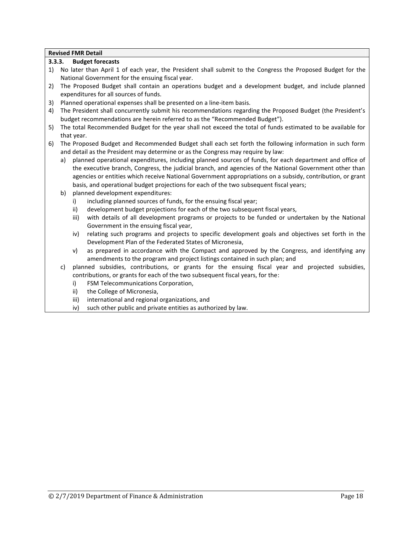### **3.3.3. Budget forecasts**

- 1) No later than April 1 of each year, the President shall submit to the Congress the Proposed Budget for the National Government for the ensuing fiscal year.
- 2) The Proposed Budget shall contain an operations budget and a development budget, and include planned expenditures for all sources of funds.
- 3) Planned operational expenses shall be presented on a line-item basis.
- 4) The President shall concurrently submit his recommendations regarding the Proposed Budget (the President's budget recommendations are herein referred to as the "Recommended Budget").
- 5) The total Recommended Budget for the year shall not exceed the total of funds estimated to be available for that year.
- 6) The Proposed Budget and Recommended Budget shall each set forth the following information in such form and detail as the President may determine or as the Congress may require by law:
	- a) planned operational expenditures, including planned sources of funds, for each department and office of the executive branch, Congress, the judicial branch, and agencies of the National Government other than agencies or entities which receive National Government appropriations on a subsidy, contribution, or grant basis, and operational budget projections for each of the two subsequent fiscal years;
	- b) planned development expenditures:
		- i) including planned sources of funds, for the ensuing fiscal year;
		- ii) development budget projections for each of the two subsequent fiscal years,
		- iii) with details of all development programs or projects to be funded or undertaken by the National Government in the ensuing fiscal year,
		- iv) relating such programs and projects to specific development goals and objectives set forth in the Development Plan of the Federated States of Micronesia,
		- v) as prepared in accordance with the Compact and approved by the Congress, and identifying any amendments to the program and project listings contained in such plan; and
	- c) planned subsidies, contributions, or grants for the ensuing fiscal year and projected subsidies, contributions, or grants for each of the two subsequent fiscal years, for the:
		- i) FSM Telecommunications Corporation,
		- ii) the College of Micronesia,
		- iii) international and regional organizations, and
		- iv) such other public and private entities as authorized by law.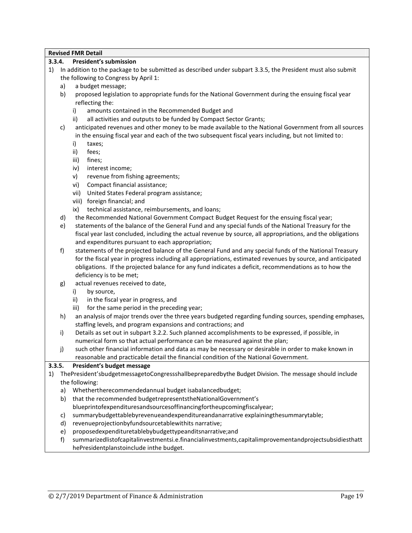#### **3.3.4. President's submission**

- 1) In addition to the package to be submitted as described under subpart 3.3.5, the President must also submit the following to Congress by April 1:
	- a) a budget message;
	- b) proposed legislation to appropriate funds for the National Government during the ensuing fiscal year reflecting the:
		- i) amounts contained in the Recommended Budget and
		- ii) all activities and outputs to be funded by Compact Sector Grants;
	- c) anticipated revenues and other money to be made available to the National Government from all sources in the ensuing fiscal year and each of the two subsequent fiscal years including, but not limited to:
		- i) taxes;
		- ii) fees;
		- iii) fines;
		- iv) interest income;
		- v) revenue from fishing agreements;
		- vi) Compact financial assistance;
		- vii) United States Federal program assistance;
		- viii) foreign financial; and
		- ix) technical assistance, reimbursements, and loans;
	- d) the Recommended National Government Compact Budget Request for the ensuing fiscal year;
	- e) statements of the balance of the General Fund and any special funds of the National Treasury for the fiscal year last concluded, including the actual revenue by source, all appropriations, and the obligations and expenditures pursuant to each appropriation;
	- f) statements of the projected balance of the General Fund and any special funds of the National Treasury for the fiscal year in progress including all appropriations, estimated revenues by source, and anticipated obligations. If the projected balance for any fund indicates a deficit, recommendations as to how the deficiency is to be met;
	- g) actual revenues received to date,
		- i) by source,
		- ii) in the fiscal year in progress, and
		- iii) for the same period in the preceding year;
	- h) an analysis of major trends over the three years budgeted regarding funding sources, spending emphases, staffing levels, and program expansions and contractions; and
	- i) Details as set out in subpart 3.2.2. Such planned accomplishments to be expressed, if possible, in numerical form so that actual performance can be measured against the plan;
	- j) such other financial information and data as may be necessary or desirable in order to make known in reasonable and practicable detail the financial condition of the National Government.

# **3.3.5. President's budget message**

# 1) ThePresident'sbudgetmessagetoCongressshallbepreparedbythe Budget Division. The message should include the following:

- a) Whethertherecommendedannual budget isabalancedbudget;
- b) that the recommended budgetrepresentstheNationalGovernment's
	- blueprintofexpendituresandsourcesoffinancingfortheupcomingfiscalyear;
- c) summarybudgettablebyrevenueandexpenditureandanarrative explainingthesummarytable;
- d) revenueprojectionbyfundsourcetablewithits narrative;
- e) proposedexpendituretablebybudgettypeanditsnarrative;and
- f) summarizedlistofcapitalinvestmentsi.e.financialinvestments,capitalimprovementandprojectsubsidiesthatt hePresidentplanstoinclude inthe budget.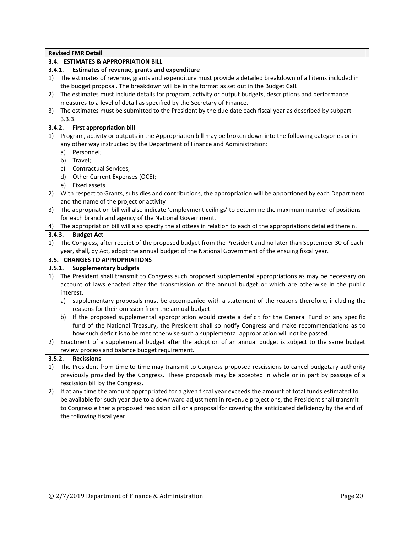# **3.4. ESTIMATES & APPROPRIATION BILL**

#### **3.4.1. Estimates of revenue, grants and expenditure**

- 1) The estimates of revenue, grants and expenditure must provide a detailed breakdown of all items included in the budget proposal. The breakdown will be in the format as set out in the Budget Call.
- 2) The estimates must include details for program, activity or output budgets, descriptions and performance measures to a level of detail as specified by the Secretary of Finance.
- 3) The estimates must be submitted to the President by the due date each fiscal year as described by subpart 3.3.3.

#### **3.4.2. First appropriation bill**

- 1) Program, activity or outputs in the Appropriation bill may be broken down into the following categories or in any other way instructed by the Department of Finance and Administration:
	- a) Personnel;
	- b) Travel;
	- c) Contractual Services;
	- d) Other Current Expenses (OCE);
	- e) Fixed assets.
- 2) With respect to Grants, subsidies and contributions, the appropriation will be apportioned by each Department and the name of the project or activity
- 3) The appropriation bill will also indicate 'employment ceilings' to determine the maximum number of positions for each branch and agency of the National Government.
- 4) The appropriation bill will also specify the allottees in relation to each of the appropriations detailed therein.

#### **3.4.3. Budget Act**

1) The Congress, after receipt of the proposed budget from the President and no later than September 30 of each year, shall, by Act, adopt the annual budget of the National Government of the ensuing fiscal year.

#### **3.5. CHANGES TO APPROPRIATIONS**

# **3.5.1. Supplementary budgets**

- 1) The President shall transmit to Congress such proposed supplemental appropriations as may be necessary on account of laws enacted after the transmission of the annual budget or which are otherwise in the public interest.
	- a) supplementary proposals must be accompanied with a statement of the reasons therefore, including the reasons for their omission from the annual budget.
	- b) If the proposed supplemental appropriation would create a deficit for the General Fund or any specific fund of the National Treasury, the President shall so notify Congress and make recommendations as to how such deficit is to be met otherwise such a supplemental appropriation will not be passed.
- 2) Enactment of a supplemental budget after the adoption of an annual budget is subject to the same budget review process and balance budget requirement.

# **3.5.2. Recissions**

- 1) The President from time to time may transmit to Congress proposed rescissions to cancel budgetary authority previously provided by the Congress. These proposals may be accepted in whole or in part by passage of a rescission bill by the Congress.
- 2) If at any time the amount appropriated for a given fiscal year exceeds the amount of total funds estimated to be available for such year due to a downward adjustment in revenue projections, the President shall transmit to Congress either a proposed rescission bill or a proposal for covering the anticipated deficiency by the end of the following fiscal year.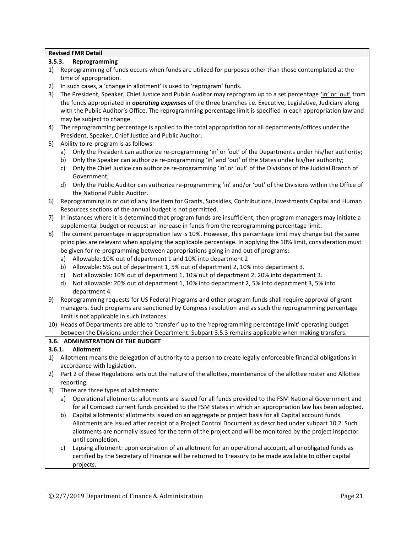# **3.5.3. Reprogramming**

- 1) Reprogramming of funds occurs when funds are utilized for purposes other than those contemplated at the time of appropriation.
- 2) In such cases, a 'change in allotment' is used to 'reprogram' funds.
- 3) The President, Speaker, Chief Justice and Public Auditor may reprogram up to a set percentage 'in' or 'out' from the funds appropriated in *operating expenses* of the three branches i.e. Executive, Legislative, Judiciary along with the Public Auditor's Office. The reprogramming percentage limit is specified in each appropriation law and may be subject to change.
- 4) The reprogramming percentage is applied to the total appropriation for all departments/offices under the President, Speaker, Chief Justice and Public Auditor.
- 5) Ability to re-program is as follows:
	- a) Only the President can authorize re-programming 'in' or 'out' of the Departments under his/her authority;
	- b) Only the Speaker can authorize re-programming 'in' and 'out' of the States under his/her authority;
	- c) Only the Chief Justice can authorize re-programming 'in' or 'out' of the Divisions of the Judicial Branch of Government;
	- d) Only the Public Auditor can authorize re-programming 'in' and/or 'out' of the Divisions within the Office of the National Public Auditor.
- 6) Reprogramming in or out of any line item for Grants, Subsidies, Contributions, Investments Capital and Human Resources sections of the annual budget is not permitted.
- 7) In instances where it is determined that program funds are insufficient, then program managers may initiate a supplemental budget or request an increase in funds from the reprogramming percentage limit.
- 8) The current percentage in appropriation law is 10%. However, this percentage limit may change but the same principles are relevant when applying the applicable percentage. In applying the 10% limit, consideration must be given for re-programming between appropriations going in and out of programs:
	- a) Allowable: 10% out of department 1 and 10% into department 2
	- b) Allowable: 5% out of department 1, 5% out of department 2, 10% into department 3.
	- c) Not allowable: 10% out of department 1, 10% out of department 2, 20% into department 3.
	- d) Not allowable: 20% out of department 1, 10% into department 2, 5% into department 3, 5% into department 4.
- 9) Reprogramming requests for US Federal Programs and other program funds shall require approval of grant managers. Such programs are sanctioned by Congress resolution and as such the reprogramming percentage limit is not applicable in such instances.
- 10) Heads of Departments are able to 'transfer' up to the 'reprogramming percentage limit' operating budget between the Divisions under their Department. Subpart 3.5.3 remains applicable when making transfers.

# **3.6. ADMINISTRATION OF THE BUDGET**

# **3.6.1. Allotment**

- 1) Allotment means the delegation of authority to a person to create legally enforceable financial obligations in accordance with legislation.
- 2) Part 2 of these Regulations sets out the nature of the allottee, maintenance of the allottee roster and Allottee reporting.
- 3) There are three types of allotments:
	- a) Operational allotments: allotments are issued for all funds provided to the FSM National Government and for all Compact current funds provided to the FSM States in which an appropriation law has been adopted.
	- b) Capital allotments: allotments issued on an aggregate or project basis for all Capital account funds. Allotments are issued after receipt of a Project Control Document as described under subpart 10.2. Such allotments are normally issued for the term of the project and will be monitored by the project inspector until completion.
	- c) Lapsing allotment: upon expiration of an allotment for an operational account, all unobligated funds as certified by the Secretary of Finance will be returned to Treasury to be made available to other capital projects.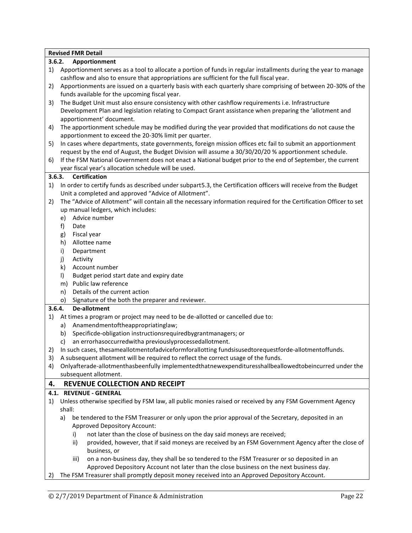|        | <b>Revised FMR Detail</b>                                                                                                                                                                                   |
|--------|-------------------------------------------------------------------------------------------------------------------------------------------------------------------------------------------------------------|
| 3.6.2. | Apportionment                                                                                                                                                                                               |
| 1)     | Apportionment serves as a tool to allocate a portion of funds in regular installments during the year to manage<br>cashflow and also to ensure that appropriations are sufficient for the full fiscal year. |
| 2)     | Apportionments are issued on a quarterly basis with each quarterly share comprising of between 20-30% of the<br>funds available for the upcoming fiscal year.                                               |
| 3)     | The Budget Unit must also ensure consistency with other cashflow requirements i.e. Infrastructure                                                                                                           |
|        | Development Plan and legislation relating to Compact Grant assistance when preparing the 'allotment and                                                                                                     |
|        | apportionment' document.                                                                                                                                                                                    |
| 4)     | The apportionment schedule may be modified during the year provided that modifications do not cause the                                                                                                     |
|        | apportionment to exceed the 20-30% limit per quarter.                                                                                                                                                       |
| 5)     | In cases where departments, state governments, foreign mission offices etc fail to submit an apportionment                                                                                                  |
|        | request by the end of August, the Budget Division will assume a 30/30/20/20 % apportionment schedule.                                                                                                       |
| 6)     | If the FSM National Government does not enact a National budget prior to the end of September, the current                                                                                                  |
|        | year fiscal year's allocation schedule will be used.                                                                                                                                                        |
| 3.6.3. | <b>Certification</b>                                                                                                                                                                                        |
| 1)     | In order to certify funds as described under subpart 5.3, the Certification officers will receive from the Budget<br>Unit a completed and approved "Advice of Allotment".                                   |
| 2)     | The "Advice of Allotment" will contain all the necessary information required for the Certification Officer to set                                                                                          |
|        | up manual ledgers, which includes:                                                                                                                                                                          |
|        | Advice number<br>e)                                                                                                                                                                                         |
|        | f)<br>Date                                                                                                                                                                                                  |
|        | Fiscal year<br>g)                                                                                                                                                                                           |
|        | Allottee name<br>h)                                                                                                                                                                                         |
|        | i)<br>Department                                                                                                                                                                                            |
|        | j)<br>Activity                                                                                                                                                                                              |
|        | $\mathsf{k}$<br>Account number                                                                                                                                                                              |
|        | Budget period start date and expiry date<br>$\vert$                                                                                                                                                         |
|        | Public law reference<br>m)                                                                                                                                                                                  |
|        | Details of the current action<br>n)                                                                                                                                                                         |
|        | Signature of the both the preparer and reviewer.<br>$\circ)$                                                                                                                                                |
| 3.6.4. | De-allotment                                                                                                                                                                                                |
| 1)     | At times a program or project may need to be de-allotted or cancelled due to:                                                                                                                               |
|        | Anamendmentoftheappropriatinglaw;<br>a)                                                                                                                                                                     |
|        | Specificde-obligation instructionsrequiredbygrantmanagers; or<br>b)                                                                                                                                         |
|        | an errorhasoccurredwitha previouslyprocessedallotment.<br>C)                                                                                                                                                |
|        | 2) In such cases, thesameallotmentofadviceformforallotting fundsisusedtorequestforde-allotmentoffunds.                                                                                                      |
| 3)     | A subsequent allotment will be required to reflect the correct usage of the funds.                                                                                                                          |
| 4)     | Onlyafterade-allotmenthasbeenfully implementedthatnewexpendituresshallbeallowedtobeincurred under the                                                                                                       |
|        | subsequent allotment.                                                                                                                                                                                       |
| 4.     | <b>REVENUE COLLECTION AND RECEIPT</b>                                                                                                                                                                       |
|        | 4.1. REVENUE - GENERAL                                                                                                                                                                                      |
| 1)     | Unless otherwise specified by FSM law, all public monies raised or received by any FSM Government Agency                                                                                                    |
|        | shall:                                                                                                                                                                                                      |
|        | be tendered to the FSM Treasurer or only upon the prior approval of the Secretary, deposited in an<br>a)                                                                                                    |
|        | Approved Depository Account:                                                                                                                                                                                |
|        | not later than the close of business on the day said moneys are received;<br>i)                                                                                                                             |
|        | provided, however, that if said moneys are received by an FSM Government Agency after the close of<br>ii)                                                                                                   |
|        | business, or                                                                                                                                                                                                |
|        | on a non-business day, they shall be so tendered to the FSM Treasurer or so deposited in an<br>iii)                                                                                                         |
|        | Approved Depository Account not later than the close business on the next business day.                                                                                                                     |
| 2)     | The FSM Treasurer shall promptly deposit money received into an Approved Depository Account.                                                                                                                |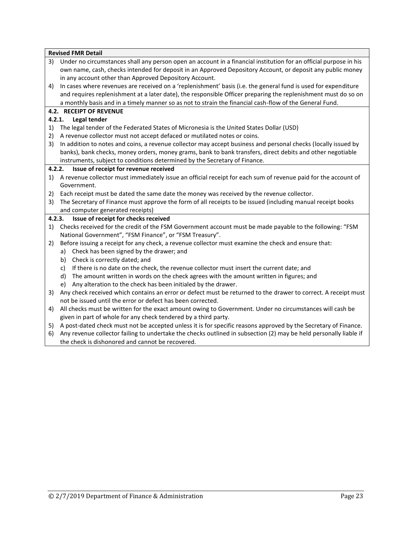|        | <b>Revised FMR Detail</b>                                                                                          |
|--------|--------------------------------------------------------------------------------------------------------------------|
| 3)     | Under no circumstances shall any person open an account in a financial institution for an official purpose in his  |
|        | own name, cash, checks intended for deposit in an Approved Depository Account, or deposit any public money         |
|        | in any account other than Approved Depository Account.                                                             |
| 4)     | In cases where revenues are received on a 'replenishment' basis (i.e. the general fund is used for expenditure     |
|        | and requires replenishment at a later date), the responsible Officer preparing the replenishment must do so on     |
|        | a monthly basis and in a timely manner so as not to strain the financial cash-flow of the General Fund.            |
|        | <b>4.2. RECEIPT OF REVENUE</b>                                                                                     |
|        | 4.2.1.<br>Legal tender                                                                                             |
| 1)     | The legal tender of the Federated States of Micronesia is the United States Dollar (USD)                           |
| 2)     | A revenue collector must not accept defaced or mutilated notes or coins.                                           |
| 3)     | In addition to notes and coins, a revenue collector may accept business and personal checks (locally issued by     |
|        | banks), bank checks, money orders, money grams, bank to bank transfers, direct debits and other negotiable         |
|        | instruments, subject to conditions determined by the Secretary of Finance.                                         |
| 4.2.2. | Issue of receipt for revenue received                                                                              |
|        | 1) A revenue collector must immediately issue an official receipt for each sum of revenue paid for the account of  |
|        | Government.                                                                                                        |
|        | 2) Each receipt must be dated the same date the money was received by the revenue collector.                       |
|        | 3) The Secretary of Finance must approve the form of all receipts to be issued (including manual receipt books     |
|        | and computer generated receipts)                                                                                   |
|        | 4.2.3.<br>Issue of receipt for checks received                                                                     |
| 1)     | Checks received for the credit of the FSM Government account must be made payable to the following: "FSM           |
|        | National Government", "FSM Finance", or "FSM Treasury".                                                            |
| 2)     | Before issuing a receipt for any check, a revenue collector must examine the check and ensure that:                |
|        | a) Check has been signed by the drawer; and                                                                        |
|        | Check is correctly dated; and<br>b)                                                                                |
|        | If there is no date on the check, the revenue collector must insert the current date; and<br>C)                    |
|        | The amount written in words on the check agrees with the amount written in figures; and<br>d)                      |
|        | Any alteration to the check has been initialed by the drawer.<br>e)                                                |
| 3)     | Any check received which contains an error or defect must be returned to the drawer to correct. A receipt must     |
|        | not be issued until the error or defect has been corrected.                                                        |
| 4)     | All checks must be written for the exact amount owing to Government. Under no circumstances will cash be           |
|        | given in part of whole for any check tendered by a third party.                                                    |
|        | 5) A post-dated check must not be accepted unless it is for specific reasons approved by the Secretary of Finance. |
| 6)     | Any revenue collector failing to undertake the checks outlined in subsection (2) may be held personally liable if  |
|        | the check is dishonored and cannot be recovered.                                                                   |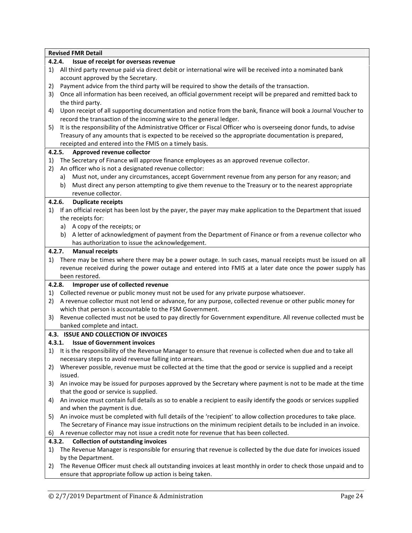|        | <b>Revised FMR Detail</b>                                                                                          |
|--------|--------------------------------------------------------------------------------------------------------------------|
| 4.2.4. | Issue of receipt for overseas revenue                                                                              |
| 1)     | All third party revenue paid via direct debit or international wire will be received into a nominated bank         |
|        | account approved by the Secretary.                                                                                 |
| 2)     | Payment advice from the third party will be required to show the details of the transaction.                       |
| 3)     | Once all information has been received, an official government receipt will be prepared and remitted back to       |
|        | the third party.                                                                                                   |
| 4)     | Upon receipt of all supporting documentation and notice from the bank, finance will book a Journal Voucher to      |
|        | record the transaction of the incoming wire to the general ledger.                                                 |
| 5)     | It is the responsibility of the Administrative Officer or Fiscal Officer who is overseeing donor funds, to advise  |
|        | Treasury of any amounts that is expected to be received so the appropriate documentation is prepared,              |
|        | receipted and entered into the FMIS on a timely basis.                                                             |
| 4.2.5. | Approved revenue collector                                                                                         |
| 1)     | The Secretary of Finance will approve finance employees as an approved revenue collector.                          |
| 2)     | An officer who is not a designated revenue collector:                                                              |
|        | Must not, under any circumstances, accept Government revenue from any person for any reason; and<br>a)             |
|        | Must direct any person attempting to give them revenue to the Treasury or to the nearest appropriate<br>b)         |
|        | revenue collector.                                                                                                 |
| 4.2.6. | <b>Duplicate receipts</b>                                                                                          |
| 1)     | If an official receipt has been lost by the payer, the payer may make application to the Department that issued    |
|        | the receipts for:                                                                                                  |
|        | A copy of the receipts; or<br>a)                                                                                   |
|        | A letter of acknowledgment of payment from the Department of Finance or from a revenue collector who<br>b)         |
|        | has authorization to issue the acknowledgement.                                                                    |
|        | <b>Manual receipts</b><br>4.2.7.                                                                                   |
| 1)     | There may be times where there may be a power outage. In such cases, manual receipts must be issued on all         |
|        | revenue received during the power outage and entered into FMIS at a later date once the power supply has           |
|        | been restored.                                                                                                     |
| 4.2.8. | Improper use of collected revenue                                                                                  |
| 1)     | Collected revenue or public money must not be used for any private purpose whatsoever.                             |
| 2)     | A revenue collector must not lend or advance, for any purpose, collected revenue or other public money for         |
|        | which that person is accountable to the FSM Government.                                                            |
| 3)     | Revenue collected must not be used to pay directly for Government expenditure. All revenue collected must be       |
|        | banked complete and intact.                                                                                        |
|        | 4.3. ISSUE AND COLLECTION OF INVOICES                                                                              |
|        | <b>Issue of Government invoices</b><br>4.3.1.                                                                      |
|        | 1) It is the responsibility of the Revenue Manager to ensure that revenue is collected when due and to take all    |
|        | necessary steps to avoid revenue falling into arrears.                                                             |
| 2)     | Wherever possible, revenue must be collected at the time that the good or service is supplied and a receipt        |
|        | issued.                                                                                                            |
| 3)     | An invoice may be issued for purposes approved by the Secretary where payment is not to be made at the time        |
|        | that the good or service is supplied.                                                                              |
| 4)     | An invoice must contain full details as so to enable a recipient to easily identify the goods or services supplied |
|        | and when the payment is due.                                                                                       |
| 5)     | An invoice must be completed with full details of the 'recipient' to allow collection procedures to take place.    |
|        | The Secretary of Finance may issue instructions on the minimum recipient details to be included in an invoice.     |
| 6)     | A revenue collector may not issue a credit note for revenue that has been collected.                               |
|        | <b>Collection of outstanding invoices</b><br>4.3.2.                                                                |
| 1)     | The Revenue Manager is responsible for ensuring that revenue is collected by the due date for invoices issued      |
|        | by the Department.                                                                                                 |
| 2)     | The Revenue Officer must check all outstanding invoices at least monthly in order to check those unpaid and to     |
|        | ensure that appropriate follow up action is being taken.                                                           |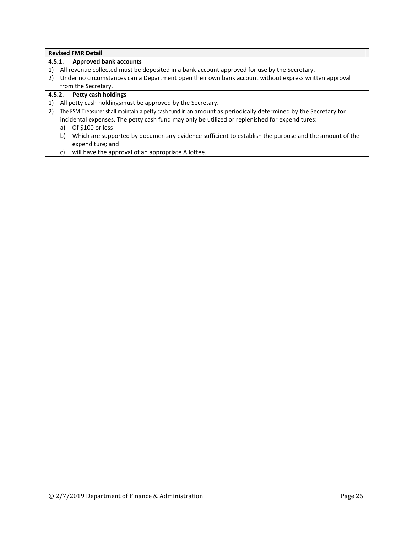|    | <b>Approved bank accounts</b><br>4.5.1.                                                                                         |
|----|---------------------------------------------------------------------------------------------------------------------------------|
| 1) | All revenue collected must be deposited in a bank account approved for use by the Secretary.                                    |
| 2) | Under no circumstances can a Department open their own bank account without express written approval                            |
|    | from the Secretary.                                                                                                             |
|    | 4.5.2. Petty cash holdings                                                                                                      |
| 1) | All petty cash holdingsmust be approved by the Secretary.                                                                       |
| 2) | The FSM Treasurer shall maintain a petty cash fund in an amount as periodically determined by the Secretary for                 |
|    | incidental expenses. The petty cash fund may only be utilized or replenished for expenditures:                                  |
|    | Of \$100 or less<br>a)                                                                                                          |
|    | Which are supported by documentary evidence sufficient to establish the purpose and the amount of the<br>b)<br>expenditure; and |
|    | will have the approval of an appropriate Allottee.<br>C)                                                                        |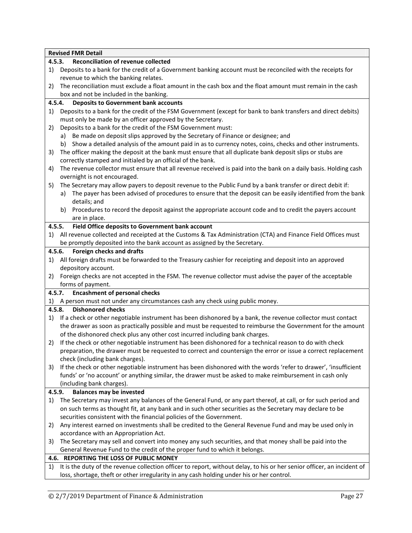|    | <b>Revised FMR Detail</b>                                                                                               |  |  |  |  |
|----|-------------------------------------------------------------------------------------------------------------------------|--|--|--|--|
|    | <b>Reconciliation of revenue collected</b><br>4.5.3.                                                                    |  |  |  |  |
| 1) | Deposits to a bank for the credit of a Government banking account must be reconciled with the receipts for              |  |  |  |  |
|    | revenue to which the banking relates.                                                                                   |  |  |  |  |
| 2) | The reconciliation must exclude a float amount in the cash box and the float amount must remain in the cash             |  |  |  |  |
|    | box and not be included in the banking.                                                                                 |  |  |  |  |
|    | <b>Deposits to Government bank accounts</b><br>4.5.4.                                                                   |  |  |  |  |
| 1) | Deposits to a bank for the credit of the FSM Government (except for bank to bank transfers and direct debits)           |  |  |  |  |
|    | must only be made by an officer approved by the Secretary.                                                              |  |  |  |  |
| 2) | Deposits to a bank for the credit of the FSM Government must:                                                           |  |  |  |  |
|    | a) Be made on deposit slips approved by the Secretary of Finance or designee; and                                       |  |  |  |  |
|    | b) Show a detailed analysis of the amount paid in as to currency notes, coins, checks and other instruments.            |  |  |  |  |
| 3) | The officer making the deposit at the bank must ensure that all duplicate bank deposit slips or stubs are               |  |  |  |  |
|    | correctly stamped and initialed by an official of the bank.                                                             |  |  |  |  |
| 4) | The revenue collector must ensure that all revenue received is paid into the bank on a daily basis. Holding cash        |  |  |  |  |
|    | overnight is not encouraged.                                                                                            |  |  |  |  |
| 5) | The Secretary may allow payers to deposit revenue to the Public Fund by a bank transfer or direct debit if:             |  |  |  |  |
|    | a) The payer has been advised of procedures to ensure that the deposit can be easily identified from the bank           |  |  |  |  |
|    | details; and                                                                                                            |  |  |  |  |
|    | b) Procedures to record the deposit against the appropriate account code and to credit the payers account               |  |  |  |  |
|    | are in place.                                                                                                           |  |  |  |  |
|    | Field Office deposits to Government bank account<br>4.5.5.                                                              |  |  |  |  |
| 1) | All revenue collected and receipted at the Customs & Tax Administration (CTA) and Finance Field Offices must            |  |  |  |  |
|    | be promptly deposited into the bank account as assigned by the Secretary.                                               |  |  |  |  |
|    | Foreign checks and drafts<br>4.5.6.                                                                                     |  |  |  |  |
| 1) | All foreign drafts must be forwarded to the Treasury cashier for receipting and deposit into an approved                |  |  |  |  |
|    | depository account.                                                                                                     |  |  |  |  |
| 2) | Foreign checks are not accepted in the FSM. The revenue collector must advise the payer of the acceptable               |  |  |  |  |
|    | forms of payment.                                                                                                       |  |  |  |  |
|    | <b>Encashment of personal checks</b><br>4.5.7.                                                                          |  |  |  |  |
|    | 1) A person must not under any circumstances cash any check using public money.                                         |  |  |  |  |
|    | <b>Dishonored checks</b><br>4.5.8.                                                                                      |  |  |  |  |
| 1) | If a check or other negotiable instrument has been dishonored by a bank, the revenue collector must contact             |  |  |  |  |
|    | the drawer as soon as practically possible and must be requested to reimburse the Government for the amount             |  |  |  |  |
|    | of the dishonored check plus any other cost incurred including bank charges.                                            |  |  |  |  |
|    | 2) If the check or other negotiable instrument has been dishonored for a technical reason to do with check              |  |  |  |  |
|    | preparation, the drawer must be requested to correct and countersign the error or issue a correct replacement           |  |  |  |  |
|    | check (including bank charges).                                                                                         |  |  |  |  |
| 3) | If the check or other negotiable instrument has been dishonored with the words 'refer to drawer', 'insufficient         |  |  |  |  |
|    | funds' or 'no account' or anything similar, the drawer must be asked to make reimbursement in cash only                 |  |  |  |  |
|    | (including bank charges).                                                                                               |  |  |  |  |
|    | 4.5.9.<br><b>Balances may be invested</b>                                                                               |  |  |  |  |
| 1) | The Secretary may invest any balances of the General Fund, or any part thereof, at call, or for such period and         |  |  |  |  |
|    | on such terms as thought fit, at any bank and in such other securities as the Secretary may declare to be               |  |  |  |  |
|    | securities consistent with the financial policies of the Government.                                                    |  |  |  |  |
| 2) | Any interest earned on investments shall be credited to the General Revenue Fund and may be used only in                |  |  |  |  |
|    | accordance with an Appropriation Act.                                                                                   |  |  |  |  |
| 3) | The Secretary may sell and convert into money any such securities, and that money shall be paid into the                |  |  |  |  |
|    | General Revenue Fund to the credit of the proper fund to which it belongs.                                              |  |  |  |  |
|    | 4.6. REPORTING THE LOSS OF PUBLIC MONEY                                                                                 |  |  |  |  |
| 1) | It is the duty of the revenue collection officer to report, without delay, to his or her senior officer, an incident of |  |  |  |  |
|    | loss, shortage, theft or other irregularity in any cash holding under his or her control.                               |  |  |  |  |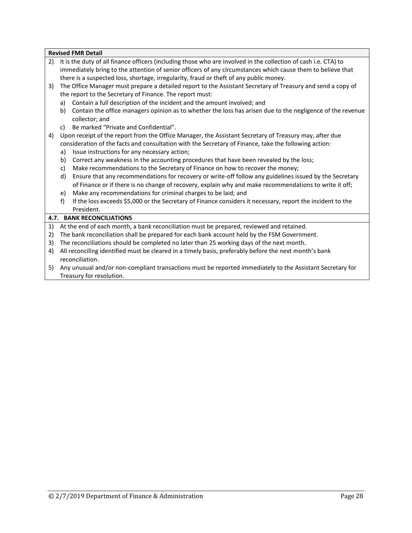- 2) It is the duty of all finance officers (including those who are involved in the collection of cash i.e. CTA) to immediately bring to the attention of senior officers of any circumstances which cause them to believe that there is a suspected loss, shortage, irregularity, fraud or theft of any public money.
- 3) The Office Manager must prepare a detailed report to the Assistant Secretary of Treasury and send a copy of the report to the Secretary of Finance. The report must:
	- a) Contain a full description of the incident and the amount involved; and
	- b) Contain the office managers opinion as to whether the loss has arisen due to the negligence of the revenue collector; and
	- c) Be marked "Private and Confidential".
- 4) Upon receipt of the report from the Office Manager, the Assistant Secretary of Treasury may, after due consideration of the facts and consultation with the Secretary of Finance, take the following action:
	- a) Issue instructions for any necessary action;
	- b) Correct any weakness in the accounting procedures that have been revealed by the loss;
	- c) Make recommendations to the Secretary of Finance on how to recover the money;
	- d) Ensure that any recommendations for recovery or write-off follow any guidelines issued by the Secretary of Finance or if there is no change of recovery, explain why and make recommendations to write it off;
	- e) Make any recommendations for criminal charges to be laid; and
	- f) If the loss exceeds \$5,000 or the Secretary of Finance considers it necessary, report the incident to the President.

#### **4.7. BANK RECONCILIATIONS**

- 1) At the end of each month, a bank reconciliation must be prepared, reviewed and retained.
- 2) The bank reconciliation shall be prepared for each bank account held by the FSM Government.
- 3) The reconciliations should be completed no later than 25 working days of the next month.
- 4) All reconciling identified must be cleared in a timely basis, preferably before the next month's bank reconciliation.
- 5) Any unusual and/or non-compliant transactions must be reported immediately to the Assistant Secretary for Treasury for resolution.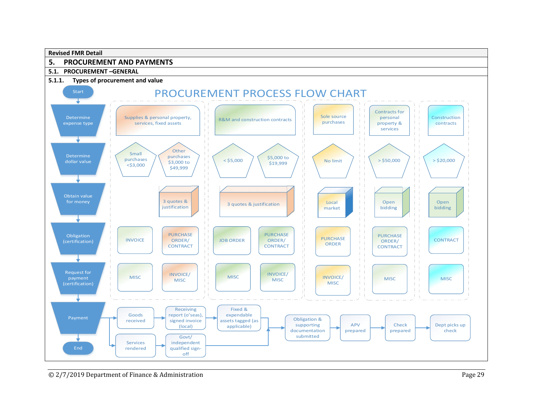

# **5. PROCUREMENT AND PAYMENTS**

#### **5.1. PROCUREMENT –GENERAL**

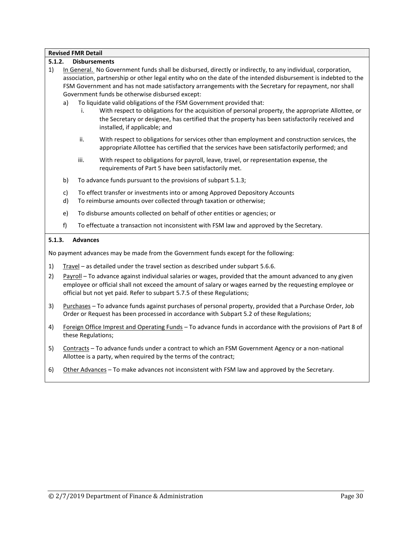#### **5.1.2. Disbursements**

- 1) In General. No Government funds shall be disbursed, directly or indirectly, to any individual, corporation, association, partnership or other legal entity who on the date of the intended disbursement is indebted to the FSM Government and has not made satisfactory arrangements with the Secretary for repayment, nor shall Government funds be otherwise disbursed except:
	- a) To liquidate valid obligations of the FSM Government provided that:
		- i. With respect to obligations for the acquisition of personal property, the appropriate Allottee, or the Secretary or designee, has certified that the property has been satisfactorily received and installed, if applicable; and
		- ii. With respect to obligations for services other than employment and construction services, the appropriate Allottee has certified that the services have been satisfactorily performed; and
		- iii. With respect to obligations for payroll, leave, travel, or representation expense, the requirements of Part 5 have been satisfactorily met.
	- b) To advance funds pursuant to the provisions of subpart 5.1.3;
	- c) To effect transfer or investments into or among Approved Depository Accounts
	- d) To reimburse amounts over collected through taxation or otherwise;
	- e) To disburse amounts collected on behalf of other entities or agencies; or
	- f) To effectuate a transaction not inconsistent with FSM law and approved by the Secretary.

#### **5.1.3. Advances**

No payment advances may be made from the Government funds except for the following:

- 1) Travel as detailed under the travel section as described under subpart 5.6.6.
- 2) Payroll To advance against individual salaries or wages, provided that the amount advanced to any given employee or official shall not exceed the amount of salary or wages earned by the requesting employee or official but not yet paid. Refer to subpart 5.7.5 of these Regulations;
- 3) Purchases To advance funds against purchases of personal property, provided that a Purchase Order, Job Order or Request has been processed in accordance with Subpart 5.2 of these Regulations;
- 4) Foreign Office Imprest and Operating Funds To advance funds in accordance with the provisions of Part 8 of these Regulations;
- 5) Contracts To advance funds under a contract to which an FSM Government Agency or a non-national Allottee is a party, when required by the terms of the contract;
- 6) Other Advances To make advances not inconsistent with FSM law and approved by the Secretary.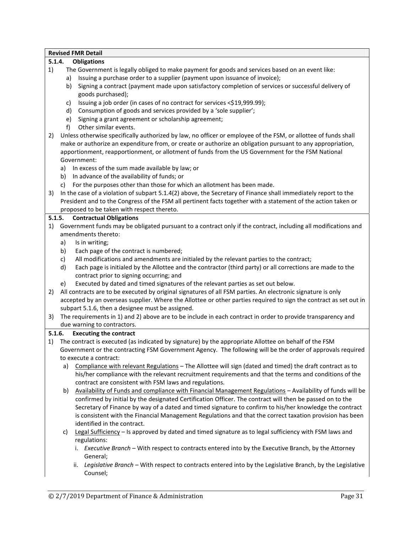| <b>Revised FMR Detail</b> |        |                                                                                                                   |  |  |  |  |  |  |
|---------------------------|--------|-------------------------------------------------------------------------------------------------------------------|--|--|--|--|--|--|
| 5.1.4.                    |        | <b>Obligations</b>                                                                                                |  |  |  |  |  |  |
| 1)                        |        | The Government is legally obliged to make payment for goods and services based on an event like:                  |  |  |  |  |  |  |
|                           | a)     | Issuing a purchase order to a supplier (payment upon issuance of invoice);                                        |  |  |  |  |  |  |
|                           | b)     | Signing a contract (payment made upon satisfactory completion of services or successful delivery of               |  |  |  |  |  |  |
|                           |        | goods purchased);                                                                                                 |  |  |  |  |  |  |
|                           | C)     | Issuing a job order (in cases of no contract for services <\$19,999.99);                                          |  |  |  |  |  |  |
|                           | d)     | Consumption of goods and services provided by a 'sole supplier';                                                  |  |  |  |  |  |  |
|                           | e)     | Signing a grant agreement or scholarship agreement;                                                               |  |  |  |  |  |  |
|                           | f)     | Other similar events.                                                                                             |  |  |  |  |  |  |
| 2)                        |        | Unless otherwise specifically authorized by law, no officer or employee of the FSM, or allottee of funds shall    |  |  |  |  |  |  |
|                           |        | make or authorize an expenditure from, or create or authorize an obligation pursuant to any appropriation,        |  |  |  |  |  |  |
|                           |        | apportionment, reapportionment, or allotment of funds from the US Government for the FSM National                 |  |  |  |  |  |  |
|                           |        | Government:                                                                                                       |  |  |  |  |  |  |
|                           | a)     | In excess of the sum made available by law; or                                                                    |  |  |  |  |  |  |
|                           |        | b) In advance of the availability of funds; or                                                                    |  |  |  |  |  |  |
|                           | C)     | For the purposes other than those for which an allotment has been made.                                           |  |  |  |  |  |  |
| 3)                        |        | In the case of a violation of subpart 5.1.4(2) above, the Secretary of Finance shall immediately report to the    |  |  |  |  |  |  |
|                           |        | President and to the Congress of the FSM all pertinent facts together with a statement of the action taken or     |  |  |  |  |  |  |
|                           |        | proposed to be taken with respect thereto.                                                                        |  |  |  |  |  |  |
| 5.1.5.                    |        | <b>Contractual Obligations</b>                                                                                    |  |  |  |  |  |  |
| 1)                        |        | Government funds may be obligated pursuant to a contract only if the contract, including all modifications and    |  |  |  |  |  |  |
|                           |        | amendments thereto:                                                                                               |  |  |  |  |  |  |
|                           | a)     | Is in writing;                                                                                                    |  |  |  |  |  |  |
|                           | b)     | Each page of the contract is numbered;                                                                            |  |  |  |  |  |  |
|                           | c)     | All modifications and amendments are initialed by the relevant parties to the contract;                           |  |  |  |  |  |  |
|                           | d)     | Each page is initialed by the Allottee and the contractor (third party) or all corrections are made to the        |  |  |  |  |  |  |
|                           |        | contract prior to signing occurring; and                                                                          |  |  |  |  |  |  |
|                           | e)     | Executed by dated and timed signatures of the relevant parties as set out below.                                  |  |  |  |  |  |  |
| 2)                        |        | All contracts are to be executed by original signatures of all FSM parties. An electronic signature is only       |  |  |  |  |  |  |
|                           |        | accepted by an overseas supplier. Where the Allottee or other parties required to sign the contract as set out in |  |  |  |  |  |  |
|                           |        | subpart 5.1.6, then a designee must be assigned.                                                                  |  |  |  |  |  |  |
| 3)                        |        | The requirements in 1) and 2) above are to be include in each contract in order to provide transparency and       |  |  |  |  |  |  |
|                           |        | due warning to contractors.                                                                                       |  |  |  |  |  |  |
|                           | 5.1.6. | <b>Executing the contract</b>                                                                                     |  |  |  |  |  |  |
|                           |        | 1) The contract is executed (as indicated by signature) by the appropriate Allottee on behalf of the FSM          |  |  |  |  |  |  |
|                           |        | Government or the contracting FSM Government Agency. The following will be the order of approvals required        |  |  |  |  |  |  |
|                           |        | to execute a contract:                                                                                            |  |  |  |  |  |  |
|                           |        | a) Compliance with relevant Regulations - The Allottee will sign (dated and timed) the draft contract as to       |  |  |  |  |  |  |
|                           |        | his/her compliance with the relevant recruitment requirements and that the terms and conditions of the            |  |  |  |  |  |  |
|                           |        | contract are consistent with FSM laws and regulations.                                                            |  |  |  |  |  |  |
|                           | b)     | Availability of Funds and compliance with Financial Management Regulations - Availability of funds will be        |  |  |  |  |  |  |
|                           |        | confirmed by initial by the designated Certification Officer. The contract will then be passed on to the          |  |  |  |  |  |  |
|                           |        | Secretary of Finance by way of a dated and timed signature to confirm to his/her knowledge the contract           |  |  |  |  |  |  |
|                           |        | is consistent with the Financial Management Regulations and that the correct taxation provision has been          |  |  |  |  |  |  |
|                           |        | identified in the contract.                                                                                       |  |  |  |  |  |  |
|                           | C)     | Legal Sufficiency - Is approved by dated and timed signature as to legal sufficiency with FSM laws and            |  |  |  |  |  |  |
|                           |        | regulations:                                                                                                      |  |  |  |  |  |  |
|                           |        | i. Executive Branch - With respect to contracts entered into by the Executive Branch, by the Attorney             |  |  |  |  |  |  |
|                           |        | General;                                                                                                          |  |  |  |  |  |  |
|                           |        | Legislative Branch - With respect to contracts entered into by the Legislative Branch, by the Legislative<br>ii.  |  |  |  |  |  |  |
|                           |        | Counsel;                                                                                                          |  |  |  |  |  |  |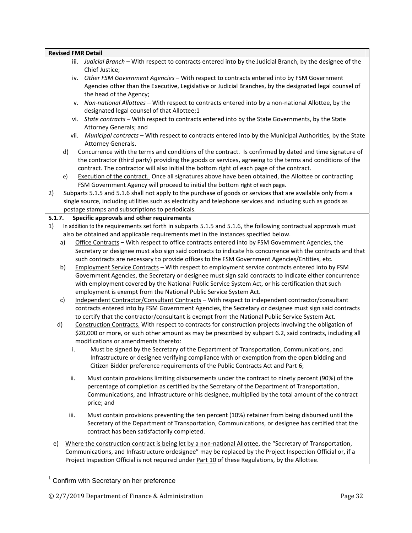| <b>Revised FMR Detail</b> |      |                                                                                                                                                                                                                                                                                                                                                                                                                                                                                                                                                                                                                                                                                                                                                                                                                                                           |
|---------------------------|------|-----------------------------------------------------------------------------------------------------------------------------------------------------------------------------------------------------------------------------------------------------------------------------------------------------------------------------------------------------------------------------------------------------------------------------------------------------------------------------------------------------------------------------------------------------------------------------------------------------------------------------------------------------------------------------------------------------------------------------------------------------------------------------------------------------------------------------------------------------------|
|                           |      | iii. Judicial Branch - With respect to contracts entered into by the Judicial Branch, by the designee of the<br>Chief Justice;                                                                                                                                                                                                                                                                                                                                                                                                                                                                                                                                                                                                                                                                                                                            |
|                           | iv.  | Other FSM Government Agencies - With respect to contracts entered into by FSM Government<br>Agencies other than the Executive, Legislative or Judicial Branches, by the designated legal counsel of<br>the head of the Agency;                                                                                                                                                                                                                                                                                                                                                                                                                                                                                                                                                                                                                            |
|                           | ۷.   | Non-national Allottees - With respect to contracts entered into by a non-national Allottee, by the<br>designated legal counsel of that Allottee;1                                                                                                                                                                                                                                                                                                                                                                                                                                                                                                                                                                                                                                                                                                         |
|                           | vi.  | State contracts - With respect to contracts entered into by the State Governments, by the State<br>Attorney Generals; and                                                                                                                                                                                                                                                                                                                                                                                                                                                                                                                                                                                                                                                                                                                                 |
|                           | vii. | Municipal contracts - With respect to contracts entered into by the Municipal Authorities, by the State<br>Attorney Generals.                                                                                                                                                                                                                                                                                                                                                                                                                                                                                                                                                                                                                                                                                                                             |
| d)<br>e)                  |      | Concurrence with the terms and conditions of the contract. Is confirmed by dated and time signature of<br>the contractor (third party) providing the goods or services, agreeing to the terms and conditions of the<br>contract. The contractor will also initial the bottom right of each page of the contract.<br>Execution of the contract. Once all signatures above have been obtained, the Allottee or contracting<br>FSM Government Agency will proceed to initial the bottom right of each page.                                                                                                                                                                                                                                                                                                                                                  |
| 2)                        |      | Subparts 5.1.5 and 5.1.6 shall not apply to the purchase of goods or services that are available only from a<br>single source, including utilities such as electricity and telephone services and including such as goods as<br>postage stamps and subscriptions to periodicals.                                                                                                                                                                                                                                                                                                                                                                                                                                                                                                                                                                          |
| 5.1.7.                    |      | Specific approvals and other requirements                                                                                                                                                                                                                                                                                                                                                                                                                                                                                                                                                                                                                                                                                                                                                                                                                 |
| 1)<br>a)                  |      | In addition to the requirements set forth in subparts 5.1.5 and 5.1.6, the following contractual approvals must<br>also be obtained and applicable requirements met in the instances specified below.<br>Office Contracts - With respect to office contracts entered into by FSM Government Agencies, the                                                                                                                                                                                                                                                                                                                                                                                                                                                                                                                                                 |
|                           |      | Secretary or designee must also sign said contracts to indicate his concurrence with the contracts and that<br>such contracts are necessary to provide offices to the FSM Government Agencies/Entities, etc.                                                                                                                                                                                                                                                                                                                                                                                                                                                                                                                                                                                                                                              |
| b)                        |      | Employment Service Contracts - With respect to employment service contracts entered into by FSM<br>Government Agencies, the Secretary or designee must sign said contracts to indicate either concurrence<br>with employment covered by the National Public Service System Act, or his certification that such<br>employment is exempt from the National Public Service System Act.                                                                                                                                                                                                                                                                                                                                                                                                                                                                       |
| c)<br>d)                  |      | Independent Contractor/Consultant Contracts - With respect to independent contractor/consultant<br>contracts entered into by FSM Government Agencies, the Secretary or designee must sign said contracts<br>to certify that the contractor/consultant is exempt from the National Public Service System Act.<br>Construction Contracts. With respect to contracts for construction projects involving the obligation of<br>\$20,000 or more, or such other amount as may be prescribed by subpart 6.2, said contracts, including all<br>modifications or amendments thereto:<br>Must be signed by the Secretary of the Department of Transportation, Communications, and<br>Infrastructure or designee verifying compliance with or exemption from the open bidding and<br>Citizen Bidder preference requirements of the Public Contracts Act and Part 6; |
|                           | ii.  | Must contain provisions limiting disbursements under the contract to ninety percent (90%) of the<br>percentage of completion as certified by the Secretary of the Department of Transportation,<br>Communications, and Infrastructure or his designee, multiplied by the total amount of the contract<br>price; and                                                                                                                                                                                                                                                                                                                                                                                                                                                                                                                                       |
|                           | iii. | Must contain provisions preventing the ten percent (10%) retainer from being disbursed until the<br>Secretary of the Department of Transportation, Communications, or designee has certified that the<br>contract has been satisfactorily completed.                                                                                                                                                                                                                                                                                                                                                                                                                                                                                                                                                                                                      |
| e)                        |      | Where the construction contract is being let by a non-national Allottee, the "Secretary of Transportation,<br>Communications, and Infrastructure ordesignee" may be replaced by the Project Inspection Official or, if a<br>Project Inspection Official is not required under Part 10 of these Regulations, by the Allottee.                                                                                                                                                                                                                                                                                                                                                                                                                                                                                                                              |

<sup>1</sup> Confirm with Secretary on her preference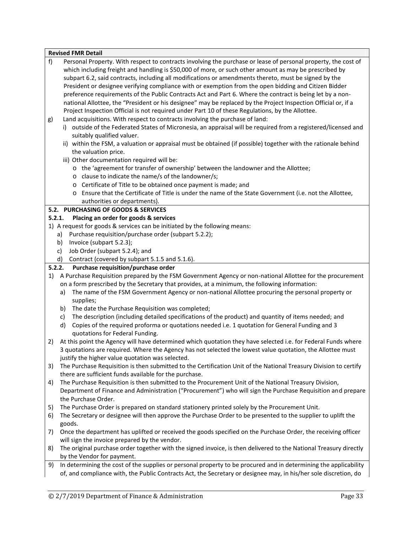| Personal Property. With respect to contracts involving the purchase or lease of personal property, the cost of                                                                                                                                                                                                                                                                                                                                                                                                                                                                                                                                                                                                                                                                                                                                                                                                                                                                                                                                                                                                                                                                                                                                                                                       |
|------------------------------------------------------------------------------------------------------------------------------------------------------------------------------------------------------------------------------------------------------------------------------------------------------------------------------------------------------------------------------------------------------------------------------------------------------------------------------------------------------------------------------------------------------------------------------------------------------------------------------------------------------------------------------------------------------------------------------------------------------------------------------------------------------------------------------------------------------------------------------------------------------------------------------------------------------------------------------------------------------------------------------------------------------------------------------------------------------------------------------------------------------------------------------------------------------------------------------------------------------------------------------------------------------|
| which including freight and handling is \$50,000 of more, or such other amount as may be prescribed by<br>subpart 6.2, said contracts, including all modifications or amendments thereto, must be signed by the<br>President or designee verifying compliance with or exemption from the open bidding and Citizen Bidder<br>preference requirements of the Public Contracts Act and Part 6. Where the contract is being let by a non-<br>national Allottee, the "President or his designee" may be replaced by the Project Inspection Official or, if a<br>Project Inspection Official is not required under Part 10 of these Regulations, by the Allottee.<br>Land acquisitions. With respect to contracts involving the purchase of land:<br>i) outside of the Federated States of Micronesia, an appraisal will be required from a registered/licensed and<br>suitably qualified valuer.<br>ii) within the FSM, a valuation or appraisal must be obtained (if possible) together with the rationale behind<br>the valuation price.<br>iii) Other documentation required will be:<br>o the 'agreement for transfer of ownership' between the landowner and the Allottee;<br>o clause to indicate the name/s of the landowner/s;<br>o Certificate of Title to be obtained once payment is made; and |
| o Ensure that the Certificate of Title is under the name of the State Government (i.e. not the Allottee,                                                                                                                                                                                                                                                                                                                                                                                                                                                                                                                                                                                                                                                                                                                                                                                                                                                                                                                                                                                                                                                                                                                                                                                             |
| authorities or departments).<br>5.2. PURCHASING OF GOODS & SERVICES                                                                                                                                                                                                                                                                                                                                                                                                                                                                                                                                                                                                                                                                                                                                                                                                                                                                                                                                                                                                                                                                                                                                                                                                                                  |
| Placing an order for goods & services<br>5.2.1.                                                                                                                                                                                                                                                                                                                                                                                                                                                                                                                                                                                                                                                                                                                                                                                                                                                                                                                                                                                                                                                                                                                                                                                                                                                      |
| 1) A request for goods & services can be initiated by the following means:                                                                                                                                                                                                                                                                                                                                                                                                                                                                                                                                                                                                                                                                                                                                                                                                                                                                                                                                                                                                                                                                                                                                                                                                                           |
| a) Purchase requisition/purchase order (subpart 5.2.2);                                                                                                                                                                                                                                                                                                                                                                                                                                                                                                                                                                                                                                                                                                                                                                                                                                                                                                                                                                                                                                                                                                                                                                                                                                              |
| Invoice (subpart 5.2.3);<br>b)                                                                                                                                                                                                                                                                                                                                                                                                                                                                                                                                                                                                                                                                                                                                                                                                                                                                                                                                                                                                                                                                                                                                                                                                                                                                       |
| Job Order (subpart 5.2.4); and<br>c)                                                                                                                                                                                                                                                                                                                                                                                                                                                                                                                                                                                                                                                                                                                                                                                                                                                                                                                                                                                                                                                                                                                                                                                                                                                                 |
| Contract (covered by subpart 5.1.5 and 5.1.6).<br>d)                                                                                                                                                                                                                                                                                                                                                                                                                                                                                                                                                                                                                                                                                                                                                                                                                                                                                                                                                                                                                                                                                                                                                                                                                                                 |
| Purchase requisition/purchase order<br>5.2.2.                                                                                                                                                                                                                                                                                                                                                                                                                                                                                                                                                                                                                                                                                                                                                                                                                                                                                                                                                                                                                                                                                                                                                                                                                                                        |
| A Purchase Requisition prepared by the FSM Government Agency or non-national Allottee for the procurement                                                                                                                                                                                                                                                                                                                                                                                                                                                                                                                                                                                                                                                                                                                                                                                                                                                                                                                                                                                                                                                                                                                                                                                            |
| on a form prescribed by the Secretary that provides, at a minimum, the following information:                                                                                                                                                                                                                                                                                                                                                                                                                                                                                                                                                                                                                                                                                                                                                                                                                                                                                                                                                                                                                                                                                                                                                                                                        |
| The name of the FSM Government Agency or non-national Allottee procuring the personal property or<br>a)<br>supplies;                                                                                                                                                                                                                                                                                                                                                                                                                                                                                                                                                                                                                                                                                                                                                                                                                                                                                                                                                                                                                                                                                                                                                                                 |
| The date the Purchase Requisition was completed;<br>b)                                                                                                                                                                                                                                                                                                                                                                                                                                                                                                                                                                                                                                                                                                                                                                                                                                                                                                                                                                                                                                                                                                                                                                                                                                               |
| The description (including detailed specifications of the product) and quantity of items needed; and<br>C)<br>Copies of the required proforma or quotations needed i.e. 1 quotation for General Funding and 3                                                                                                                                                                                                                                                                                                                                                                                                                                                                                                                                                                                                                                                                                                                                                                                                                                                                                                                                                                                                                                                                                        |
| d)<br>quotations for Federal Funding.                                                                                                                                                                                                                                                                                                                                                                                                                                                                                                                                                                                                                                                                                                                                                                                                                                                                                                                                                                                                                                                                                                                                                                                                                                                                |
| At this point the Agency will have determined which quotation they have selected i.e. for Federal Funds where<br>3 quotations are required. Where the Agency has not selected the lowest value quotation, the Allottee must<br>justify the higher value quotation was selected.                                                                                                                                                                                                                                                                                                                                                                                                                                                                                                                                                                                                                                                                                                                                                                                                                                                                                                                                                                                                                      |
| The Purchase Requisition is then submitted to the Certification Unit of the National Treasury Division to certify<br>there are sufficient funds available for the purchase.                                                                                                                                                                                                                                                                                                                                                                                                                                                                                                                                                                                                                                                                                                                                                                                                                                                                                                                                                                                                                                                                                                                          |
| The Purchase Requisition is then submitted to the Procurement Unit of the National Treasury Division,<br>Department of Finance and Administration ("Procurement") who will sign the Purchase Requisition and prepare<br>the Purchase Order.                                                                                                                                                                                                                                                                                                                                                                                                                                                                                                                                                                                                                                                                                                                                                                                                                                                                                                                                                                                                                                                          |
| The Purchase Order is prepared on standard stationery printed solely by the Procurement Unit.                                                                                                                                                                                                                                                                                                                                                                                                                                                                                                                                                                                                                                                                                                                                                                                                                                                                                                                                                                                                                                                                                                                                                                                                        |
| The Secretary or designee will then approve the Purchase Order to be presented to the supplier to uplift the<br>goods.                                                                                                                                                                                                                                                                                                                                                                                                                                                                                                                                                                                                                                                                                                                                                                                                                                                                                                                                                                                                                                                                                                                                                                               |
| Once the department has uplifted or received the goods specified on the Purchase Order, the receiving officer<br>will sign the invoice prepared by the vendor.                                                                                                                                                                                                                                                                                                                                                                                                                                                                                                                                                                                                                                                                                                                                                                                                                                                                                                                                                                                                                                                                                                                                       |
| The original purchase order together with the signed invoice, is then delivered to the National Treasury directly<br>by the Vendor for payment.                                                                                                                                                                                                                                                                                                                                                                                                                                                                                                                                                                                                                                                                                                                                                                                                                                                                                                                                                                                                                                                                                                                                                      |
|                                                                                                                                                                                                                                                                                                                                                                                                                                                                                                                                                                                                                                                                                                                                                                                                                                                                                                                                                                                                                                                                                                                                                                                                                                                                                                      |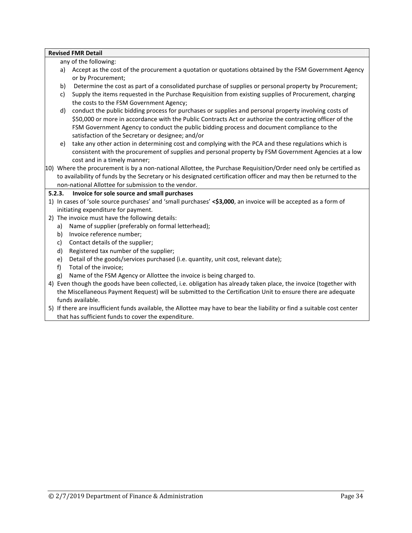any of the following:

- a) Accept as the cost of the procurement a quotation or quotations obtained by the FSM Government Agency or by Procurement;
- b) Determine the cost as part of a consolidated purchase of supplies or personal property by Procurement;
- c) Supply the items requested in the Purchase Requisition from existing supplies of Procurement, charging the costs to the FSM Government Agency;
- d) conduct the public bidding process for purchases or supplies and personal property involving costs of \$50,000 or more in accordance with the Public Contracts Act or authorize the contracting officer of the FSM Government Agency to conduct the public bidding process and document compliance to the satisfaction of the Secretary or designee; and/or
- e) take any other action in determining cost and complying with the PCA and these regulations which is consistent with the procurement of supplies and personal property by FSM Government Agencies at a low cost and in a timely manner;
- 10) Where the procurement is by a non-national Allottee, the Purchase Requisition/Order need only be certified as to availability of funds by the Secretary or his designated certification officer and may then be returned to the non-national Allottee for submission to the vendor.

# **5.2.3. Invoice for sole source and small purchases**

- 1) In cases of 'sole source purchases' and 'small purchases' **<\$3,000**, an invoice will be accepted as a form of initiating expenditure for payment.
- 2) The invoice must have the following details:
	- a) Name of supplier (preferably on formal letterhead);
	- b) Invoice reference number;
	- c) Contact details of the supplier;
	- d) Registered tax number of the supplier;
	- e) Detail of the goods/services purchased (i.e. quantity, unit cost, relevant date);
	- f) Total of the invoice;
	- g) Name of the FSM Agency or Allottee the invoice is being charged to.
- 4) Even though the goods have been collected, i.e. obligation has already taken place, the invoice (together with the Miscellaneous Payment Request) will be submitted to the Certification Unit to ensure there are adequate funds available.
- 5) If there are insufficient funds available, the Allottee may have to bear the liability or find a suitable cost center that has sufficient funds to cover the expenditure.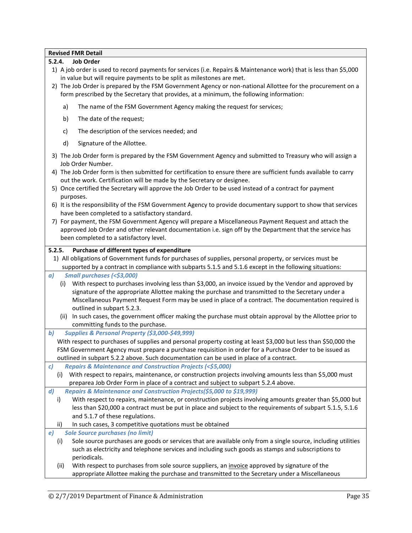# **5.2.4. Job Order**

- 1) A job order is used to record payments for services (i.e. Repairs & Maintenance work) that is less than \$5,000 in value but will require payments to be split as milestones are met.
- 2) The Job Order is prepared by the FSM Government Agency or non-national Allottee for the procurement on a form prescribed by the Secretary that provides, at a minimum, the following information:
	- a) The name of the FSM Government Agency making the request for services;
	- b) The date of the request;
	- c) The description of the services needed; and
	- d) Signature of the Allottee.
- 3) The Job Order form is prepared by the FSM Government Agency and submitted to Treasury who will assign a Job Order Number.
- 4) The Job Order form is then submitted for certification to ensure there are sufficient funds available to carry out the work. Certification will be made by the Secretary or designee.
- 5) Once certified the Secretary will approve the Job Order to be used instead of a contract for payment purposes.
- 6) It is the responsibility of the FSM Government Agency to provide documentary support to show that services have been completed to a satisfactory standard.
- 7) For payment, the FSM Government Agency will prepare a Miscellaneous Payment Request and attach the approved Job Order and other relevant documentation i.e. sign off by the Department that the service has been completed to a satisfactory level.

#### **5.2.5. Purchase of different types of expenditure**

1) All obligations of Government funds for purchases of supplies, personal property, or services must be supported by a contract in compliance with subparts 5.1.5 and 5.1.6 except in the following situations:

# *a) Small purchases (<\$3,000)*

- (i) With respect to purchases involving less than \$3,000, an invoice issued by the Vendor and approved by signature of the appropriate Allottee making the purchase and transmitted to the Secretary under a Miscellaneous Payment Request Form may be used in place of a contract. The documentation required is outlined in subpart 5.2.3.
- (ii) In such cases, the government officer making the purchase must obtain approval by the Allottee prior to committing funds to the purchase.
- *b) Supplies & Personal Property (\$3,000-\$49,999)*
	- With respect to purchases of supplies and personal property costing at least \$3,000 but less than \$50,000 the FSM Government Agency must prepare a purchase requisition in order for a Purchase Order to be issued as outlined in subpart 5.2.2 above. Such documentation can be used in place of a contract.
- *c) Repairs & Maintenance and Construction Projects (<\$5,000)*
	- (i) With respect to repairs, maintenance, or construction projects involving amounts less than \$5,000 must preparea Job Order Form in place of a contract and subject to subpart 5.2.4 above.
- *d) Repairs & Maintenance and Construction Projects(\$5,000 to \$19,999)*
- i) With respect to repairs, maintenance, or construction projects involving amounts greater than \$5,000 but less than \$20,000 a contract must be put in place and subject to the requirements of subpart 5.1.5, 5.1.6 and 5.1.7 of these regulations.
- In such cases, 3 competitive quotations must be obtained
- *e) Sole Source purchases (no limit)*
	- (i) Sole source purchases are goods or services that are available only from a single source, including utilities such as electricity and telephone services and including such goods as stamps and subscriptions to periodicals.
	- (ii) With respect to purchases from sole source suppliers, an *invoice* approved by signature of the appropriate Allottee making the purchase and transmitted to the Secretary under a Miscellaneous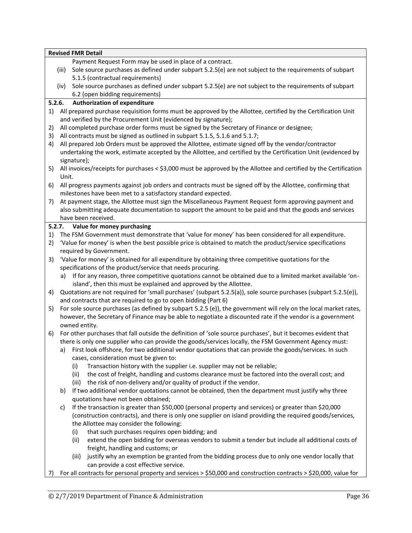|          |        | <b>Revised FMR Detail</b>                                                                                                                                                                                          |  |  |  |  |  |
|----------|--------|--------------------------------------------------------------------------------------------------------------------------------------------------------------------------------------------------------------------|--|--|--|--|--|
|          |        | Payment Request Form may be used in place of a contract.                                                                                                                                                           |  |  |  |  |  |
|          | (iii)  | Sole source purchases as defined under subpart 5.2.5(e) are not subject to the requirements of subpart                                                                                                             |  |  |  |  |  |
|          |        | 5.1.5 (contractual requirements)                                                                                                                                                                                   |  |  |  |  |  |
|          | (iv)   | Sole source purchases as defined under subpart 5.2.5(e) are not subject to the requirements of subpart                                                                                                             |  |  |  |  |  |
|          |        | 6.2 (open bidding requirements)                                                                                                                                                                                    |  |  |  |  |  |
|          | 5.2.6. | <b>Authorization of expenditure</b>                                                                                                                                                                                |  |  |  |  |  |
| 1)       |        | All prepared purchase requisition forms must be approved by the Allottee, certified by the Certification Unit                                                                                                      |  |  |  |  |  |
|          |        | and verified by the Procurement Unit (evidenced by signature);<br>All completed purchase order forms must be signed by the Secretary of Finance or designee;                                                       |  |  |  |  |  |
| 2)<br>3) |        | All contracts must be signed as outlined in subpart 5.1.5, 5.1.6 and 5.1.7;                                                                                                                                        |  |  |  |  |  |
| 4)       |        | All prepared Job Orders must be approved the Allottee, estimate signed off by the vendor/contractor                                                                                                                |  |  |  |  |  |
|          |        | undertaking the work, estimate accepted by the Allottee, and certified by the Certification Unit (evidenced by                                                                                                     |  |  |  |  |  |
|          |        | signature);                                                                                                                                                                                                        |  |  |  |  |  |
| 5)       |        | All invoices/receipts for purchases < \$3,000 must be approved by the Allottee and certified by the Certification                                                                                                  |  |  |  |  |  |
|          | Unit.  |                                                                                                                                                                                                                    |  |  |  |  |  |
| 6)       |        | All progress payments against job orders and contracts must be signed off by the Allottee, confirming that                                                                                                         |  |  |  |  |  |
|          |        | milestones have been met to a satisfactory standard expected.                                                                                                                                                      |  |  |  |  |  |
| 7)       |        | At payment stage, the Allottee must sign the Miscellaneous Payment Request form approving payment and                                                                                                              |  |  |  |  |  |
|          |        | also submitting adequate documentation to support the amount to be paid and that the goods and services                                                                                                            |  |  |  |  |  |
|          |        | have been received.                                                                                                                                                                                                |  |  |  |  |  |
|          |        | 5.2.7. Value for money purchasing                                                                                                                                                                                  |  |  |  |  |  |
| 1)       |        | The FSM Government must demonstrate that 'value for money' has been considered for all expenditure.                                                                                                                |  |  |  |  |  |
| 2)       |        | 'Value for money' is when the best possible price is obtained to match the product/service specifications                                                                                                          |  |  |  |  |  |
|          |        | required by Government.                                                                                                                                                                                            |  |  |  |  |  |
| 3)       |        | 'Value for money' is obtained for all expenditure by obtaining three competitive quotations for the                                                                                                                |  |  |  |  |  |
|          |        | specifications of the product/service that needs procuring.                                                                                                                                                        |  |  |  |  |  |
|          |        | a) If for any reason, three competitive quotations cannot be obtained due to a limited market available 'on-                                                                                                       |  |  |  |  |  |
|          |        | island', then this must be explained and approved by the Allottee.<br>Quotations are not required for 'small purchases' (subpart 5.2.5(a)), sole source purchases (subpart 5.2.5(e)),                              |  |  |  |  |  |
| 4)       |        | and contracts that are required to go to open bidding (Part 6)                                                                                                                                                     |  |  |  |  |  |
| 5)       |        | For sole source purchases (as defined by subpart 5.2.5 (e)), the government will rely on the local market rates,                                                                                                   |  |  |  |  |  |
|          |        | however, the Secretary of Finance may be able to negotiate a discounted rate if the vendor is a government                                                                                                         |  |  |  |  |  |
|          |        | owned entity.                                                                                                                                                                                                      |  |  |  |  |  |
| 6)       |        | For other purchases that fall outside the definition of 'sole source purchases', but it becomes evident that                                                                                                       |  |  |  |  |  |
|          |        | there is only one supplier who can provide the goods/services locally, the FSM Government Agency must:                                                                                                             |  |  |  |  |  |
|          |        | a) First look offshore, for two additional vendor quotations that can provide the goods/services. In such                                                                                                          |  |  |  |  |  |
|          |        | cases, consideration must be given to:                                                                                                                                                                             |  |  |  |  |  |
|          |        | Transaction history with the supplier i.e. supplier may not be reliable;<br>(i)                                                                                                                                    |  |  |  |  |  |
|          |        | (ii)<br>the cost of freight, handling and customs clearance must be factored into the overall cost; and                                                                                                            |  |  |  |  |  |
|          |        | (iii) the risk of non-delivery and/or quality of product if the vendor.                                                                                                                                            |  |  |  |  |  |
|          | b)     | If two additional vendor quotations cannot be obtained, then the department must justify why three                                                                                                                 |  |  |  |  |  |
|          |        | quotations have not been obtained;                                                                                                                                                                                 |  |  |  |  |  |
|          | C)     | If the transaction is greater than \$50,000 (personal property and services) or greater than \$20,000<br>(construction contracts), and there is only one supplier on island providing the required goods/services, |  |  |  |  |  |
|          |        | the Allottee may consider the following:                                                                                                                                                                           |  |  |  |  |  |
|          |        | that such purchases requires open bidding; and<br>(i)                                                                                                                                                              |  |  |  |  |  |
|          |        | (ii)<br>extend the open bidding for overseas vendors to submit a tender but include all additional costs of                                                                                                        |  |  |  |  |  |
|          |        | freight, handling and customs; or                                                                                                                                                                                  |  |  |  |  |  |
|          |        | justify why an exemption be granted from the bidding process due to only one vendor locally that<br>(iii)                                                                                                          |  |  |  |  |  |
|          |        | can provide a cost effective service.                                                                                                                                                                              |  |  |  |  |  |
| 7)       |        | For all contracts for personal property and services > \$50,000 and construction contracts > \$20,000, value for                                                                                                   |  |  |  |  |  |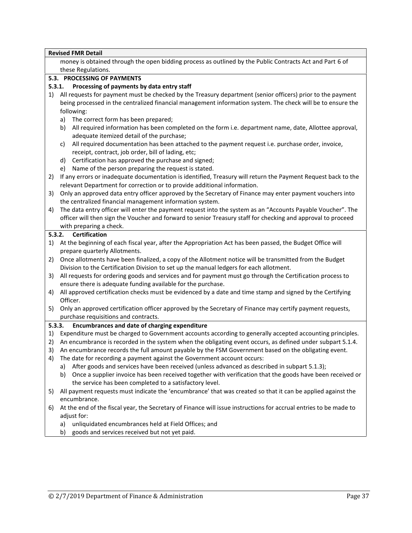|    | <b>Revised FMR Detail</b>                                                                                         |
|----|-------------------------------------------------------------------------------------------------------------------|
|    | money is obtained through the open bidding process as outlined by the Public Contracts Act and Part 6 of          |
|    | these Regulations.                                                                                                |
|    | 5.3. PROCESSING OF PAYMENTS                                                                                       |
|    | Processing of payments by data entry staff<br>5.3.1.                                                              |
| 1) | All requests for payment must be checked by the Treasury department (senior officers) prior to the payment        |
|    | being processed in the centralized financial management information system. The check will be to ensure the       |
|    | following:                                                                                                        |
|    | The correct form has been prepared;<br>a)                                                                         |
|    | All required information has been completed on the form i.e. department name, date, Allottee approval,<br>b)      |
|    | adequate itemized detail of the purchase;                                                                         |
|    | All required documentation has been attached to the payment request i.e. purchase order, invoice,<br>c)           |
|    | receipt, contract, job order, bill of lading, etc;                                                                |
|    | Certification has approved the purchase and signed;<br>d)                                                         |
|    | Name of the person preparing the request is stated.<br>e)                                                         |
| 2) | If any errors or inadequate documentation is identified, Treasury will return the Payment Request back to the     |
|    | relevant Department for correction or to provide additional information.                                          |
| 3) | Only an approved data entry officer approved by the Secretary of Finance may enter payment vouchers into          |
|    | the centralized financial management information system.                                                          |
| 4) | The data entry officer will enter the payment request into the system as an "Accounts Payable Voucher". The       |
|    | officer will then sign the Voucher and forward to senior Treasury staff for checking and approval to proceed      |
|    | with preparing a check.                                                                                           |
|    | <b>Certification</b><br>5.3.2.                                                                                    |
| 1) | At the beginning of each fiscal year, after the Appropriation Act has been passed, the Budget Office will         |
|    | prepare quarterly Allotments.                                                                                     |
| 2) | Once allotments have been finalized, a copy of the Allotment notice will be transmitted from the Budget           |
|    | Division to the Certification Division to set up the manual ledgers for each allotment.                           |
| 3) | All requests for ordering goods and services and for payment must go through the Certification process to         |
|    | ensure there is adequate funding available for the purchase.                                                      |
| 4) | All approved certification checks must be evidenced by a date and time stamp and signed by the Certifying         |
|    | Officer.                                                                                                          |
| 5) | Only an approved certification officer approved by the Secretary of Finance may certify payment requests,         |
|    | purchase requisitions and contracts.                                                                              |
|    | 5.3.3.<br>Encumbrances and date of charging expenditure                                                           |
| 1) | Expenditure must be charged to Government accounts according to generally accepted accounting principles.         |
| 2) | An encumbrance is recorded in the system when the obligating event occurs, as defined under subpart 5.1.4.        |
| 3) | An encumbrance records the full amount payable by the FSM Government based on the obligating event.               |
| 4) | The date for recording a payment against the Government account occurs:                                           |
|    | a) After goods and services have been received (unless advanced as described in subpart 5.1.3);                   |
|    | Once a supplier invoice has been received together with verification that the goods have been received or<br>b)   |
|    | the service has been completed to a satisfactory level.                                                           |
| 5) | All payment requests must indicate the 'encumbrance' that was created so that it can be applied against the       |
|    | encumbrance.                                                                                                      |
| 6) | At the end of the fiscal year, the Secretary of Finance will issue instructions for accrual entries to be made to |
|    | adjust for:                                                                                                       |
|    | unliquidated encumbrances held at Field Offices; and<br>a)                                                        |
|    | goods and services received but not yet paid.<br>b)                                                               |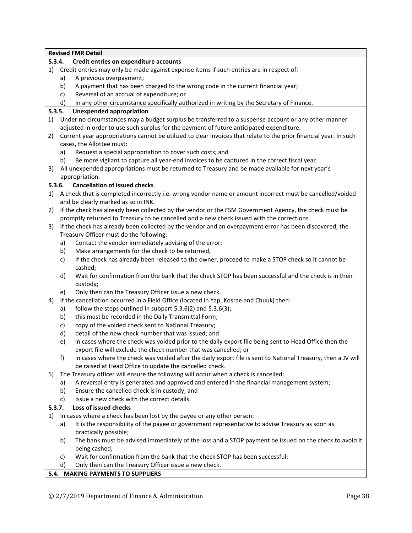|        |          | <b>Revised FMR Detail</b>                                                                                         |
|--------|----------|-------------------------------------------------------------------------------------------------------------------|
|        | 5.3.4.   | Credit entries on expenditure accounts                                                                            |
| 1)     |          | Credit entries may only be made against expense items if such entries are in respect of:                          |
|        | a)       | A previous overpayment;                                                                                           |
|        | b)       | A payment that has been charged to the wrong code in the current financial year;                                  |
|        | c)       | Reversal of an accrual of expenditure; or                                                                         |
|        | d)       | In any other circumstance specifically authorized in writing by the Secretary of Finance.                         |
|        | 5.3.5.   | <b>Unexpended appropriation</b>                                                                                   |
| 1)     |          | Under no circumstances may a budget surplus be transferred to a suspense account or any other manner              |
|        |          | adjusted in order to use such surplus for the payment of future anticipated expenditure.                          |
| 2)     |          | Current year appropriations cannot be utilized to clear invoices that relate to the prior financial year. In such |
|        |          | cases, the Allottee must:                                                                                         |
|        | a)       | Request a special appropriation to cover such costs; and                                                          |
|        | b)       | Be more vigilant to capture all year-end invoices to be captured in the correct fiscal year.                      |
| 3)     |          | All unexpended appropriations must be returned to Treasury and be made available for next year's                  |
|        |          | appropriation.                                                                                                    |
|        | 5.3.6.   | <b>Cancellation of issued checks</b>                                                                              |
| 1)     |          | A check that is completed incorrectly i.e. wrong vendor name or amount incorrect must be cancelled/voided         |
|        |          | and be clearly marked as so in INK.                                                                               |
| 2)     |          | If the check has already been collected by the vendor or the FSM Government Agency, the check must be             |
|        |          | promptly returned to Treasury to be cancelled and a new check issued with the corrections.                        |
|        |          |                                                                                                                   |
| 3)     |          | If the check has already been collected by the vendor and an overpayment error has been discovered, the           |
|        |          | Treasury Officer must do the following:                                                                           |
|        | a)       | Contact the vendor immediately advising of the error;                                                             |
|        | b)       | Make arrangements for the check to be returned;                                                                   |
|        | c)       | If the check has already been released to the owner, proceed to make a STOP check so it cannot be                 |
|        |          | cashed;                                                                                                           |
|        | d)       | Wait for confirmation from the bank that the check STOP has been successful and the check is in their             |
|        |          | custody;                                                                                                          |
|        | e)       | Only then can the Treasury Officer issue a new check.                                                             |
| 4)     |          | If the cancellation occurred in a Field Office (located in Yap, Kosrae and Chuuk) then:                           |
|        | a)       | follow the steps outlined in subpart 5.3.6(2) and 5.3.6(3);                                                       |
|        | b)       | this must be recorded in the Daily Transmittal Form;                                                              |
|        | c)       | copy of the voided check sent to National Treasury;                                                               |
|        | d)       | detail of the new check number that was issued; and                                                               |
|        | e)       | in cases where the check was voided prior to the daily export file being sent to Head Office then the             |
|        |          | export file will exclude the check number that was cancelled; or                                                  |
|        | f)       | in cases where the check was voided after the daily export file is sent to National Treasury, then a JV will      |
|        |          | be raised at Head Office to update the cancelled check.                                                           |
| 5)     |          | The Treasury officer will ensure the following will occur when a check is cancelled:                              |
|        | a)       | A reversal entry is generated and approved and entered in the financial management system;                        |
|        | b)       | Ensure the cancelled check is in custody; and                                                                     |
|        | C)       | Issue a new check with the correct details.                                                                       |
| 5.3.7. |          | Loss of issued checks                                                                                             |
| 1)     |          | In cases where a check has been lost by the payee or any other person:                                            |
|        | a)       | It is the responsibility of the payee or government representative to advise Treasury as soon as                  |
|        |          | practically possible;                                                                                             |
|        | b)       | The bank must be advised immediately of the loss and a STOP payment be issued on the check to avoid it            |
|        |          | being cashed;                                                                                                     |
|        |          | Wait for confirmation from the bank that the check STOP has been successful;                                      |
|        | C)<br>d) |                                                                                                                   |
|        |          | Only then can the Treasury Officer issue a new check.<br>5.4. MAKING PAYMENTS TO SUPPLIERS                        |

# **5.4. MAKING PAYMENTS TO SUPPLIERS**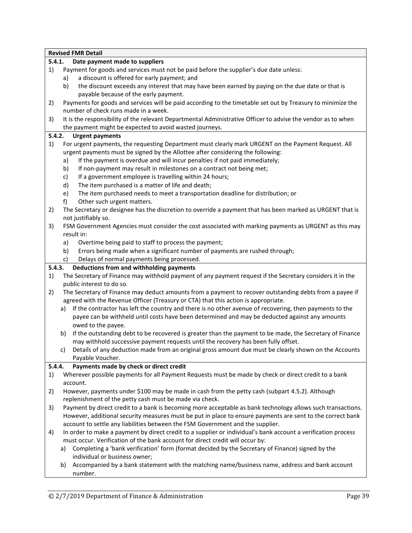|    | <b>Revised FMR Detail</b>                                                                                       |
|----|-----------------------------------------------------------------------------------------------------------------|
|    | 5.4.1.<br>Date payment made to suppliers                                                                        |
| 1) | Payment for goods and services must not be paid before the supplier's due date unless:                          |
|    | a discount is offered for early payment; and<br>a)                                                              |
|    | the discount exceeds any interest that may have been earned by paying on the due date or that is<br>b)          |
|    | payable because of the early payment.                                                                           |
| 2) | Payments for goods and services will be paid according to the timetable set out by Treasury to minimize the     |
|    | number of check runs made in a week.                                                                            |
| 3) | It is the responsibility of the relevant Departmental Administrative Officer to advise the vendor as to when    |
|    | the payment might be expected to avoid wasted journeys.                                                         |
|    | 5.4.2.<br><b>Urgent payments</b>                                                                                |
| 1) | For urgent payments, the requesting Department must clearly mark URGENT on the Payment Request. All             |
|    | urgent payments must be signed by the Allottee after considering the following:                                 |
|    | If the payment is overdue and will incur penalties if not paid immediately;<br>a)                               |
|    | If non-payment may result in milestones on a contract not being met;<br>b)                                      |
|    | If a government employee is travelling within 24 hours;<br>c)                                                   |
|    | The item purchased is a matter of life and death;<br>d)                                                         |
|    | The item purchased needs to meet a transportation deadline for distribution; or<br>e)                           |
|    | f)<br>Other such urgent matters.                                                                                |
| 2) | The Secretary or designee has the discretion to override a payment that has been marked as URGENT that is       |
|    | not justifiably so.                                                                                             |
| 3) | FSM Government Agencies must consider the cost associated with marking payments as URGENT as this may           |
|    | result in:                                                                                                      |
|    | Overtime being paid to staff to process the payment;<br>a)                                                      |
|    | Errors being made when a significant number of payments are rushed through;<br>b)                               |
|    | Delays of normal payments being processed.<br>c)                                                                |
|    | Deductions from and withholding payments<br>5.4.3.                                                              |
| 1) | The Secretary of Finance may withhold payment of any payment request if the Secretary considers it in the       |
|    | public interest to do so.                                                                                       |
| 2) | The Secretary of Finance may deduct amounts from a payment to recover outstanding debts from a payee if         |
|    | agreed with the Revenue Officer (Treasury or CTA) that this action is appropriate.                              |
|    | If the contractor has left the country and there is no other avenue of recovering, then payments to the<br>a)   |
|    | payee can be withheld until costs have been determined and may be deducted against any amounts                  |
|    | owed to the payee.                                                                                              |
|    | If the outstanding debt to be recovered is greater than the payment to be made, the Secretary of Finance<br>b)  |
|    | may withhold successive payment requests until the recovery has been fully offset.                              |
|    | Details of any deduction made from an original gross amount due must be clearly shown on the Accounts           |
|    | Payable Voucher.                                                                                                |
|    | Payments made by check or direct credit<br>5.4.4.                                                               |
| 1) | Wherever possible payments for all Payment Requests must be made by check or direct credit to a bank            |
|    | account.                                                                                                        |
| 2) | However, payments under \$100 may be made in cash from the petty cash (subpart 4.5.2). Although                 |
|    | replenishment of the petty cash must be made via check.                                                         |
| 3) | Payment by direct credit to a bank is becoming more acceptable as bank technology allows such transactions.     |
|    | However, additional security measures must be put in place to ensure payments are sent to the correct bank      |
|    | account to settle any liabilities between the FSM Government and the supplier.                                  |
| 4) | In order to make a payment by direct credit to a supplier or individual's bank account a verification process   |
|    | must occur. Verification of the bank account for direct credit will occur by:                                   |
|    | Completing a 'bank verification' form (format decided by the Secretary of Finance) signed by the<br>a)          |
|    | individual or business owner;                                                                                   |
|    |                                                                                                                 |
|    | Accompanied by a bank statement with the matching name/business name, address and bank account<br>b)<br>number. |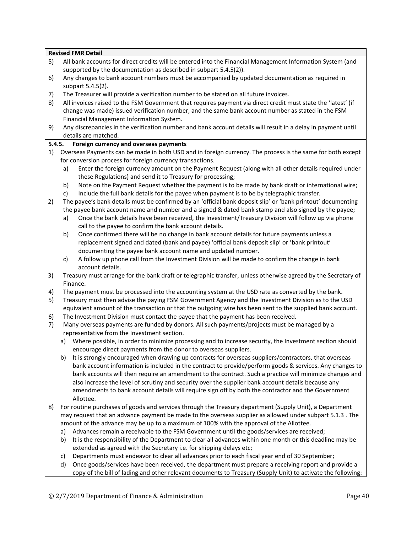|        |    | <b>Revised FMR Detail</b>                                                                                                                                                                    |
|--------|----|----------------------------------------------------------------------------------------------------------------------------------------------------------------------------------------------|
| 5)     |    | All bank accounts for direct credits will be entered into the Financial Management Information System (and                                                                                   |
|        |    | supported by the documentation as described in subpart 5.4.5(2)).                                                                                                                            |
| 6)     |    | Any changes to bank account numbers must be accompanied by updated documentation as required in                                                                                              |
|        |    | subpart 5.4.5(2).                                                                                                                                                                            |
| 7)     |    | The Treasurer will provide a verification number to be stated on all future invoices.                                                                                                        |
| 8)     |    | All invoices raised to the FSM Government that requires payment via direct credit must state the 'latest' (if                                                                                |
|        |    | change was made) issued verification number, and the same bank account number as stated in the FSM                                                                                           |
|        |    | Financial Management Information System.                                                                                                                                                     |
| 9)     |    | Any discrepancies in the verification number and bank account details will result in a delay in payment until                                                                                |
|        |    | details are matched.                                                                                                                                                                         |
| 5.4.5. |    | Foreign currency and overseas payments                                                                                                                                                       |
| 1)     |    | Overseas Payments can be made in both USD and in foreign currency. The process is the same for both except                                                                                   |
|        |    | for conversion process for foreign currency transactions.                                                                                                                                    |
|        | a) | Enter the foreign currency amount on the Payment Request (along with all other details required under                                                                                        |
|        |    | these Regulations) and send it to Treasury for processing;                                                                                                                                   |
|        | b) | Note on the Payment Request whether the payment is to be made by bank draft or international wire;                                                                                           |
|        | c) | Include the full bank details for the payee when payment is to be by telegraphic transfer.                                                                                                   |
| 2)     |    | The payee's bank details must be confirmed by an 'official bank deposit slip' or 'bank printout' documenting                                                                                 |
|        |    | the payee bank account name and number and a signed & dated bank stamp and also signed by the payee;                                                                                         |
|        | a) | Once the bank details have been received, the Investment/Treasury Division will follow up via phone                                                                                          |
|        |    | call to the payee to confirm the bank account details.                                                                                                                                       |
|        | b) | Once confirmed there will be no change in bank account details for future payments unless a<br>replacement signed and dated (bank and payee) 'official bank deposit slip' or 'bank printout' |
|        |    | documenting the payee bank account name and updated number.                                                                                                                                  |
|        | c) | A follow up phone call from the Investment Division will be made to confirm the change in bank                                                                                               |
|        |    | account details.                                                                                                                                                                             |
| 3)     |    | Treasury must arrange for the bank draft or telegraphic transfer, unless otherwise agreed by the Secretary of                                                                                |
|        |    | Finance.                                                                                                                                                                                     |
| 4)     |    | The payment must be processed into the accounting system at the USD rate as converted by the bank.                                                                                           |
| 5)     |    | Treasury must then advise the paying FSM Government Agency and the Investment Division as to the USD                                                                                         |
|        |    | equivalent amount of the transaction or that the outgoing wire has been sent to the supplied bank account.                                                                                   |
| 6)     |    | The Investment Division must contact the payee that the payment has been received.                                                                                                           |
| 7)     |    | Many overseas payments are funded by donors. All such payments/projects must be managed by a                                                                                                 |
|        |    | representative from the Investment section.                                                                                                                                                  |
|        | a) | Where possible, in order to minimize processing and to increase security, the Investment section should                                                                                      |
|        |    | encourage direct payments from the donor to overseas suppliers.                                                                                                                              |
|        | b) | It is strongly encouraged when drawing up contracts for overseas suppliers/contractors, that overseas                                                                                        |
|        |    | bank account information is included in the contract to provide/perform goods & services. Any changes to                                                                                     |
|        |    | bank accounts will then require an amendment to the contract. Such a practice will minimize changes and                                                                                      |
|        |    | also increase the level of scrutiny and security over the supplier bank account details because any                                                                                          |
|        |    | amendments to bank account details will require sign off by both the contractor and the Government                                                                                           |
|        |    | Allottee.                                                                                                                                                                                    |
| 8)     |    | For routine purchases of goods and services through the Treasury department (Supply Unit), a Department                                                                                      |
|        |    | may request that an advance payment be made to the overseas supplier as allowed under subpart 5.1.3. The                                                                                     |
|        |    | amount of the advance may be up to a maximum of 100% with the approval of the Allottee.                                                                                                      |
|        | a) | Advances remain a receivable to the FSM Government until the goods/services are received;                                                                                                    |
|        | b) | It is the responsibility of the Department to clear all advances within one month or this deadline may be                                                                                    |
|        |    | extended as agreed with the Secretary i.e. for shipping delays etc;                                                                                                                          |
|        | C) | Departments must endeavor to clear all advances prior to each fiscal year end of 30 September;                                                                                               |
|        | d) | Once goods/services have been received, the department must prepare a receiving report and provide a                                                                                         |
|        |    | copy of the bill of lading and other relevant documents to Treasury (Supply Unit) to activate the following:                                                                                 |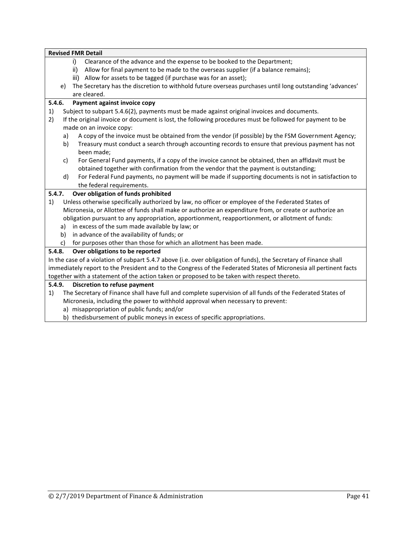|        |    | <b>Revised FMR Detail</b>                                                                                                            |
|--------|----|--------------------------------------------------------------------------------------------------------------------------------------|
|        |    | i)<br>Clearance of the advance and the expense to be booked to the Department;                                                       |
|        |    | ii)<br>Allow for final payment to be made to the overseas supplier (if a balance remains);                                           |
|        |    | Allow for assets to be tagged (if purchase was for an asset);<br>iii)                                                                |
|        | e) | The Secretary has the discretion to withhold future overseas purchases until long outstanding 'advances'                             |
|        |    | are cleared.                                                                                                                         |
| 5.4.6. |    | Payment against invoice copy                                                                                                         |
| 1)     |    | Subject to subpart 5.4.6(2), payments must be made against original invoices and documents.                                          |
| 2)     |    | If the original invoice or document is lost, the following procedures must be followed for payment to be<br>made on an invoice copy: |
|        | a) | A copy of the invoice must be obtained from the vendor (if possible) by the FSM Government Agency;                                   |
|        | b) | Treasury must conduct a search through accounting records to ensure that previous payment has not<br>been made;                      |
|        | c) | For General Fund payments, if a copy of the invoice cannot be obtained, then an affidavit must be                                    |
|        |    | obtained together with confirmation from the vendor that the payment is outstanding;                                                 |
|        | d) | For Federal Fund payments, no payment will be made if supporting documents is not in satisfaction to                                 |
|        |    | the federal requirements.                                                                                                            |
| 5.4.7. |    | Over obligation of funds prohibited                                                                                                  |
| 1)     |    | Unless otherwise specifically authorized by law, no officer or employee of the Federated States of                                   |
|        |    | Micronesia, or Allottee of funds shall make or authorize an expenditure from, or create or authorize an                              |
|        |    | obligation pursuant to any appropriation, apportionment, reapportionment, or allotment of funds:                                     |
|        | a) | in excess of the sum made available by law; or                                                                                       |
|        | b) | in advance of the availability of funds; or                                                                                          |
|        | c) | for purposes other than those for which an allotment has been made.                                                                  |
| 5.4.8. |    | Over obligations to be reported                                                                                                      |
|        |    | In the case of a violation of subpart 5.4.7 above (i.e. over obligation of funds), the Secretary of Finance shall                    |
|        |    | immediately report to the President and to the Congress of the Federated States of Micronesia all pertinent facts                    |
|        |    | together with a statement of the action taken or proposed to be taken with respect thereto.                                          |
| 5.4.9. |    | Discretion to refuse payment                                                                                                         |
| 1)     |    | The Secretary of Finance shall have full and complete supervision of all funds of the Federated States of                            |
|        |    | Micronesia, including the power to withhold approval when necessary to prevent:                                                      |
|        |    | a) misappropriation of public funds; and/or                                                                                          |

b) thedisbursement of public moneys in excess of specific appropriations.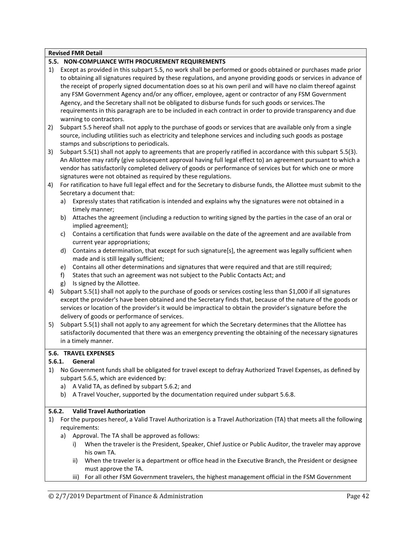#### **5.5. NON-COMPLIANCE WITH PROCUREMENT REQUIREMENTS**

- 1) Except as provided in this subpart 5.5, no work shall be performed or goods obtained or purchases made prior to obtaining all signatures required by these regulations, and anyone providing goods or services in advance of the receipt of properly signed documentation does so at his own peril and will have no claim thereof against any FSM Government Agency and/or any officer, employee, agent or contractor of any FSM Government Agency, and the Secretary shall not be obligated to disburse funds for such goods or services.The requirements in this paragraph are to be included in each contract in order to provide transparency and due warning to contractors.
- 2) Subpart 5.5 hereof shall not apply to the purchase of goods or services that are available only from a single source, including utilities such as electricity and telephone services and including such goods as postage stamps and subscriptions to periodicals.
- 3) Subpart 5.5(1) shall not apply to agreements that are properly ratified in accordance with this subpart 5.5(3). An Allottee may ratify (give subsequent approval having full legal effect to) an agreement pursuant to which a vendor has satisfactorily completed delivery of goods or performance of services but for which one or more signatures were not obtained as required by these regulations.
- 4) For ratification to have full legal effect and for the Secretary to disburse funds, the Allottee must submit to the Secretary a document that:
	- a) Expressly states that ratification is intended and explains why the signatures were not obtained in a timely manner;
	- b) Attaches the agreement (including a reduction to writing signed by the parties in the case of an oral or implied agreement);
	- c) Contains a certification that funds were available on the date of the agreement and are available from current year appropriations;
	- d) Contains a determination, that except for such signature[s], the agreement was legally sufficient when made and is still legally sufficient;
	- e) Contains all other determinations and signatures that were required and that are still required;
	- f) States that such an agreement was not subject to the Public Contacts Act; and
	- g) Is signed by the Allottee.
- 4) Subpart 5.5(1) shall not apply to the purchase of goods or services costing less than \$1,000 if all signatures except the provider's have been obtained and the Secretary finds that, because of the nature of the goods or services or location of the provider's it would be impractical to obtain the provider's signature before the delivery of goods or performance of services.
- 5) Subpart 5.5(1) shall not apply to any agreement for which the Secretary determines that the Allottee has satisfactorily documented that there was an emergency preventing the obtaining of the necessary signatures in a timely manner.

# **5.6. TRAVEL EXPENSES**

# **5.6.1. General**

- 1) No Government funds shall be obligated for travel except to defray Authorized Travel Expenses, as defined by subpart 5.6.5, which are evidenced by:
	- a) A Valid TA, as defined by subpart 5.6.2; and
	- b) A Travel Voucher, supported by the documentation required under subpart 5.6.8.

#### **5.6.2. Valid Travel Authorization**

- 1) For the purposes hereof, a Valid Travel Authorization is a Travel Authorization (TA) that meets all the following requirements:
	- a) Approval. The TA shall be approved as follows:
		- i) When the traveler is the President, Speaker, Chief Justice or Public Auditor, the traveler may approve his own TA.
		- ii) When the traveler is a department or office head in the Executive Branch, the President or designee must approve the TA.
		- iii) For all other FSM Government travelers, the highest management official in the FSM Government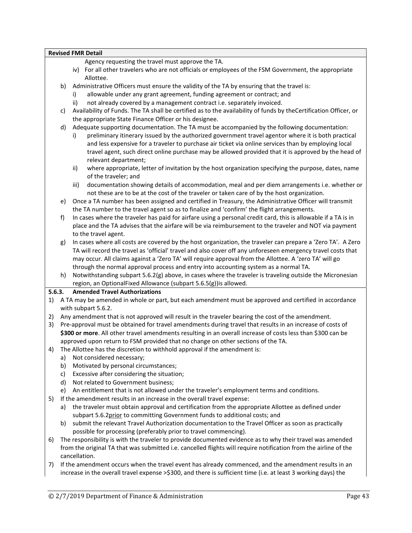Agency requesting the travel must approve the TA.

- iv) For all other travelers who are not officials or employees of the FSM Government, the appropriate Allottee.
- b) Administrative Officers must ensure the validity of the TA by ensuring that the travel is:
	- i) allowable under any grant agreement, funding agreement or contract; and
	- ii) not already covered by a management contract i.e. separately invoiced.
- c) Availability of Funds. The TA shall be certified as to the availability of funds by theCertification Officer, or the appropriate State Finance Officer or his designee.
- d) Adequate supporting documentation. The TA must be accompanied by the following documentation:
	- i) preliminary itinerary issued by the authorized government travel agentor where it is both practical and less expensive for a traveler to purchase air ticket via online services than by employing local travel agent, such direct online purchase may be allowed provided that it is approved by the head of relevant department;
	- ii) where appropriate, letter of invitation by the host organization specifying the purpose, dates, name of the traveler; and
	- iii) documentation showing details of accommodation, meal and per diem arrangements i.e. whether or not these are to be at the cost of the traveler or taken care of by the host organization.
- e) Once a TA number has been assigned and certified in Treasury, the Administrative Officer will transmit the TA number to the travel agent so as to finalize and 'confirm' the flight arrangements.
- f) In cases where the traveler has paid for airfare using a personal credit card, this is allowable if a TA is in place and the TA advises that the airfare will be via reimbursement to the traveler and NOT via payment to the travel agent.
- g) In cases where all costs are covered by the host organization, the traveler can prepare a 'Zero TA'. A Zero TA will record the travel as 'official' travel and also cover off any unforeseen emergency travel costs that may occur. All claims against a 'Zero TA' will require approval from the Allottee. A 'zero TA' will go through the normal approval process and entry into accounting system as a normal TA.
- h) Notwithstanding subpart 5.6.2(g) above, in cases where the traveler is traveling outside the Micronesian region, an OptionalFixed Allowance (subpart 5.6.5(g))is allowed.

# **5.6.3. Amended Travel Authorizations**

- 1) A TA may be amended in whole or part, but each amendment must be approved and certified in accordance with subpart 5.6.2.
- 2) Any amendment that is not approved will result in the traveler bearing the cost of the amendment.
- 3) Pre-approval must be obtained for travel amendments during travel that results in an increase of costs of **\$300 or more**. All other travel amendments resulting in an overall increase of costs less than \$300 can be approved upon return to FSM provided that no change on other sections of the TA.
- 4) The Allottee has the discretion to withhold approval if the amendment is:
	- a) Not considered necessary;
	- b) Motivated by personal circumstances;
	- c) Excessive after considering the situation;
	- d) Not related to Government business;
	- e) An entitlement that is not allowed under the traveler's employment terms and conditions.
- 5) If the amendment results in an increase in the overall travel expense:
	- a) the traveler must obtain approval and certification from the appropriate Allottee as defined under subpart 5.6.2prior to committing Government funds to additional costs; and
	- b) submit the relevant Travel Authorization documentation to the Travel Officer as soon as practically possible for processing (preferably prior to travel commencing).
- 6) The responsibility is with the traveler to provide documented evidence as to why their travel was amended from the original TA that was submitted i.e. cancelled flights will require notification from the airline of the cancellation.
- 7) If the amendment occurs when the travel event has already commenced, and the amendment results in an increase in the overall travel expense >\$300, and there is sufficient time (i.e. at least 3 working days) the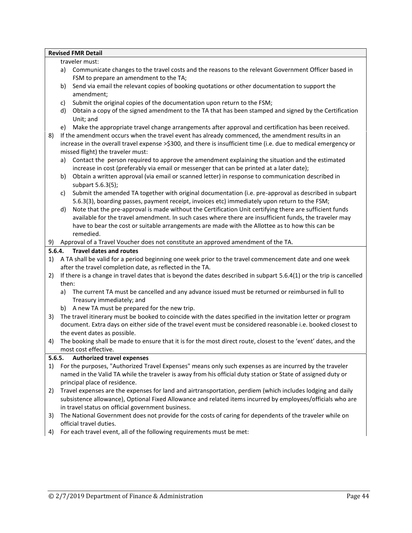|        | <b>Revised FMR Detail</b><br>traveler must:                                                                                                         |
|--------|-----------------------------------------------------------------------------------------------------------------------------------------------------|
|        |                                                                                                                                                     |
|        | Communicate changes to the travel costs and the reasons to the relevant Government Officer based in<br>a)<br>FSM to prepare an amendment to the TA; |
|        | Send via email the relevant copies of booking quotations or other documentation to support the<br>b)                                                |
|        | amendment;                                                                                                                                          |
|        | Submit the original copies of the documentation upon return to the FSM;<br>c)                                                                       |
|        | Obtain a copy of the signed amendment to the TA that has been stamped and signed by the Certification<br>d)                                         |
|        | Unit; and                                                                                                                                           |
|        | Make the appropriate travel change arrangements after approval and certification has been received.<br>e)                                           |
| 8)     | If the amendment occurs when the travel event has already commenced, the amendment results in an                                                    |
|        | increase in the overall travel expense >\$300, and there is insufficient time (i.e. due to medical emergency or                                     |
|        | missed flight) the traveler must:                                                                                                                   |
|        | Contact the person required to approve the amendment explaining the situation and the estimated<br>a)                                               |
|        | increase in cost (preferably via email or messenger that can be printed at a later date);                                                           |
|        | Obtain a written approval (via email or scanned letter) in response to communication described in<br>b)                                             |
|        | subpart 5.6.3(5);                                                                                                                                   |
|        | Submit the amended TA together with original documentation (i.e. pre-approval as described in subpart<br>c)                                         |
|        | 5.6.3(3), boarding passes, payment receipt, invoices etc) immediately upon return to the FSM;                                                       |
|        | Note that the pre-approval is made without the Certification Unit certifying there are sufficient funds<br>d)                                       |
|        | available for the travel amendment. In such cases where there are insufficient funds, the traveler may                                              |
|        | have to bear the cost or suitable arrangements are made with the Allottee as to how this can be                                                     |
|        | remedied.                                                                                                                                           |
| 9)     | Approval of a Travel Voucher does not constitute an approved amendment of the TA.                                                                   |
|        | <b>Travel dates and routes</b><br>5.6.4.                                                                                                            |
| 1)     | A TA shall be valid for a period beginning one week prior to the travel commencement date and one week                                              |
|        | after the travel completion date, as reflected in the TA.                                                                                           |
| 2)     | If there is a change in travel dates that is beyond the dates described in subpart 5.6.4(1) or the trip is cancelled                                |
|        | then:                                                                                                                                               |
|        | The current TA must be cancelled and any advance issued must be returned or reimbursed in full to<br>a)                                             |
|        | Treasury immediately; and                                                                                                                           |
|        | b) A new TA must be prepared for the new trip.                                                                                                      |
| 3)     | The travel itinerary must be booked to coincide with the dates specified in the invitation letter or program                                        |
|        | document. Extra days on either side of the travel event must be considered reasonable i.e. booked closest to                                        |
|        | the event dates as possible.                                                                                                                        |
| 4)     | The booking shall be made to ensure that it is for the most direct route, closest to the 'event' dates, and the                                     |
|        | most cost effective.                                                                                                                                |
| 5.6.5. | <b>Authorized travel expenses</b>                                                                                                                   |
| 1)     | For the purposes, "Authorized Travel Expenses" means only such expenses as are incurred by the traveler                                             |
|        | named in the Valid TA while the traveler is away from his official duty station or State of assigned duty or                                        |
|        | principal place of residence.                                                                                                                       |
| 2)     | Travel expenses are the expenses for land and airtransportation, perdiem (which includes lodging and daily                                          |
|        | subsistence allowance), Optional Fixed Allowance and related items incurred by employees/officials who are                                          |
|        | in travel status on official government business.                                                                                                   |
| 3)     | The National Government does not provide for the costs of caring for dependents of the traveler while on<br>official travel duties.                 |
| 4)     | For each travel event, all of the following requirements must be met:                                                                               |
|        |                                                                                                                                                     |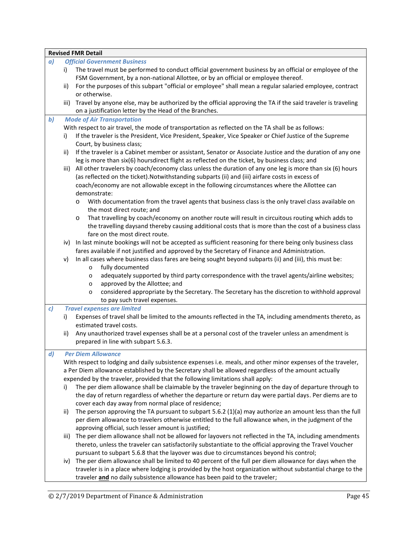|              | <b>Revised FMR Detail</b>                                                                                                                                                                          |
|--------------|----------------------------------------------------------------------------------------------------------------------------------------------------------------------------------------------------|
| a)           | <b>Official Government Business</b>                                                                                                                                                                |
|              | The travel must be performed to conduct official government business by an official or employee of the<br>i)<br>FSM Government, by a non-national Allottee, or by an official or employee thereof. |
|              | For the purposes of this subpart "official or employee" shall mean a regular salaried employee, contract<br>ii)                                                                                    |
|              | or otherwise.                                                                                                                                                                                      |
|              | Travel by anyone else, may be authorized by the official approving the TA if the said traveler is traveling<br>iii)<br>on a justification letter by the Head of the Branches.                      |
| $\mathbf{b}$ | <b>Mode of Air Transportation</b>                                                                                                                                                                  |
|              | With respect to air travel, the mode of transportation as reflected on the TA shall be as follows:                                                                                                 |
|              | If the traveler is the President, Vice President, Speaker, Vice Speaker or Chief Justice of the Supreme<br>i)                                                                                      |
|              | Court, by business class;                                                                                                                                                                          |
|              | If the traveler is a Cabinet member or assistant, Senator or Associate Justice and the duration of any one<br>ii)                                                                                  |
|              | leg is more than six(6) hoursdirect flight as reflected on the ticket, by business class; and                                                                                                      |
|              | All other travelers by coach/economy class unless the duration of any one leg is more than six (6) hours<br>iii)                                                                                   |
|              | (as reflected on the ticket). Notwithstanding subparts (ii) and (iii) airfare costs in excess of                                                                                                   |
|              | coach/economy are not allowable except in the following circumstances where the Allottee can                                                                                                       |
|              | demonstrate:                                                                                                                                                                                       |
|              | With documentation from the travel agents that business class is the only travel class available on<br>$\circ$                                                                                     |
|              | the most direct route; and                                                                                                                                                                         |
|              | That travelling by coach/economy on another route will result in circuitous routing which adds to<br>$\circ$                                                                                       |
|              | the travelling daysand thereby causing additional costs that is more than the cost of a business class                                                                                             |
|              | fare on the most direct route.                                                                                                                                                                     |
|              | iv) In last minute bookings will not be accepted as sufficient reasoning for there being only business class                                                                                       |
|              | fares available if not justified and approved by the Secretary of Finance and Administration.                                                                                                      |
|              | In all cases where business class fares are being sought beyond subparts (ii) and (iii), this must be:<br>v)                                                                                       |
|              | fully documented<br>$\circ$                                                                                                                                                                        |
|              | adequately supported by third party correspondence with the travel agents/airline websites;<br>$\circ$                                                                                             |
|              | approved by the Allottee; and<br>$\circ$                                                                                                                                                           |
|              | considered appropriate by the Secretary. The Secretary has the discretion to withhold approval<br>$\circ$                                                                                          |
|              | to pay such travel expenses.                                                                                                                                                                       |
| c)           | <b>Travel expenses are limited</b>                                                                                                                                                                 |
|              | Expenses of travel shall be limited to the amounts reflected in the TA, including amendments thereto, as<br>i)                                                                                     |
|              | estimated travel costs.                                                                                                                                                                            |
|              | Any unauthorized travel expenses shall be at a personal cost of the traveler unless an amendment is<br>ii)                                                                                         |
|              | prepared in line with subpart 5.6.3.                                                                                                                                                               |
|              |                                                                                                                                                                                                    |
| $\mathbf{d}$ | <b>Per Diem Allowance</b>                                                                                                                                                                          |
|              | With respect to lodging and daily subsistence expenses i.e. meals, and other minor expenses of the traveler,                                                                                       |
|              | a Per Diem allowance established by the Secretary shall be allowed regardless of the amount actually                                                                                               |
|              | expended by the traveler, provided that the following limitations shall apply:                                                                                                                     |
|              | The per diem allowance shall be claimable by the traveler beginning on the day of departure through to<br>i)                                                                                       |
|              | the day of return regardless of whether the departure or return day were partial days. Per diems are to                                                                                            |
|              | cover each day away from normal place of residence;                                                                                                                                                |
|              | The person approving the TA pursuant to subpart $5.6.2$ (1)(a) may authorize an amount less than the full<br>ii)                                                                                   |
|              | per diem allowance to travelers otherwise entitled to the full allowance when, in the judgment of the                                                                                              |
|              | approving official, such lesser amount is justified;                                                                                                                                               |
|              | The per diem allowance shall not be allowed for layovers not reflected in the TA, including amendments<br>iii)                                                                                     |
|              | thereto, unless the traveler can satisfactorily substantiate to the official approving the Travel Voucher                                                                                          |
|              | pursuant to subpart 5.6.8 that the layover was due to circumstances beyond his control;                                                                                                            |
|              | The per diem allowance shall be limited to 40 percent of the full per diem allowance for days when the<br>iv)                                                                                      |
|              | traveler is in a place where lodging is provided by the host organization without substantial charge to the                                                                                        |
|              | traveler and no daily subsistence allowance has been paid to the traveler;                                                                                                                         |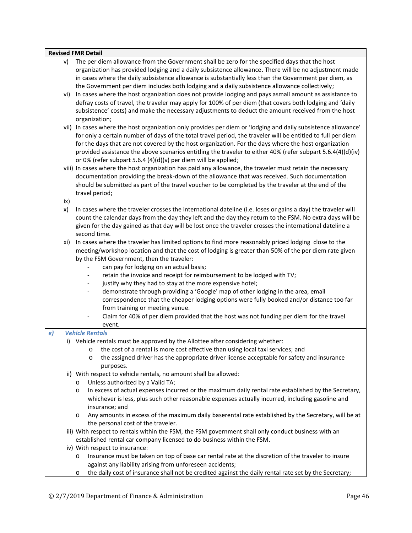|    | V)        | The per diem allowance from the Government shall be zero for the specified days that the host<br>organization has provided lodging and a daily subsistence allowance. There will be no adjustment made<br>in cases where the daily subsistence allowance is substantially less than the Government per diem, as<br>the Government per diem includes both lodging and a daily subsistence allowance collectively;                                                                                                       |
|----|-----------|------------------------------------------------------------------------------------------------------------------------------------------------------------------------------------------------------------------------------------------------------------------------------------------------------------------------------------------------------------------------------------------------------------------------------------------------------------------------------------------------------------------------|
|    | vi)       | In cases where the host organization does not provide lodging and pays asmall amount as assistance to<br>defray costs of travel, the traveler may apply for 100% of per diem (that covers both lodging and 'daily<br>subsistence' costs) and make the necessary adjustments to deduct the amount received from the host<br>organization;                                                                                                                                                                               |
|    |           | vii) In cases where the host organization only provides per diem or 'lodging and daily subsistence allowance'<br>for only a certain number of days of the total travel period, the traveler will be entitled to full per diem<br>for the days that are not covered by the host organization. For the days where the host organization<br>provided assistance the above scenarios entitling the traveler to either 40% (refer subpart 5.6.4(4)(d)(iv)<br>or 0% (refer subpart 5.6.4 (4)(d)(v) per diem will be applied; |
|    |           | viii) In cases where the host organization has paid any allowance, the traveler must retain the necessary<br>documentation providing the break-down of the allowance that was received. Such documentation<br>should be submitted as part of the travel voucher to be completed by the traveler at the end of the<br>travel period;                                                                                                                                                                                    |
|    | ix)<br>x) | In cases where the traveler crosses the international dateline (i.e. loses or gains a day) the traveler will<br>count the calendar days from the day they left and the day they return to the FSM. No extra days will be<br>given for the day gained as that day will be lost once the traveler crosses the international dateline a<br>second time.                                                                                                                                                                   |
|    | xi)       | In cases where the traveler has limited options to find more reasonably priced lodging close to the<br>meeting/workshop location and that the cost of lodging is greater than 50% of the per diem rate given<br>by the FSM Government, then the traveler:<br>can pay for lodging on an actual basis;<br>retain the invoice and receipt for reimbursement to be lodged with TV;                                                                                                                                         |
|    |           | justify why they had to stay at the more expensive hotel;<br>$\overline{\phantom{a}}$<br>demonstrate through providing a 'Google' map of other lodging in the area, email<br>$\overline{\phantom{a}}$<br>correspondence that the cheaper lodging options were fully booked and/or distance too far<br>from training or meeting venue.<br>Claim for 40% of per diem provided that the host was not funding per diem for the travel                                                                                      |
| e) |           | event.<br><b>Vehicle Rentals</b>                                                                                                                                                                                                                                                                                                                                                                                                                                                                                       |
|    |           | i) Vehicle rentals must be approved by the Allottee after considering whether:<br>the cost of a rental is more cost effective than using local taxi services; and<br>$\circ$<br>the assigned driver has the appropriate driver license acceptable for safety and insurance<br>O<br>purposes.                                                                                                                                                                                                                           |
|    |           | ii) With respect to vehicle rentals, no amount shall be allowed:<br>Unless authorized by a Valid TA;<br>$\circ$<br>In excess of actual expenses incurred or the maximum daily rental rate established by the Secretary,<br>$\circ$<br>whichever is less, plus such other reasonable expenses actually incurred, including gasoline and<br>insurance; and                                                                                                                                                               |
|    |           | Any amounts in excess of the maximum daily baserental rate established by the Secretary, will be at<br>O<br>the personal cost of the traveler.<br>iii) With respect to rentals within the FSM, the FSM government shall only conduct business with an                                                                                                                                                                                                                                                                  |
|    |           | established rental car company licensed to do business within the FSM.                                                                                                                                                                                                                                                                                                                                                                                                                                                 |
|    |           | iv) With respect to insurance:<br>Insurance must be taken on top of base car rental rate at the discretion of the traveler to insure<br>$\circ$<br>against any liability arising from unforeseen accidents;                                                                                                                                                                                                                                                                                                            |

o the daily cost of insurance shall not be credited against the daily rental rate set by the Secretary;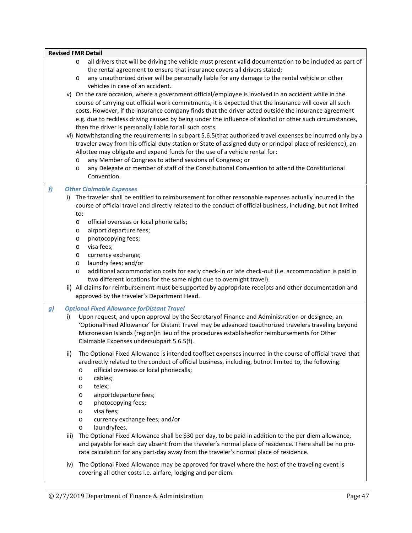|    | <b>Revised FMR Detail</b>                                                                                                                                                                                                                                                                                                                                                                                                                                                                                                                                                                                                                                                                                                                                                                                                                                                                                                                                                                                                                                                                                                                                                                                                                                                                                                                                            |
|----|----------------------------------------------------------------------------------------------------------------------------------------------------------------------------------------------------------------------------------------------------------------------------------------------------------------------------------------------------------------------------------------------------------------------------------------------------------------------------------------------------------------------------------------------------------------------------------------------------------------------------------------------------------------------------------------------------------------------------------------------------------------------------------------------------------------------------------------------------------------------------------------------------------------------------------------------------------------------------------------------------------------------------------------------------------------------------------------------------------------------------------------------------------------------------------------------------------------------------------------------------------------------------------------------------------------------------------------------------------------------|
|    | all drivers that will be driving the vehicle must present valid documentation to be included as part of<br>$\circ$<br>the rental agreement to ensure that insurance covers all drivers stated;<br>any unauthorized driver will be personally liable for any damage to the rental vehicle or other<br>$\circ$<br>vehicles in case of an accident.<br>v) On the rare occasion, where a government official/employee is involved in an accident while in the<br>course of carrying out official work commitments, it is expected that the insurance will cover all such<br>costs. However, if the insurance company finds that the driver acted outside the insurance agreement<br>e.g. due to reckless driving caused by being under the influence of alcohol or other such circumstances,<br>then the driver is personally liable for all such costs.<br>vi) Notwithstanding the requirements in subpart 5.6.5(that authorized travel expenses be incurred only by a<br>traveler away from his official duty station or State of assigned duty or principal place of residence), an<br>Allottee may obligate and expend funds for the use of a vehicle rental for:<br>any Member of Congress to attend sessions of Congress; or<br>$\circ$<br>any Delegate or member of staff of the Constitutional Convention to attend the Constitutional<br>$\circ$<br>Convention. |
| f  | <b>Other Claimable Expenses</b><br>i) The traveler shall be entitled to reimbursement for other reasonable expenses actually incurred in the<br>course of official travel and directly related to the conduct of official business, including, but not limited<br>to:<br>official overseas or local phone calls;<br>$\circ$<br>airport departure fees;<br>$\circ$<br>photocopying fees;<br>$\circ$<br>visa fees;<br>$\circ$<br>currency exchange;<br>$\circ$<br>laundry fees; and/or<br>$\circ$<br>additional accommodation costs for early check-in or late check-out (i.e. accommodation is paid in<br>$\circ$<br>two different locations for the same night due to overnight travel).<br>ii) All claims for reimbursement must be supported by appropriate receipts and other documentation and<br>approved by the traveler's Department Head.                                                                                                                                                                                                                                                                                                                                                                                                                                                                                                                    |
| g) | <b>Optional Fixed Allowance for Distant Travel</b><br>Upon request, and upon approval by the Secretaryof Finance and Administration or designee, an<br>i)<br>'OptionalFixed Allowance' for Distant Travel may be advanced toauthorized travelers traveling beyond<br>Micronesian Islands (region) in lieu of the procedures establishedfor reimbursements for Other<br>Claimable Expenses undersubpart 5.6.5(f).                                                                                                                                                                                                                                                                                                                                                                                                                                                                                                                                                                                                                                                                                                                                                                                                                                                                                                                                                     |
|    | The Optional Fixed Allowance is intended tooffset expenses incurred in the course of official travel that<br>ii)<br>aredirectly related to the conduct of official business, including, butnot limited to, the following:<br>official overseas or local phonecalls;<br>$\circ$<br>cables;<br>$\circ$<br>telex;<br>$\circ$<br>airportdeparture fees;<br>$\circ$<br>photocopying fees;<br>$\circ$<br>visa fees;<br>$\circ$<br>currency exchange fees; and/or<br>O<br>laundryfees.<br>$\circ$<br>The Optional Fixed Allowance shall be \$30 per day, to be paid in addition to the per diem allowance,<br>iii)<br>and payable for each day absent from the traveler's normal place of residence. There shall be no pro-<br>rata calculation for any part-day away from the traveler's normal place of residence.                                                                                                                                                                                                                                                                                                                                                                                                                                                                                                                                                        |
|    | The Optional Fixed Allowance may be approved for travel where the host of the traveling event is<br>iv)<br>covering all other costs i.e. airfare, lodging and per diem.                                                                                                                                                                                                                                                                                                                                                                                                                                                                                                                                                                                                                                                                                                                                                                                                                                                                                                                                                                                                                                                                                                                                                                                              |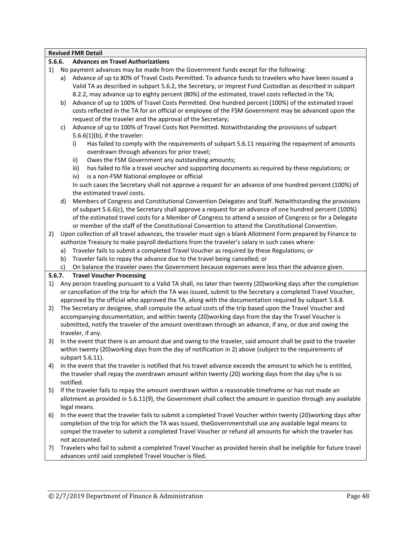|        |    | <b>Revised FMR Detail</b>                                                                                      |
|--------|----|----------------------------------------------------------------------------------------------------------------|
| 5.6.6. |    | <b>Advances on Travel Authorizations</b>                                                                       |
| 1)     |    | No payment advances may be made from the Government funds except for the following:                            |
|        | a) | Advance of up to 80% of Travel Costs Permitted. To advance funds to travelers who have been issued a           |
|        |    | Valid TA as described in subpart 5.6.2, the Secretary, or Imprest Fund Custodian as described in subpart       |
|        |    | 8.2.2, may advance up to eighty percent (80%) of the estimated, travel costs reflected in the TA;              |
|        | b) | Advance of up to 100% of Travel Costs Permitted. One hundred percent (100%) of the estimated travel            |
|        |    | costs reflected in the TA for an official or employee of the FSM Government may be advanced upon the           |
|        |    | request of the traveler and the approval of the Secretary;                                                     |
|        | c) | Advance of up to 100% of Travel Costs Not Permitted. Notwithstanding the provisions of subpart                 |
|        |    | $5.6.6(1)(b)$ , if the traveler:                                                                               |
|        |    | Has failed to comply with the requirements of subpart 5.6.11 requiring the repayment of amounts<br>i)          |
|        |    | overdrawn through advances for prior travel;                                                                   |
|        |    | Owes the FSM Government any outstanding amounts;                                                               |
|        |    | ii)                                                                                                            |
|        |    | has failed to file a travel voucher and supporting documents as required by these regulations; or<br>iii)      |
|        |    | is a non-FSM National employee or official<br>iv)                                                              |
|        |    | In such cases the Secretary shall not approve a request for an advance of one hundred percent (100%) of        |
|        |    | the estimated travel costs.                                                                                    |
|        | d) | Members of Congress and Constitutional Convention Delegates and Staff. Notwithstanding the provisions          |
|        |    | of subpart 5.6.6(c), the Secretary shall approve a request for an advance of one hundred percent (100%)        |
|        |    | of the estimated travel costs for a Member of Congress to attend a session of Congress or for a Delegate       |
|        |    | or member of the staff of the Constitutional Convention to attend the Constitutional Convention.               |
| 2)     |    | Upon collection of all travel advances, the traveler must sign a blank Allotment Form prepared by Finance to   |
|        |    | authorize Treasury to make payroll deductions from the traveler's salary in such cases where:                  |
|        | a) | Traveler fails to submit a completed Travel Voucher as required by these Regulations; or                       |
|        | b) | Traveler fails to repay the advance due to the travel being cancelled; or                                      |
|        | c) | On balance the traveler owes the Government because expenses were less than the advance given.                 |
| 5.6.7. |    | <b>Travel Voucher Processing</b>                                                                               |
| 1)     |    | Any person traveling pursuant to a Valid TA shall, no later than twenty (20)working days after the completion  |
|        |    | or cancellation of the trip for which the TA was issued, submit to the Secretary a completed Travel Voucher,   |
|        |    | approved by the official who approved the TA, along with the documentation required by subpart 5.6.8.          |
| 2)     |    | The Secretary or designee, shall compute the actual costs of the trip based upon the Travel Voucher and        |
|        |    | accompanying documentation, and within twenty (20)working days from the day the Travel Voucher is              |
|        |    | submitted, notify the traveler of the amount overdrawn through an advance, if any, or due and owing the        |
|        |    | traveler, if any.                                                                                              |
| 3)     |    | In the event that there is an amount due and owing to the traveler, said amount shall be paid to the traveler  |
|        |    | within twenty (20) working days from the day of notification in 2) above (subject to the requirements of       |
|        |    | subpart 5.6.11).                                                                                               |
| 4)     |    | In the event that the traveler is notified that his travel advance exceeds the amount to which he is entitled, |
|        |    | the traveler shall repay the overdrawn amount within twenty (20) working days from the day s/he is so          |
|        |    |                                                                                                                |
|        |    | notified.                                                                                                      |
| 5)     |    | If the traveler fails to repay the amount overdrawn within a reasonable timeframe or has not made an           |
|        |    | allotment as provided in 5.6.11(9), the Government shall collect the amount in question through any available  |
|        |    | legal means.                                                                                                   |
| 6)     |    | In the event that the traveler fails to submit a completed Travel Voucher within twenty (20)working days after |
|        |    | completion of the trip for which the TA was issued, the Governmentshall use any available legal means to       |
|        |    | compel the traveler to submit a completed Travel Voucher or refund all amounts for which the traveler has      |

not accounted. 7) Travelers who fail to submit a completed Travel Voucher as provided herein shall be ineligible for future travel advances until said completed Travel Voucher is filed.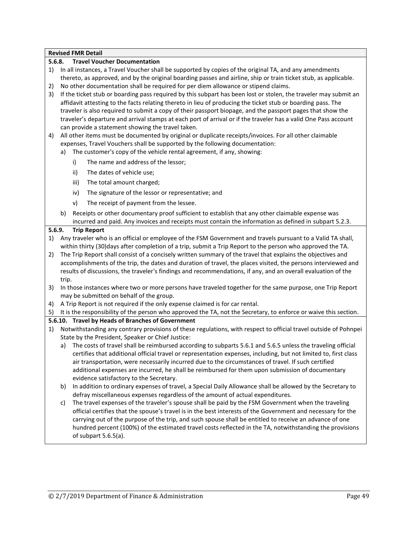|        |       | <b>Revised FMR Detail</b>                                                                                                                                             |
|--------|-------|-----------------------------------------------------------------------------------------------------------------------------------------------------------------------|
| 5.6.8. |       | <b>Travel Voucher Documentation</b>                                                                                                                                   |
|        |       | 1) In all instances, a Travel Voucher shall be supported by copies of the original TA, and any amendments                                                             |
|        |       | thereto, as approved, and by the original boarding passes and airline, ship or train ticket stub, as applicable.                                                      |
| 2)     |       | No other documentation shall be required for per diem allowance or stipend claims.                                                                                    |
| 3)     |       | If the ticket stub or boarding pass required by this subpart has been lost or stolen, the traveler may submit an                                                      |
|        |       | affidavit attesting to the facts relating thereto in lieu of producing the ticket stub or boarding pass. The                                                          |
|        |       | traveler is also required to submit a copy of their passport biopage, and the passport pages that show the                                                            |
|        |       | traveler's departure and arrival stamps at each port of arrival or if the traveler has a valid One Pass account                                                       |
|        |       | can provide a statement showing the travel taken.                                                                                                                     |
| 4)     |       | All other items must be documented by original or duplicate receipts/invoices. For all other claimable                                                                |
|        |       | expenses, Travel Vouchers shall be supported by the following documentation:                                                                                          |
|        | a)    | The customer's copy of the vehicle rental agreement, if any, showing:                                                                                                 |
|        |       | The name and address of the lessor;<br>i)                                                                                                                             |
|        |       | The dates of vehicle use;<br>ii)                                                                                                                                      |
|        |       | The total amount charged;<br>iii)                                                                                                                                     |
|        |       | iv)<br>The signature of the lessor or representative; and                                                                                                             |
|        |       | The receipt of payment from the lessee.<br>v)                                                                                                                         |
|        | b)    | Receipts or other documentary proof sufficient to establish that any other claimable expense was                                                                      |
|        |       | incurred and paid. Any invoices and receipts must contain the information as defined in subpart 5.2.3.                                                                |
| 5.6.9. |       | <b>Trip Report</b>                                                                                                                                                    |
| 1)     |       | Any traveler who is an official or employee of the FSM Government and travels pursuant to a Valid TA shall,                                                           |
|        |       | within thirty (30) days after completion of a trip, submit a Trip Report to the person who approved the TA.                                                           |
| 2)     |       | The Trip Report shall consist of a concisely written summary of the travel that explains the objectives and                                                           |
|        |       | accomplishments of the trip, the dates and duration of travel, the places visited, the persons interviewed and                                                        |
|        |       | results of discussions, the traveler's findings and recommendations, if any, and an overall evaluation of the                                                         |
|        | trip. |                                                                                                                                                                       |
| 3)     |       | In those instances where two or more persons have traveled together for the same purpose, one Trip Report                                                             |
|        |       | may be submitted on behalf of the group.                                                                                                                              |
| 4)     |       | A Trip Report is not required if the only expense claimed is for car rental.                                                                                          |
| 5)     |       | It is the responsibility of the person who approved the TA, not the Secretary, to enforce or waive this section.                                                      |
|        |       | 5.6.10. Travel by Heads of Branches of Government                                                                                                                     |
| 1)     |       | Notwithstanding any contrary provisions of these regulations, with respect to official travel outside of Pohnpei<br>State by the President, Speaker or Chief Justice: |
|        |       | a) The costs of travel shall be reimbursed according to subparts 5.6.1 and 5.6.5 unless the traveling official                                                        |
|        |       | certifies that additional official travel or representation expenses, including, but not limited to, first class                                                      |
|        |       | air transportation, were necessarily incurred due to the circumstances of travel. If such certified                                                                   |
|        |       | additional expenses are incurred, he shall be reimbursed for them upon submission of documentary                                                                      |
|        |       |                                                                                                                                                                       |
|        | b)    | evidence satisfactory to the Secretary.<br>In addition to ordinary expenses of travel, a Special Daily Allowance shall be allowed by the Secretary to                 |
|        |       | defray miscellaneous expenses regardless of the amount of actual expenditures.                                                                                        |
|        | c)    | The travel expenses of the traveler's spouse shall be paid by the FSM Government when the traveling                                                                   |
|        |       | official certifies that the spouse's travel is in the best interests of the Government and necessary for the                                                          |
|        |       | carrying out of the purpose of the trip, and such spouse shall be entitled to receive an advance of one                                                               |
|        |       | hundred percent (100%) of the estimated travel costs reflected in the TA, notwithstanding the provisions                                                              |
|        |       |                                                                                                                                                                       |

of subpart 5.6.5(a).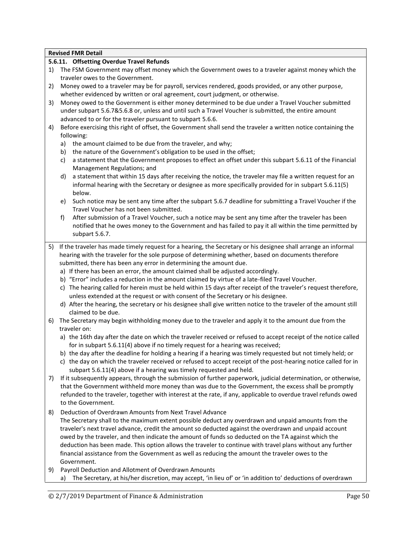### **5.6.11. Offsetting Overdue Travel Refunds**

- 1) The FSM Government may offset money which the Government owes to a traveler against money which the traveler owes to the Government.
- 2) Money owed to a traveler may be for payroll, services rendered, goods provided, or any other purpose, whether evidenced by written or oral agreement, court judgment, or otherwise.
- 3) Money owed to the Government is either money determined to be due under a Travel Voucher submitted under subpart 5.6.7&5.6.8 or, unless and until such a Travel Voucher is submitted, the entire amount advanced to or for the traveler pursuant to subpart 5.6.6.
- 4) Before exercising this right of offset, the Government shall send the traveler a written notice containing the following:
	- a) the amount claimed to be due from the traveler, and why;
	- b) the nature of the Government's obligation to be used in the offset;
	- c) a statement that the Government proposes to effect an offset under this subpart 5.6.11 of the Financial Management Regulations; and
	- d) a statement that within 15 days after receiving the notice, the traveler may file a written request for an informal hearing with the Secretary or designee as more specifically provided for in subpart 5.6.11(5) below.
	- e) Such notice may be sent any time after the subpart 5.6.7 deadline for submitting a Travel Voucher if the Travel Voucher has not been submitted.
	- f) After submission of a Travel Voucher, such a notice may be sent any time after the traveler has been notified that he owes money to the Government and has failed to pay it all within the time permitted by subpart 5.6.7.
- 5) If the traveler has made timely request for a hearing, the Secretary or his designee shall arrange an informal hearing with the traveler for the sole purpose of determining whether, based on documents therefore submitted, there has been any error in determining the amount due.
	- a) If there has been an error, the amount claimed shall be adjusted accordingly.
	- b) "Error" includes a reduction in the amount claimed by virtue of a late-filed Travel Voucher.
	- c) The hearing called for herein must be held within 15 days after receipt of the traveler's request therefore, unless extended at the request or with consent of the Secretary or his designee.
	- d) After the hearing, the secretary or his designee shall give written notice to the traveler of the amount still claimed to be due.
- 6) The Secretary may begin withholding money due to the traveler and apply it to the amount due from the traveler on:
	- a) the 16th day after the date on which the traveler received or refused to accept receipt of the notice called for in subpart 5.6.11(4) above if no timely request for a hearing was received;
	- b) the day after the deadline for holding a hearing if a hearing was timely requested but not timely held; or
	- c) the day on which the traveler received or refused to accept receipt of the post-hearing notice called for in subpart 5.6.11(4) above if a hearing was timely requested and held.
- 7) If it subsequently appears, through the submission of further paperwork, judicial determination, or otherwise, that the Government withheld more money than was due to the Government, the excess shall be promptly refunded to the traveler, together with interest at the rate, if any, applicable to overdue travel refunds owed to the Government.
- 8) Deduction of Overdrawn Amounts from Next Travel Advance The Secretary shall to the maximum extent possible deduct any overdrawn and unpaid amounts from the traveler's next travel advance, credit the amount so deducted against the overdrawn and unpaid account owed by the traveler, and then indicate the amount of funds so deducted on the TA against which the deduction has been made. This option allows the traveler to continue with travel plans without any further financial assistance from the Government as well as reducing the amount the traveler owes to the Government.
- 9) Payroll Deduction and Allotment of Overdrawn Amounts a) The Secretary, at his/her discretion, may accept, 'in lieu of' or 'in addition to' deductions of overdrawn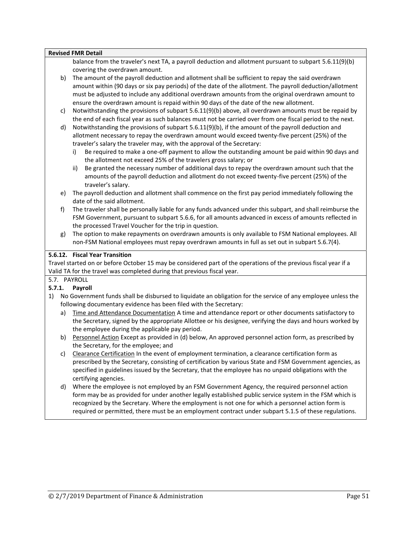|              |    | <b>Revised FMR Detail</b>                                                                                                                                                                                  |
|--------------|----|------------------------------------------------------------------------------------------------------------------------------------------------------------------------------------------------------------|
|              |    | balance from the traveler's next TA, a payroll deduction and allotment pursuant to subpart 5.6.11(9)(b)                                                                                                    |
|              |    | covering the overdrawn amount.                                                                                                                                                                             |
|              | b) | The amount of the payroll deduction and allotment shall be sufficient to repay the said overdrawn                                                                                                          |
|              |    | amount within (90 days or six pay periods) of the date of the allotment. The payroll deduction/allotment                                                                                                   |
|              |    | must be adjusted to include any additional overdrawn amounts from the original overdrawn amount to                                                                                                         |
|              |    | ensure the overdrawn amount is repaid within 90 days of the date of the new allotment.                                                                                                                     |
|              | c) | Notwithstanding the provisions of subpart 5.6.11(9)(b) above, all overdrawn amounts must be repaid by                                                                                                      |
|              |    | the end of each fiscal year as such balances must not be carried over from one fiscal period to the next.                                                                                                  |
|              | d) | Notwithstanding the provisions of subpart 5.6.11(9)(b), if the amount of the payroll deduction and                                                                                                         |
|              |    | allotment necessary to repay the overdrawn amount would exceed twenty-five percent (25%) of the                                                                                                            |
|              |    |                                                                                                                                                                                                            |
|              |    | traveler's salary the traveler may, with the approval of the Secretary:                                                                                                                                    |
|              |    | Be required to make a one-off payment to allow the outstanding amount be paid within 90 days and<br>i)<br>the allotment not exceed 25% of the travelers gross salary; or                                   |
|              |    | Be granted the necessary number of additional days to repay the overdrawn amount such that the<br>ii)                                                                                                      |
|              |    | amounts of the payroll deduction and allotment do not exceed twenty-five percent (25%) of the                                                                                                              |
|              |    | traveler's salary.                                                                                                                                                                                         |
|              | e) | The payroll deduction and allotment shall commence on the first pay period immediately following the                                                                                                       |
|              |    | date of the said allotment.                                                                                                                                                                                |
|              | f) | The traveler shall be personally liable for any funds advanced under this subpart, and shall reimburse the                                                                                                 |
|              |    | FSM Government, pursuant to subpart 5.6.6, for all amounts advanced in excess of amounts reflected in                                                                                                      |
|              |    | the processed Travel Voucher for the trip in question.                                                                                                                                                     |
|              | g) | The option to make repayments on overdrawn amounts is only available to FSM National employees. All                                                                                                        |
|              |    |                                                                                                                                                                                                            |
|              |    |                                                                                                                                                                                                            |
|              |    | non-FSM National employees must repay overdrawn amounts in full as set out in subpart 5.6.7(4).                                                                                                            |
|              |    | 5.6.12. Fiscal Year Transition                                                                                                                                                                             |
|              |    | Travel started on or before October 15 may be considered part of the operations of the previous fiscal year if a                                                                                           |
|              |    | Valid TA for the travel was completed during that previous fiscal year.                                                                                                                                    |
|              |    | 5.7. PAYROLL                                                                                                                                                                                               |
|              |    | Payroll                                                                                                                                                                                                    |
|              |    | No Government funds shall be disbursed to liquidate an obligation for the service of any employee unless the                                                                                               |
|              |    | following documentary evidence has been filed with the Secretary:                                                                                                                                          |
|              | a) | Time and Attendance Documentation A time and attendance report or other documents satisfactory to                                                                                                          |
|              |    | the Secretary, signed by the appropriate Allottee or his designee, verifying the days and hours worked by                                                                                                  |
|              |    | the employee during the applicable pay period.                                                                                                                                                             |
|              | b) | Personnel Action Except as provided in (d) below, An approved personnel action form, as prescribed by                                                                                                      |
| 5.7.1.<br>1) |    | the Secretary, for the employee; and                                                                                                                                                                       |
|              | C) |                                                                                                                                                                                                            |
|              |    | Clearance Certification In the event of employment termination, a clearance certification form as                                                                                                          |
|              |    | prescribed by the Secretary, consisting of certification by various State and FSM Government agencies, as                                                                                                  |
|              |    | specified in guidelines issued by the Secretary, that the employee has no unpaid obligations with the                                                                                                      |
|              |    | certifying agencies.                                                                                                                                                                                       |
|              | d) | Where the employee is not employed by an FSM Government Agency, the required personnel action                                                                                                              |
|              |    | form may be as provided for under another legally established public service system in the FSM which is                                                                                                    |
|              |    | recognized by the Secretary. Where the employment is not one for which a personnel action form is<br>required or permitted, there must be an employment contract under subpart 5.1.5 of these regulations. |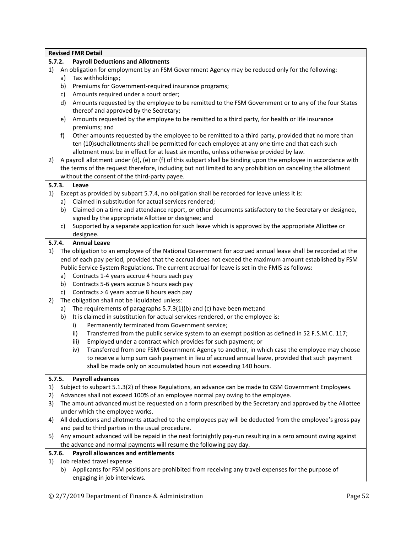|          |    | <b>Revised FMR Detail</b>                                                                                                                                                                                                                                                                                                                                                                                          |
|----------|----|--------------------------------------------------------------------------------------------------------------------------------------------------------------------------------------------------------------------------------------------------------------------------------------------------------------------------------------------------------------------------------------------------------------------|
| 5.7.2.   |    | <b>Payroll Deductions and Allotments</b>                                                                                                                                                                                                                                                                                                                                                                           |
| 1)       |    | An obligation for employment by an FSM Government Agency may be reduced only for the following:                                                                                                                                                                                                                                                                                                                    |
|          | a) | Tax withholdings;                                                                                                                                                                                                                                                                                                                                                                                                  |
|          | b) | Premiums for Government-required insurance programs;                                                                                                                                                                                                                                                                                                                                                               |
|          | c) | Amounts required under a court order;                                                                                                                                                                                                                                                                                                                                                                              |
|          | d) | Amounts requested by the employee to be remitted to the FSM Government or to any of the four States                                                                                                                                                                                                                                                                                                                |
|          |    | thereof and approved by the Secretary;                                                                                                                                                                                                                                                                                                                                                                             |
|          | e) | Amounts requested by the employee to be remitted to a third party, for health or life insurance                                                                                                                                                                                                                                                                                                                    |
|          |    | premiums; and                                                                                                                                                                                                                                                                                                                                                                                                      |
| 2)       | f) | Other amounts requested by the employee to be remitted to a third party, provided that no more than<br>ten (10)suchallotments shall be permitted for each employee at any one time and that each such<br>allotment must be in effect for at least six months, unless otherwise provided by law.<br>A payroll allotment under (d), (e) or (f) of this subpart shall be binding upon the employee in accordance with |
|          |    | the terms of the request therefore, including but not limited to any prohibition on canceling the allotment                                                                                                                                                                                                                                                                                                        |
|          |    | without the consent of the third-party payee.                                                                                                                                                                                                                                                                                                                                                                      |
| 5.7.3.   |    | Leave                                                                                                                                                                                                                                                                                                                                                                                                              |
| 1)       |    | Except as provided by subpart 5.7.4, no obligation shall be recorded for leave unless it is:                                                                                                                                                                                                                                                                                                                       |
|          | a) | Claimed in substitution for actual services rendered;                                                                                                                                                                                                                                                                                                                                                              |
|          | b) | Claimed on a time and attendance report, or other documents satisfactory to the Secretary or designee,                                                                                                                                                                                                                                                                                                             |
|          |    | signed by the appropriate Allottee or designee; and                                                                                                                                                                                                                                                                                                                                                                |
|          | C) | Supported by a separate application for such leave which is approved by the appropriate Allottee or                                                                                                                                                                                                                                                                                                                |
|          |    | designee.                                                                                                                                                                                                                                                                                                                                                                                                          |
| 5.7.4.   |    | <b>Annual Leave</b>                                                                                                                                                                                                                                                                                                                                                                                                |
| 1)       |    | The obligation to an employee of the National Government for accrued annual leave shall be recorded at the<br>end of each pay period, provided that the accrual does not exceed the maximum amount established by FSM<br>Public Service System Regulations. The current accrual for leave is set in the FMIS as follows:                                                                                           |
|          | a) | Contracts 1-4 years accrue 4 hours each pay                                                                                                                                                                                                                                                                                                                                                                        |
|          | b) | Contracts 5-6 years accrue 6 hours each pay                                                                                                                                                                                                                                                                                                                                                                        |
|          | c) | Contracts > 6 years accrue 8 hours each pay                                                                                                                                                                                                                                                                                                                                                                        |
| 2)       |    | The obligation shall not be liquidated unless:                                                                                                                                                                                                                                                                                                                                                                     |
|          | a) | The requirements of paragraphs 5.7.3(1)(b) and (c) have been met; and                                                                                                                                                                                                                                                                                                                                              |
|          | b) | It is claimed in substitution for actual services rendered, or the employee is:                                                                                                                                                                                                                                                                                                                                    |
|          |    | Permanently terminated from Government service;<br>i)                                                                                                                                                                                                                                                                                                                                                              |
|          |    | Transferred from the public service system to an exempt position as defined in 52 F.S.M.C. 117;<br>ii)                                                                                                                                                                                                                                                                                                             |
|          |    | Employed under a contract which provides for such payment; or<br>iii)                                                                                                                                                                                                                                                                                                                                              |
|          |    | Transferred from one FSM Government Agency to another, in which case the employee may choose<br>iv)<br>to receive a lump sum cash payment in lieu of accrued annual leave, provided that such payment<br>shall be made only on accumulated hours not exceeding 140 hours.                                                                                                                                          |
| 5.7.5.   |    | <b>Payroll advances</b>                                                                                                                                                                                                                                                                                                                                                                                            |
| 1)<br>2) |    | Subject to subpart 5.1.3(2) of these Regulations, an advance can be made to GSM Government Employees.<br>Advances shall not exceed 100% of an employee normal pay owing to the employee.                                                                                                                                                                                                                           |
| 3)       |    | The amount advanced must be requested on a form prescribed by the Secretary and approved by the Allottee                                                                                                                                                                                                                                                                                                           |
|          |    | under which the employee works.                                                                                                                                                                                                                                                                                                                                                                                    |
| 4)       |    | All deductions and allotments attached to the employees pay will be deducted from the employee's gross pay                                                                                                                                                                                                                                                                                                         |
|          |    | and paid to third parties in the usual procedure.                                                                                                                                                                                                                                                                                                                                                                  |
| 5)       |    | Any amount advanced will be repaid in the next fortnightly pay-run resulting in a zero amount owing against                                                                                                                                                                                                                                                                                                        |
|          |    | the advance and normal payments will resume the following pay day.                                                                                                                                                                                                                                                                                                                                                 |
| 5.7.6.   |    | <b>Payroll allowances and entitlements</b>                                                                                                                                                                                                                                                                                                                                                                         |
| 1)       |    | Job related travel expense                                                                                                                                                                                                                                                                                                                                                                                         |
|          |    | b) Applicants for FSM positions are prohibited from receiving any travel expenses for the purpose of<br>engaging in job interviews.                                                                                                                                                                                                                                                                                |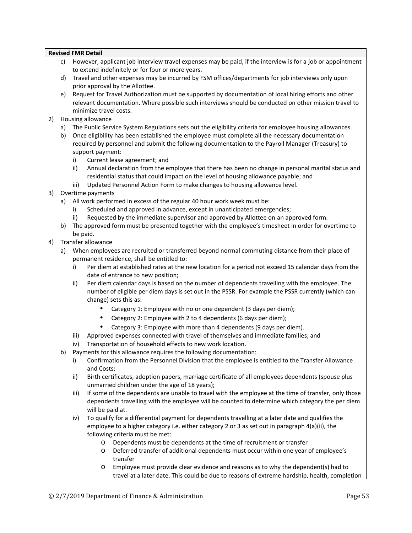# **Revised FMR Detail** c) However, applicant job interview travel expenses may be paid, if the interview is for a job or appointment

- to extend indefinitely or for four or more years. d) Travel and other expenses may be incurred by FSM offices/departments for job interviews only upon prior approval by the Allottee.
- e) Request for Travel Authorization must be supported by documentation of local hiring efforts and other relevant documentation. Where possible such interviews should be conducted on other mission travel to minimize travel costs.
- 2) Housing allowance
	- a) The Public Service System Regulations sets out the eligibility criteria for employee housing allowances.
	- b) Once eligibility has been established the employee must complete all the necessary documentation required by personnel and submit the following documentation to the Payroll Manager (Treasury) to support payment:
		- i) Current lease agreement; and
		- ii) Annual declaration from the employee that there has been no change in personal marital status and residential status that could impact on the level of housing allowance payable; and
		- iii) Updated Personnel Action Form to make changes to housing allowance level.
- 3) Overtime payments
	- a) All work performed in excess of the regular 40 hour work week must be:
		- i) Scheduled and approved in advance, except in unanticipated emergencies;
		- ii) Requested by the immediate supervisor and approved by Allottee on an approved form.
	- b) The approved form must be presented together with the employee's timesheet in order for overtime to be paid.
- 4) Transfer allowance
	- a) When employees are recruited or transferred beyond normal commuting distance from their place of permanent residence, shall be entitled to:
		- i) Per diem at established rates at the new location for a period not exceed 15 calendar days from the date of entrance to new position;
		- ii) Per diem calendar days is based on the number of dependents travelling with the employee. The number of eligible per diem days is set out in the PSSR. For example the PSSR currently (which can change) sets this as:
			- Category 1: Employee with no or one dependent (3 days per diem);
			- Category 2: Employee with 2 to 4 dependents (6 days per diem);
			- Category 3: Employee with more than 4 dependents (9 days per diem).
		- iii) Approved expenses connected with travel of themselves and immediate families; and
		- iv) Transportation of household effects to new work location.
	- b) Payments for this allowance requires the following documentation:
		- i) Confirmation from the Personnel Division that the employee is entitled to the Transfer Allowance and Costs;
		- ii) Birth certificates, adoption papers, marriage certificate of all employees dependents (spouse plus unmarried children under the age of 18 years);
		- iii) If some of the dependents are unable to travel with the employee at the time of transfer, only those dependents travelling with the employee will be counted to determine which category the per diem will be paid at.
		- iv) To qualify for a differential payment for dependents travelling at a later date and qualifies the employee to a higher category i.e. either category 2 or 3 as set out in paragraph 4(a)(ii), the following criteria must be met:
			- o Dependents must be dependents at the time of recruitment or transfer
			- o Deferred transfer of additional dependents must occur within one year of employee's transfer
			- o Employee must provide clear evidence and reasons as to why the dependent(s) had to travel at a later date. This could be due to reasons of extreme hardship, health, completion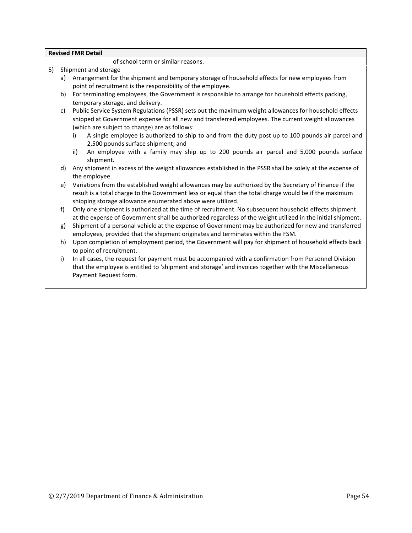of school term or similar reasons.

- 5) Shipment and storage
	- a) Arrangement for the shipment and temporary storage of household effects for new employees from point of recruitment is the responsibility of the employee.
	- b) For terminating employees, the Government is responsible to arrange for household effects packing, temporary storage, and delivery.
	- c) Public Service System Regulations (PSSR) sets out the maximum weight allowances for household effects shipped at Government expense for all new and transferred employees. The current weight allowances (which are subject to change) are as follows:
		- i) A single employee is authorized to ship to and from the duty post up to 100 pounds air parcel and 2,500 pounds surface shipment; and
		- ii) An employee with a family may ship up to 200 pounds air parcel and 5,000 pounds surface shipment.
	- d) Any shipment in excess of the weight allowances established in the PSSR shall be solely at the expense of the employee.
	- e) Variations from the established weight allowances may be authorized by the Secretary of Finance if the result is a total charge to the Government less or equal than the total charge would be if the maximum shipping storage allowance enumerated above were utilized.
	- f) Only one shipment is authorized at the time of recruitment. No subsequent household effects shipment at the expense of Government shall be authorized regardless of the weight utilized in the initial shipment.
	- g) Shipment of a personal vehicle at the expense of Government may be authorized for new and transferred employees, provided that the shipment originates and terminates within the FSM.
	- h) Upon completion of employment period, the Government will pay for shipment of household effects back to point of recruitment.
	- i) In all cases, the request for payment must be accompanied with a confirmation from Personnel Division that the employee is entitled to 'shipment and storage' and invoices together with the Miscellaneous Payment Request form.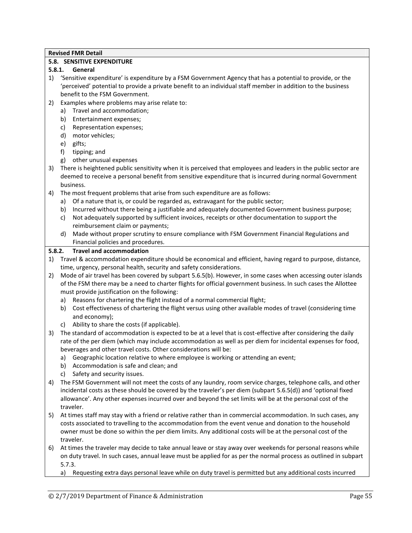### **5.8. SENSITIVE EXPENDITURE**

# **5.8.1. General**

- 1) 'Sensitive expenditure' is expenditure by a FSM Government Agency that has a potential to provide, or the 'perceived' potential to provide a private benefit to an individual staff member in addition to the business benefit to the FSM Government.
- 2) Examples where problems may arise relate to:
	- a) Travel and accommodation;
	- b) Entertainment expenses;
	- c) Representation expenses;
	- d) motor vehicles;
	- e) gifts;
	- f) tipping; and
	- g) other unusual expenses
- 3) There is heightened public sensitivity when it is perceived that employees and leaders in the public sector are deemed to receive a personal benefit from sensitive expenditure that is incurred during normal Government business.
- 4) The most frequent problems that arise from such expenditure are as follows:
	- a) Of a nature that is, or could be regarded as, extravagant for the public sector;
	- b) Incurred without there being a justifiable and adequately documented Government business purpose;
	- c) Not adequately supported by sufficient invoices, receipts or other documentation to support the reimbursement claim or payments;
	- d) Made without proper scrutiny to ensure compliance with FSM Government Financial Regulations and Financial policies and procedures.

#### **5.8.2. Travel and accommodation**

- 1) Travel & accommodation expenditure should be economical and efficient, having regard to purpose, distance, time, urgency, personal health, security and safety considerations.
- 2) Mode of air travel has been covered by subpart 5.6.5(b). However, in some cases when accessing outer islands of the FSM there may be a need to charter flights for official government business. In such cases the Allottee must provide justification on the following:
	- a) Reasons for chartering the flight instead of a normal commercial flight;
	- b) Cost effectiveness of chartering the flight versus using other available modes of travel (considering time and economy);
	- c) Ability to share the costs (if applicable).
- 3) The standard of accommodation is expected to be at a level that is cost-effective after considering the daily rate of the per diem (which may include accommodation as well as per diem for incidental expenses for food, beverages and other travel costs. Other considerations will be:
	- a) Geographic location relative to where employee is working or attending an event;
	- b) Accommodation is safe and clean; and
	- c) Safety and security issues.
- 4) The FSM Government will not meet the costs of any laundry, room service charges, telephone calls, and other incidental costs as these should be covered by the traveler's per diem (subpart 5.6.5(d)) and 'optional fixed allowance'. Any other expenses incurred over and beyond the set limits will be at the personal cost of the traveler.
- 5) At times staff may stay with a friend or relative rather than in commercial accommodation. In such cases, any costs associated to travelling to the accommodation from the event venue and donation to the household owner must be done so within the per diem limits. Any additional costs will be at the personal cost of the traveler.
- 6) At times the traveler may decide to take annual leave or stay away over weekends for personal reasons while on duty travel. In such cases, annual leave must be applied for as per the normal process as outlined in subpart 5.7.3.
	- a) Requesting extra days personal leave while on duty travel is permitted but any additional costs incurred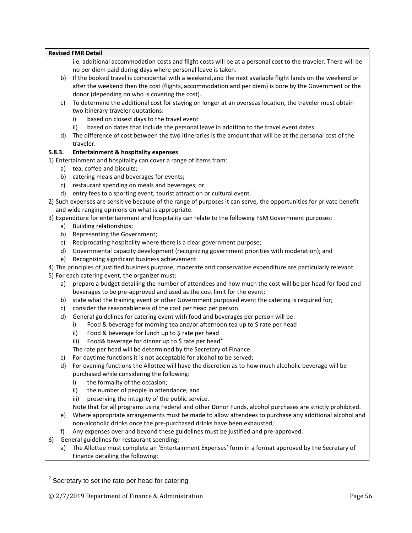|        |    | <b>Revised FMR Detail</b>                                                                                           |
|--------|----|---------------------------------------------------------------------------------------------------------------------|
|        |    | i.e. additional accommodation costs and flight costs will be at a personal cost to the traveler. There will be      |
|        |    | no per diem paid during days where personal leave is taken.                                                         |
|        | b) | If the booked travel is coincidental with a weekend, and the next available flight lands on the weekend or          |
|        |    | after the weekend then the cost (flights, accommodation and per diem) is bore by the Government or the              |
|        |    | donor (depending on who is covering the cost).                                                                      |
|        | c) | To determine the additional cost for staying on longer at an overseas location, the traveler must obtain            |
|        |    | two itinerary traveler quotations:                                                                                  |
|        |    | based on closest days to the travel event<br>i)                                                                     |
|        |    | based on dates that include the personal leave in addition to the travel event dates.<br>ii)                        |
|        | d) | The difference of cost between the two itineraries is the amount that will be at the personal cost of the           |
|        |    | traveler.                                                                                                           |
| 5.8.3. |    | <b>Entertainment &amp; hospitality expenses</b>                                                                     |
|        |    | 1) Entertainment and hospitality can cover a range of items from:                                                   |
|        | a) | tea, coffee and biscuits;                                                                                           |
|        | b) | catering meals and beverages for events;                                                                            |
|        | c) | restaurant spending on meals and beverages; or                                                                      |
|        | d) | entry fees to a sporting event, tourist attraction or cultural event.                                               |
|        |    | 2) Such expenses are sensitive because of the range of purposes it can serve, the opportunities for private benefit |
|        |    | and wide ranging opinions on what is appropriate.                                                                   |
|        |    | 3) Expenditure for entertainment and hospitality can relate to the following FSM Government purposes:               |
|        | a) | Building relationships;                                                                                             |
|        | b) | Representing the Government;                                                                                        |
|        | c) | Reciprocating hospitality where there is a clear government purpose;                                                |
|        | d) | Governmental capacity development (recognizing government priorities with moderation); and                          |
|        | e) | Recognizing significant business achievement.                                                                       |
|        |    | 4) The principles of justified business purpose, moderate and conservative expenditure are particularly relevant.   |
|        |    | 5) For each catering event, the organizer must:                                                                     |
|        | a) | prepare a budget detailing the number of attendees and how much the cost will be per head for food and              |
|        |    | beverages to be pre-approved and used as the cost limit for the event;                                              |
|        | b) | state what the training event or other Government purposed event the catering is required for;                      |
|        | c) | consider the reasonableness of the cost per head per person.                                                        |
|        | d) | General guidelines for catering event with food and beverages per person will be:                                   |
|        |    | Food & beverage for morning tea and/or afternoon tea up to \$ rate per head<br>i)                                   |
|        |    | Food & beverage for lunch up to \$ rate per head<br>ii)                                                             |
|        |    | Food& beverage for dinner up to \$ rate per head <sup>2</sup><br>iii)                                               |
|        |    | The rate per head will be determined by the Secretary of Finance.                                                   |
|        | c) | For daytime functions it is not acceptable for alcohol to be served;                                                |
|        | d) | For evening functions the Allottee will have the discretion as to how much alcoholic beverage will be               |
|        |    | purchased while considering the following:                                                                          |
|        |    | the formality of the occasion;<br>i)                                                                                |
|        |    | the number of people in attendance; and<br>ii)                                                                      |
|        |    | preserving the integrity of the public service.<br>iii)                                                             |
|        |    | Note that for all programs using Federal and other Donor Funds, alcohol purchases are strictly prohibited.          |
|        | e) | Where appropriate arrangements must be made to allow attendees to purchase any additional alcohol and               |
|        |    | non-alcoholic drinks once the pre-purchased drinks have been exhausted;                                             |
|        | f) | Any expenses over and beyond these guidelines must be justified and pre-approved.                                   |
| 6)     |    | General guidelines for restaurant spending:                                                                         |
|        | a) | The Allottee must complete an 'Entertainment Expenses' form in a format approved by the Secretary of                |
|        |    | Finance detailing the following:                                                                                    |
|        |    |                                                                                                                     |
|        |    |                                                                                                                     |
|        |    | $2$ Secretary to set the rate per head for catering                                                                 |
|        |    |                                                                                                                     |
|        |    | Page 56<br>© 2/7/2019 Department of Finance & Administration                                                        |
|        |    |                                                                                                                     |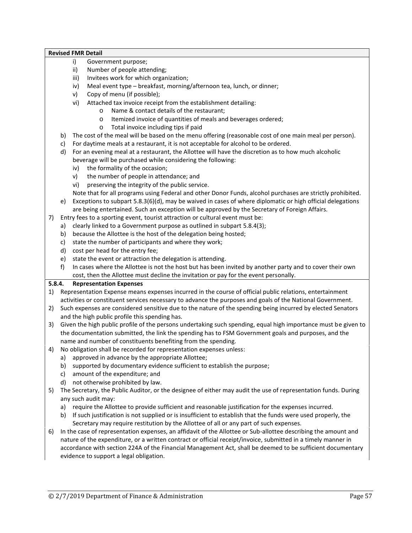- i) Government purpose;
- ii) Number of people attending;
- iii) Invitees work for which organization;
- iv) Meal event type breakfast, morning/afternoon tea, lunch, or dinner;
- v) Copy of menu (if possible);
- vi) Attached tax invoice receipt from the establishment detailing:
	- o Name & contact details of the restaurant;
	- o Itemized invoice of quantities of meals and beverages ordered;
	- o Total invoice including tips if paid
- b) The cost of the meal will be based on the menu offering (reasonable cost of one main meal per person).
- c) For daytime meals at a restaurant, it is not acceptable for alcohol to be ordered.
- d) For an evening meal at a restaurant, the Allottee will have the discretion as to how much alcoholic beverage will be purchased while considering the following:
	- iv) the formality of the occasion;
	- v) the number of people in attendance; and
	- vi) preserving the integrity of the public service.

Note that for all programs using Federal and other Donor Funds, alcohol purchases are strictly prohibited.

- e) Exceptions to subpart 5.8.3(6)(d), may be waived in cases of where diplomatic or high official delegations are being entertained. Such an exception will be approved by the Secretary of Foreign Affairs.
- 7) Entry fees to a sporting event, tourist attraction or cultural event must be:
	- a) clearly linked to a Government purpose as outlined in subpart 5.8.4(3);
	- b) because the Allottee is the host of the delegation being hosted;
	- c) state the number of participants and where they work;
	- d) cost per head for the entry fee;
	- e) state the event or attraction the delegation is attending.
	- f) In cases where the Allottee is not the host but has been invited by another party and to cover their own cost, then the Allottee must decline the invitation or pay for the event personally.

# **5.8.4. Representation Expenses**

- 1) Representation Expense means expenses incurred in the course of official public relations, entertainment activities or constituent services necessary to advance the purposes and goals of the National Government.
- 2) Such expenses are considered sensitive due to the nature of the spending being incurred by elected Senators and the high public profile this spending has.
- 3) Given the high public profile of the persons undertaking such spending, equal high importance must be given to the documentation submitted, the link the spending has to FSM Government goals and purposes, and the name and number of constituents benefiting from the spending.
- 4) No obligation shall be recorded for representation expenses unless:
	- a) approved in advance by the appropriate Allottee;
	- b) supported by documentary evidence sufficient to establish the purpose;
	- c) amount of the expenditure; and
	- d) not otherwise prohibited by law.
- 5) The Secretary, the Public Auditor, or the designee of either may audit the use of representation funds. During any such audit may:
	- a) require the Allottee to provide sufficient and reasonable justification for the expenses incurred.
	- b) If such justification is not supplied or is insufficient to establish that the funds were used properly, the Secretary may require restitution by the Allottee of all or any part of such expenses.
- 6) In the case of representation expenses, an affidavit of the Allottee or Sub-allottee describing the amount and nature of the expenditure, or a written contract or official receipt/invoice, submitted in a timely manner in accordance with section 224A of the Financial Management Act, shall be deemed to be sufficient documentary evidence to support a legal obligation.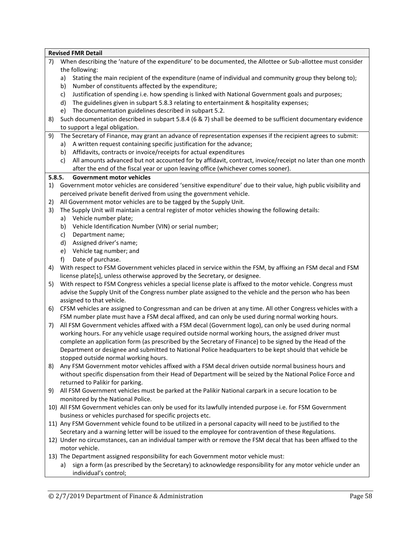|        | <b>Revised FMR Detail</b>                                                                                                        |
|--------|----------------------------------------------------------------------------------------------------------------------------------|
| 7)     | When describing the 'nature of the expenditure' to be documented, the Allottee or Sub-allottee must consider                     |
|        | the following:                                                                                                                   |
|        | Stating the main recipient of the expenditure (name of individual and community group they belong to);<br>a)                     |
|        | Number of constituents affected by the expenditure;<br>b)                                                                        |
|        | Justification of spending i.e. how spending is linked with National Government goals and purposes;<br>c)                         |
|        | The guidelines given in subpart 5.8.3 relating to entertainment & hospitality expenses;<br>d)                                    |
|        | The documentation guidelines described in subpart 5.2.<br>e)                                                                     |
| 8)     | Such documentation described in subpart 5.8.4 (6 & 7) shall be deemed to be sufficient documentary evidence                      |
|        | to support a legal obligation.                                                                                                   |
| 9)     | The Secretary of Finance, may grant an advance of representation expenses if the recipient agrees to submit:                     |
|        | A written request containing specific justification for the advance;<br>a)                                                       |
|        | Affidavits, contracts or invoice/receipts for actual expenditures<br>b)                                                          |
|        | All amounts advanced but not accounted for by affidavit, contract, invoice/receipt no later than one month<br>c)                 |
|        | after the end of the fiscal year or upon leaving office (whichever comes sooner).                                                |
| 5.8.5. | <b>Government motor vehicles</b>                                                                                                 |
| 1)     | Government motor vehicles are considered 'sensitive expenditure' due to their value, high public visibility and                  |
|        | perceived private benefit derived from using the government vehicle.                                                             |
| 2)     | All Government motor vehicles are to be tagged by the Supply Unit.                                                               |
| 3)     | The Supply Unit will maintain a central register of motor vehicles showing the following details:<br>Vehicle number plate;<br>a) |
|        | Vehicle Identification Number (VIN) or serial number;<br>b)                                                                      |
|        | Department name;<br>c)                                                                                                           |
|        | Assigned driver's name;<br>d)                                                                                                    |
|        | Vehicle tag number; and<br>e)                                                                                                    |
|        | f)<br>Date of purchase.                                                                                                          |
| 4)     | With respect to FSM Government vehicles placed in service within the FSM, by affixing an FSM decal and FSM                       |
|        | license plate[s], unless otherwise approved by the Secretary, or designee.                                                       |
| 5)     | With respect to FSM Congress vehicles a special license plate is affixed to the motor vehicle. Congress must                     |
|        | advise the Supply Unit of the Congress number plate assigned to the vehicle and the person who has been                          |
|        | assigned to that vehicle.                                                                                                        |
| 6)     | CFSM vehicles are assigned to Congressman and can be driven at any time. All other Congress vehicles with a                      |
|        | FSM number plate must have a FSM decal affixed, and can only be used during normal working hours.                                |
| 7)     | All FSM Government vehicles affixed with a FSM decal (Government logo), can only be used during normal                           |
|        | working hours. For any vehicle usage required outside normal working hours, the assigned driver must                             |
|        | complete an application form (as prescribed by the Secretary of Finance) to be signed by the Head of the                         |
|        | Department or designee and submitted to National Police headquarters to be kept should that vehicle be                           |
|        | stopped outside normal working hours.                                                                                            |
| 8)     | Any FSM Government motor vehicles affixed with a FSM decal driven outside normal business hours and                              |
|        | without specific dispensation from their Head of Department will be seized by the National Police Force and                      |
|        | returned to Palikir for parking.                                                                                                 |
| 9)     | All FSM Government vehicles must be parked at the Palikir National carpark in a secure location to be                            |
|        | monitored by the National Police.                                                                                                |
|        | 10) All FSM Government vehicles can only be used for its lawfully intended purpose i.e. for FSM Government                       |
|        | business or vehicles purchased for specific projects etc.                                                                        |
|        | 11) Any FSM Government vehicle found to be utilized in a personal capacity will need to be justified to the                      |
|        | Secretary and a warning letter will be issued to the employee for contravention of these Regulations.                            |
|        | 12) Under no circumstances, can an individual tamper with or remove the FSM decal that has been affixed to the<br>motor vehicle. |
|        | 13) The Department assigned responsibility for each Government motor vehicle must:                                               |
|        | sign a form (as prescribed by the Secretary) to acknowledge responsibility for any motor vehicle under an<br>a)                  |
|        | individual's control;                                                                                                            |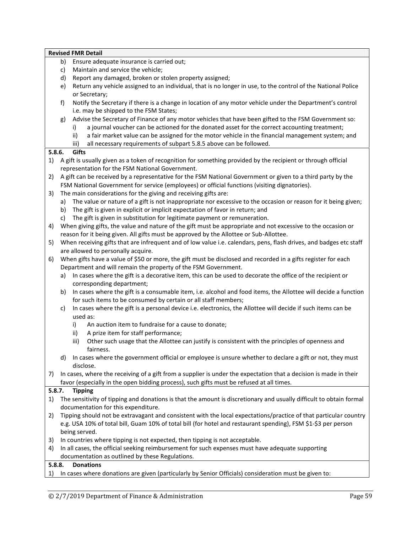|        | Ensure adequate insurance is carried out;<br>b)                                                                                |
|--------|--------------------------------------------------------------------------------------------------------------------------------|
|        | Maintain and service the vehicle;<br>c)                                                                                        |
|        | Report any damaged, broken or stolen property assigned;<br>d)                                                                  |
|        | Return any vehicle assigned to an individual, that is no longer in use, to the control of the National Police<br>e)            |
|        | or Secretary;                                                                                                                  |
|        | Notify the Secretary if there is a change in location of any motor vehicle under the Department's control<br>f)                |
|        | i.e. may be shipped to the FSM States;                                                                                         |
|        | Advise the Secretary of Finance of any motor vehicles that have been gifted to the FSM Government so:<br>g)                    |
|        | a journal voucher can be actioned for the donated asset for the correct accounting treatment;<br>i)                            |
|        | a fair market value can be assigned for the motor vehicle in the financial management system; and<br>ii)                       |
|        | all necessary requirements of subpart 5.8.5 above can be followed.<br>iii)                                                     |
| 5.8.6. | Gifts                                                                                                                          |
| 1)     | A gift is usually given as a token of recognition for something provided by the recipient or through official                  |
|        | representation for the FSM National Government.                                                                                |
| 2)     | A gift can be received by a representative for the FSM National Government or given to a third party by the                    |
|        | FSM National Government for service (employees) or official functions (visiting dignatories).                                  |
| 3)     | The main considerations for the giving and receiving gifts are:                                                                |
|        | The value or nature of a gift is not inappropriate nor excessive to the occasion or reason for it being given;<br>a)           |
|        | The gift is given in explicit or implicit expectation of favor in return; and<br>b)                                            |
|        | The gift is given in substitution for legitimate payment or remuneration.<br>c)                                                |
| 4)     | When giving gifts, the value and nature of the gift must be appropriate and not excessive to the occasion or                   |
|        | reason for it being given. All gifts must be approved by the Allottee or Sub-Allottee.                                         |
| 5)     | When receiving gifts that are infrequent and of low value i.e. calendars, pens, flash drives, and badges etc staff             |
|        | are allowed to personally acquire.                                                                                             |
| 6)     | When gifts have a value of \$50 or more, the gift must be disclosed and recorded in a gifts register for each                  |
|        | Department and will remain the property of the FSM Government.                                                                 |
|        | In cases where the gift is a decorative item, this can be used to decorate the office of the recipient or<br>a)                |
|        | corresponding department;                                                                                                      |
|        | In cases where the gift is a consumable item, i.e. alcohol and food items, the Allottee will decide a function<br>b)           |
|        | for such items to be consumed by certain or all staff members;                                                                 |
|        | In cases where the gift is a personal device i.e. electronics, the Allottee will decide if such items can be<br>C)<br>used as: |
|        | i)<br>An auction item to fundraise for a cause to donate;                                                                      |
|        | ii)<br>A prize item for staff performance;                                                                                     |
|        | Other such usage that the Allottee can justify is consistent with the principles of openness and<br>iii)                       |
|        | fairness.                                                                                                                      |
|        | In cases where the government official or employee is unsure whether to declare a gift or not, they must<br>d)                 |
|        | disclose.                                                                                                                      |
| 7)     | In cases, where the receiving of a gift from a supplier is under the expectation that a decision is made in their              |
|        | favor (especially in the open bidding process), such gifts must be refused at all times.                                       |
| 5.8.7. | <b>Tipping</b>                                                                                                                 |
| 1)     | The sensitivity of tipping and donations is that the amount is discretionary and usually difficult to obtain formal            |
|        | documentation for this expenditure.                                                                                            |
| 2)     | Tipping should not be extravagant and consistent with the local expectations/practice of that particular country               |
|        | e.g. USA 10% of total bill, Guam 10% of total bill (for hotel and restaurant spending), FSM \$1-\$3 per person                 |
|        | being served.                                                                                                                  |
| 3)     | In countries where tipping is not expected, then tipping is not acceptable.                                                    |
| 4)     | In all cases, the official seeking reimbursement for such expenses must have adequate supporting                               |
|        | documentation as outlined by these Regulations.                                                                                |
| 5.8.8. | <b>Donations</b>                                                                                                               |
|        | In cases where donations are given (particularly by Senior Officials) consideration must be given to:                          |
| 1)     |                                                                                                                                |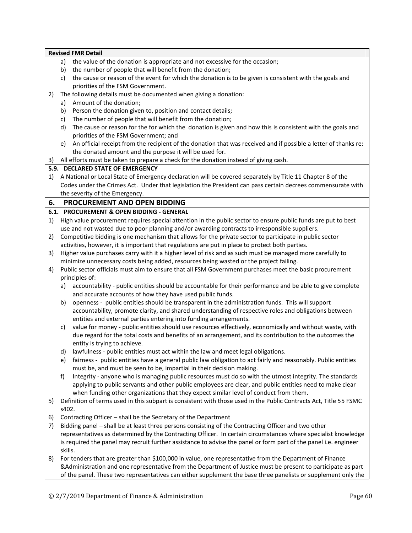|          |         | <b>Revised FMR Detail</b>                                                                                                                          |
|----------|---------|----------------------------------------------------------------------------------------------------------------------------------------------------|
|          | a)      | the value of the donation is appropriate and not excessive for the occasion;                                                                       |
|          | b)      | the number of people that will benefit from the donation;                                                                                          |
|          | c)      | the cause or reason of the event for which the donation is to be given is consistent with the goals and                                            |
|          |         | priorities of the FSM Government.                                                                                                                  |
| 2)       |         | The following details must be documented when giving a donation:                                                                                   |
|          | a)      | Amount of the donation;                                                                                                                            |
|          | b)      | Person the donation given to, position and contact details;                                                                                        |
|          | c)      | The number of people that will benefit from the donation;                                                                                          |
|          | d)      | The cause or reason for the for which the donation is given and how this is consistent with the goals and<br>priorities of the FSM Government; and |
|          | e)      | An official receipt from the recipient of the donation that was received and if possible a letter of thanks re:                                    |
|          |         | the donated amount and the purpose it will be used for.                                                                                            |
| 3)       |         | All efforts must be taken to prepare a check for the donation instead of giving cash.                                                              |
|          |         | 5.9. DECLARED STATE OF EMERGENCY                                                                                                                   |
| 1)       |         | A National or Local State of Emergency declaration will be covered separately by Title 11 Chapter 8 of the                                         |
|          |         | Codes under the Crimes Act. Under that legislation the President can pass certain decrees commensurate with                                        |
|          |         | the severity of the Emergency.                                                                                                                     |
|          |         | PROCUREMENT AND OPEN BIDDING                                                                                                                       |
| 6.       |         |                                                                                                                                                    |
|          |         | 6.1. PROCUREMENT & OPEN BIDDING - GENERAL                                                                                                          |
| 1)       |         | High value procurement requires special attention in the public sector to ensure public funds are put to best                                      |
|          |         | use and not wasted due to poor planning and/or awarding contracts to irresponsible suppliers.                                                      |
| 2)       |         | Competitive bidding is one mechanism that allows for the private sector to participate in public sector                                            |
|          |         | activities, however, it is important that regulations are put in place to protect both parties.                                                    |
| 3)       |         | Higher value purchases carry with it a higher level of risk and as such must be managed more carefully to                                          |
|          |         | minimize unnecessary costs being added, resources being wasted or the project failing.                                                             |
| 4)       |         | Public sector officials must aim to ensure that all FSM Government purchases meet the basic procurement<br>principles of:                          |
|          | a)      | accountability - public entities should be accountable for their performance and be able to give complete                                          |
|          |         | and accurate accounts of how they have used public funds.                                                                                          |
|          | b)      | openness - public entities should be transparent in the administration funds. This will support                                                    |
|          |         | accountability, promote clarity, and shared understanding of respective roles and obligations between                                              |
|          |         | entities and external parties entering into funding arrangements.                                                                                  |
|          | C)      | value for money - public entities should use resources effectively, economically and without waste, with                                           |
|          |         | due regard for the total costs and benefits of an arrangement, and its contribution to the outcomes the                                            |
|          |         | entity is trying to achieve.                                                                                                                       |
|          |         | d) lawfulness - public entities must act within the law and meet legal obligations.                                                                |
|          | e)      | fairness - public entities have a general public law obligation to act fairly and reasonably. Public entities                                      |
|          |         | must be, and must be seen to be, impartial in their decision making.                                                                               |
|          | f)      | Integrity - anyone who is managing public resources must do so with the utmost integrity. The standards                                            |
|          |         | applying to public servants and other public employees are clear, and public entities need to make clear                                           |
|          |         | when funding other organizations that they expect similar level of conduct from them.                                                              |
| 5)       | s402.   | Definition of terms used in this subpart is consistent with those used in the Public Contracts Act, Title 55 FSMC                                  |
|          |         | Contracting Officer - shall be the Secretary of the Department                                                                                     |
| 6)<br>7) |         | Bidding panel - shall be at least three persons consisting of the Contracting Officer and two other                                                |
|          |         | representatives as determined by the Contracting Officer. In certain circumstances where specialist knowledge                                      |
|          |         | is required the panel may recruit further assistance to advise the panel or form part of the panel i.e. engineer                                   |
|          | skills. |                                                                                                                                                    |
| 8)       |         | For tenders that are greater than \$100,000 in value, one representative from the Department of Finance                                            |
|          |         | &Administration and one representative from the Department of Justice must be present to participate as part                                       |
|          |         | of the panel. These two representatives can either supplement the base three panelists or supplement only the                                      |
|          |         |                                                                                                                                                    |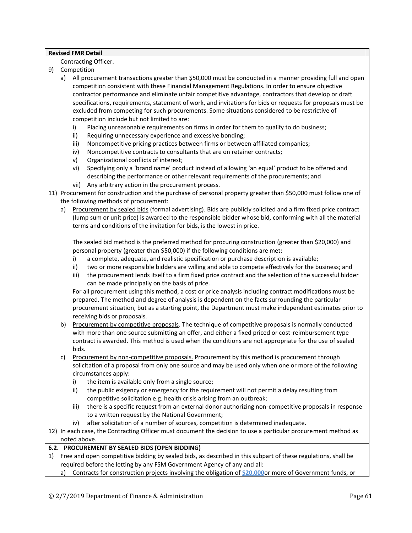#### Contracting Officer.

- 9) Competition
	- a) All procurement transactions greater than \$50,000 must be conducted in a manner providing full and open competition consistent with these Financial Management Regulations. In order to ensure objective contractor performance and eliminate unfair competitive advantage, contractors that develop or draft specifications, requirements, statement of work, and invitations for bids or requests for proposals must be excluded from competing for such procurements. Some situations considered to be restrictive of competition include but not limited to are:
		- i) Placing unreasonable requirements on firms in order for them to qualify to do business;
		- ii) Requiring unnecessary experience and excessive bonding;
		- iii) Noncompetitive pricing practices between firms or between affiliated companies;
		- iv) Noncompetitive contracts to consultants that are on retainer contracts;
		- v) Organizational conflicts of interest;
		- vi) Specifying only a 'brand name' product instead of allowing 'an equal' product to be offered and describing the performance or other relevant requirements of the procurements; and
		- vii) Any arbitrary action in the procurement process.
- 11) Procurement for construction and the purchase of personal property greater than \$50,000 must follow one of the following methods of procurement:
	- a) Procurement by sealed bids (formal advertising). Bids are publicly solicited and a firm fixed price contract (lump sum or unit price) is awarded to the responsible bidder whose bid, conforming with all the material terms and conditions of the invitation for bids, is the lowest in price.

The sealed bid method is the preferred method for procuring construction (greater than \$20,000) and personal property (greater than \$50,000) if the following conditions are met:

- i) a complete, adequate, and realistic specification or purchase description is available;
- ii) two or more responsible bidders are willing and able to compete effectively for the business; and
- iii) the procurement lends itself to a firm fixed price contract and the selection of the successful bidder can be made principally on the basis of price.

For all procurement using this method, a cost or price analysis including contract modifications must be prepared. The method and degree of analysis is dependent on the facts surrounding the particular procurement situation, but as a starting point, the Department must make independent estimates prior to receiving bids or proposals.

- b) Procurement by competitive proposals. The technique of competitive proposals is normally conducted with more than one source submitting an offer, and either a fixed priced or cost-reimbursement type contract is awarded. This method is used when the conditions are not appropriate for the use of sealed bids.
- c) Procurement by non-competitive proposals. Procurement by this method is procurement through solicitation of a proposal from only one source and may be used only when one or more of the following circumstances apply:
	- i) the item is available only from a single source;
	- ii) the public exigency or emergency for the requirement will not permit a delay resulting from competitive solicitation e.g. health crisis arising from an outbreak;
	- iii) there is a specific request from an external donor authorizing non-competitive proposals in response to a written request by the National Government;
	- iv) after solicitation of a number of sources, competition is determined inadequate.
- 12) In each case, the Contracting Officer must document the decision to use a particular procurement method as noted above.

# **6.2. PROCUREMENT BY SEALED BIDS (OPEN BIDDING)**

- 1) Free and open competitive bidding by sealed bids, as described in this subpart of these regulations, shall be required before the letting by any FSM Government Agency of any and all:
	- a) Contracts for construction projects involving the obligation of **\$20,000**or more of Government funds, or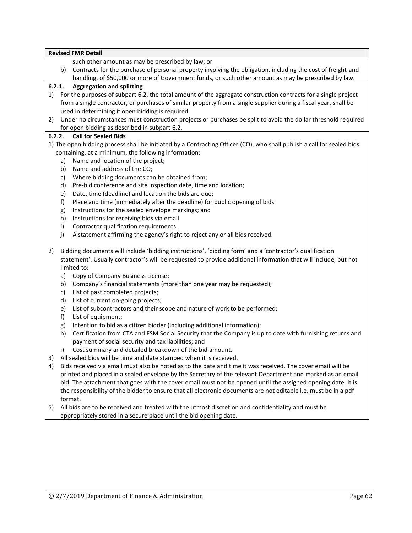|    |        | <b>Revised FMR Detail</b>                                                                                              |
|----|--------|------------------------------------------------------------------------------------------------------------------------|
|    |        | such other amount as may be prescribed by law; or                                                                      |
|    | b)     | Contracts for the purchase of personal property involving the obligation, including the cost of freight and            |
|    |        | handling, of \$50,000 or more of Government funds, or such other amount as may be prescribed by law.                   |
|    | 6.2.1. | <b>Aggregation and splitting</b>                                                                                       |
| 1) |        | For the purposes of subpart 6.2, the total amount of the aggregate construction contracts for a single project         |
|    |        | from a single contractor, or purchases of similar property from a single supplier during a fiscal year, shall be       |
|    |        | used in determining if open bidding is required.                                                                       |
| 2) |        | Under no circumstances must construction projects or purchases be split to avoid the dollar threshold required         |
|    |        | for open bidding as described in subpart 6.2.                                                                          |
|    | 6.2.2. | <b>Call for Sealed Bids</b>                                                                                            |
|    |        | 1) The open bidding process shall be initiated by a Contracting Officer (CO), who shall publish a call for sealed bids |
|    |        | containing, at a minimum, the following information:                                                                   |
|    | a)     | Name and location of the project;                                                                                      |
|    | b)     | Name and address of the CO;                                                                                            |
|    | c)     | Where bidding documents can be obtained from;                                                                          |
|    | d)     | Pre-bid conference and site inspection date, time and location;                                                        |
|    | e)     | Date, time (deadline) and location the bids are due;                                                                   |
|    | f)     | Place and time (immediately after the deadline) for public opening of bids                                             |
|    | g)     | Instructions for the sealed envelope markings; and                                                                     |
|    | h)     | Instructions for receiving bids via email                                                                              |
|    | i)     | Contractor qualification requirements.                                                                                 |
|    | j)     | A statement affirming the agency's right to reject any or all bids received.                                           |
|    |        |                                                                                                                        |
| 2) |        | Bidding documents will include 'bidding instructions', 'bidding form' and a 'contractor's qualification                |
|    |        | statement'. Usually contractor's will be requested to provide additional information that will include, but not        |
|    |        | limited to:                                                                                                            |
|    | a)     | Copy of Company Business License;                                                                                      |
|    | b)     | Company's financial statements (more than one year may be requested);                                                  |
|    | c)     | List of past completed projects;                                                                                       |
|    | d)     | List of current on-going projects;                                                                                     |
|    | e)     | List of subcontractors and their scope and nature of work to be performed;                                             |
|    | f)     | List of equipment;                                                                                                     |
|    | g)     | Intention to bid as a citizen bidder (including additional information);                                               |
|    | h)     | Certification from CTA and FSM Social Security that the Company is up to date with furnishing returns and              |
|    |        | payment of social security and tax liabilities; and                                                                    |
|    |        | i) Cost summary and detailed breakdown of the bid amount.                                                              |
| 3) |        | All sealed bids will be time and date stamped when it is received.                                                     |
|    |        | Bids received via email must also be noted as to the date and time it was received. The cover email will be            |
| 4) |        | printed and placed in a sealed envelope by the Secretary of the relevant Department and marked as an email             |
|    |        | bid. The attachment that goes with the cover email must not be opened until the assigned opening date. It is           |
|    |        | the responsibility of the bidder to ensure that all electronic documents are not editable i.e. must be in a pdf        |
|    |        |                                                                                                                        |
|    |        | format.<br>All bids are to be received and treated with the utmost discretion and confidentiality and must be          |
| 5) |        |                                                                                                                        |

appropriately stored in a secure place until the bid opening date.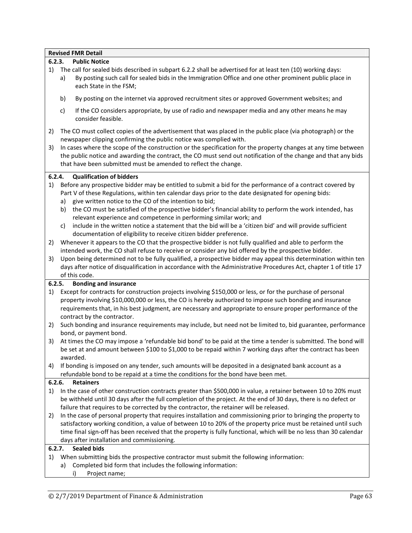|              |          | <b>Revised FMR Detail</b>                                                                                                                                                                                                                                                                                                                                                                                                                                                                |
|--------------|----------|------------------------------------------------------------------------------------------------------------------------------------------------------------------------------------------------------------------------------------------------------------------------------------------------------------------------------------------------------------------------------------------------------------------------------------------------------------------------------------------|
|              | 6.2.3.   | <b>Public Notice</b>                                                                                                                                                                                                                                                                                                                                                                                                                                                                     |
| 1)           | a)       | The call for sealed bids described in subpart 6.2.2 shall be advertised for at least ten (10) working days:<br>By posting such call for sealed bids in the Immigration Office and one other prominent public place in<br>each State in the FSM;                                                                                                                                                                                                                                          |
|              | b)       | By posting on the internet via approved recruitment sites or approved Government websites; and                                                                                                                                                                                                                                                                                                                                                                                           |
|              | c)       | If the CO considers appropriate, by use of radio and newspaper media and any other means he may<br>consider feasible.                                                                                                                                                                                                                                                                                                                                                                    |
| 2)<br>3)     |          | The CO must collect copies of the advertisement that was placed in the public place (via photograph) or the<br>newspaper clipping confirming the public notice was complied with.<br>In cases where the scope of the construction or the specification for the property changes at any time between<br>the public notice and awarding the contract, the CO must send out notification of the change and that any bids<br>that have been submitted must be amended to reflect the change. |
| 6.2.4.       |          | <b>Qualification of bidders</b>                                                                                                                                                                                                                                                                                                                                                                                                                                                          |
| 1)           | a)<br>b) | Before any prospective bidder may be entitled to submit a bid for the performance of a contract covered by<br>Part V of these Regulations, within ten calendar days prior to the date designated for opening bids:<br>give written notice to the CO of the intention to bid;<br>the CO must be satisfied of the prospective bidder's financial ability to perform the work intended, has<br>relevant experience and competence in performing similar work; and                           |
|              | c)       | include in the written notice a statement that the bid will be a 'citizen bid' and will provide sufficient                                                                                                                                                                                                                                                                                                                                                                               |
| 2)           |          | documentation of eligibility to receive citizen bidder preference.<br>Whenever it appears to the CO that the prospective bidder is not fully qualified and able to perform the                                                                                                                                                                                                                                                                                                           |
| 3)           |          | intended work, the CO shall refuse to receive or consider any bid offered by the prospective bidder.<br>Upon being determined not to be fully qualified, a prospective bidder may appeal this determination within ten<br>days after notice of disqualification in accordance with the Administrative Procedures Act, chapter 1 of title 17<br>of this code.                                                                                                                             |
| 6.2.5.       |          | <b>Bonding and insurance</b>                                                                                                                                                                                                                                                                                                                                                                                                                                                             |
| 1)           |          | Except for contracts for construction projects involving \$150,000 or less, or for the purchase of personal                                                                                                                                                                                                                                                                                                                                                                              |
|              |          | property involving \$10,000,000 or less, the CO is hereby authorized to impose such bonding and insurance                                                                                                                                                                                                                                                                                                                                                                                |
|              |          | requirements that, in his best judgment, are necessary and appropriate to ensure proper performance of the<br>contract by the contractor.                                                                                                                                                                                                                                                                                                                                                |
| 2)           |          | Such bonding and insurance requirements may include, but need not be limited to, bid guarantee, performance                                                                                                                                                                                                                                                                                                                                                                              |
| 3)           |          | bond, or payment bond.<br>At times the CO may impose a 'refundable bid bond' to be paid at the time a tender is submitted. The bond will<br>be set at and amount between \$100 to \$1,000 to be repaid within 7 working days after the contract has been<br>awarded.                                                                                                                                                                                                                     |
| 4)           |          | If bonding is imposed on any tender, such amounts will be deposited in a designated bank account as a                                                                                                                                                                                                                                                                                                                                                                                    |
|              |          | refundable bond to be repaid at a time the conditions for the bond have been met.                                                                                                                                                                                                                                                                                                                                                                                                        |
| 6.2.6.<br>1) |          | <b>Retainers</b><br>In the case of other construction contracts greater than \$500,000 in value, a retainer between 10 to 20% must                                                                                                                                                                                                                                                                                                                                                       |
|              |          | be withheld until 30 days after the full completion of the project. At the end of 30 days, there is no defect or<br>failure that requires to be corrected by the contractor, the retainer will be released.                                                                                                                                                                                                                                                                              |
| 2)           |          | In the case of personal property that requires installation and commissioning prior to bringing the property to                                                                                                                                                                                                                                                                                                                                                                          |
|              |          | satisfactory working condition, a value of between 10 to 20% of the property price must be retained until such                                                                                                                                                                                                                                                                                                                                                                           |
|              |          | time final sign-off has been received that the property is fully functional, which will be no less than 30 calendar                                                                                                                                                                                                                                                                                                                                                                      |
|              |          | days after installation and commissioning.                                                                                                                                                                                                                                                                                                                                                                                                                                               |
| 6.2.7.       |          | <b>Sealed bids</b>                                                                                                                                                                                                                                                                                                                                                                                                                                                                       |
| 1)           | a)       | When submitting bids the prospective contractor must submit the following information:<br>Completed bid form that includes the following information:                                                                                                                                                                                                                                                                                                                                    |
|              |          | Project name;<br>i)                                                                                                                                                                                                                                                                                                                                                                                                                                                                      |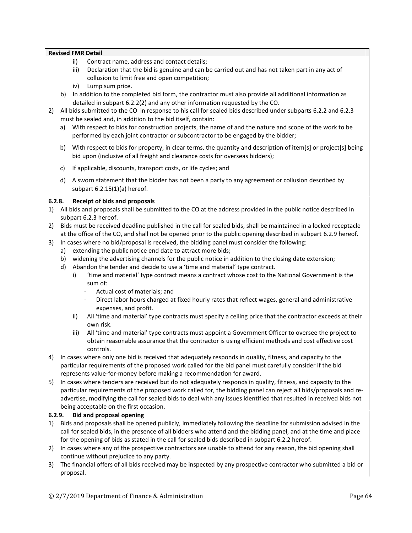|    | <b>Revised FMR Detail</b>                      |                                                                                                                                                                                                                                                                                               |
|----|------------------------------------------------|-----------------------------------------------------------------------------------------------------------------------------------------------------------------------------------------------------------------------------------------------------------------------------------------------|
|    | ii)<br>iii)<br>Lump sum price.<br>iv)          | Contract name, address and contact details;<br>Declaration that the bid is genuine and can be carried out and has not taken part in any act of<br>collusion to limit free and open competition;                                                                                               |
|    | b)                                             | In addition to the completed bid form, the contractor must also provide all additional information as<br>detailed in subpart 6.2.2(2) and any other information requested by the CO.                                                                                                          |
| 2) |                                                | All bids submitted to the CO in response to his call for sealed bids described under subparts 6.2.2 and 6.2.3<br>must be sealed and, in addition to the bid itself, contain:                                                                                                                  |
|    | a)                                             | With respect to bids for construction projects, the name of and the nature and scope of the work to be<br>performed by each joint contractor or subcontractor to be engaged by the bidder;                                                                                                    |
|    | b)                                             | With respect to bids for property, in clear terms, the quantity and description of item[s] or project[s] being<br>bid upon (inclusive of all freight and clearance costs for overseas bidders);                                                                                               |
|    | c)                                             | If applicable, discounts, transport costs, or life cycles; and                                                                                                                                                                                                                                |
|    | d)<br>subpart 6.2.15(1)(a) hereof.             | A sworn statement that the bidder has not been a party to any agreement or collusion described by                                                                                                                                                                                             |
|    | 6.2.8.<br><b>Receipt of bids and proposals</b> |                                                                                                                                                                                                                                                                                               |
| 1) | subpart 6.2.3 hereof.                          | All bids and proposals shall be submitted to the CO at the address provided in the public notice described in                                                                                                                                                                                 |
| 2) |                                                | Bids must be received deadline published in the call for sealed bids, shall be maintained in a locked receptacle                                                                                                                                                                              |
|    |                                                | at the office of the CO, and shall not be opened prior to the public opening described in subpart 6.2.9 hereof.                                                                                                                                                                               |
| 3) |                                                | In cases where no bid/proposal is received, the bidding panel must consider the following:                                                                                                                                                                                                    |
|    | a)<br>b)                                       | extending the public notice end date to attract more bids;<br>widening the advertising channels for the public notice in addition to the closing date extension;                                                                                                                              |
|    | d)                                             | Abandon the tender and decide to use a 'time and material' type contract.                                                                                                                                                                                                                     |
|    | i)<br>sum of:                                  | 'time and material' type contract means a contract whose cost to the National Government is the                                                                                                                                                                                               |
|    |                                                | Actual cost of materials; and<br>Direct labor hours charged at fixed hourly rates that reflect wages, general and administrative                                                                                                                                                              |
|    | expenses, and profit.                          |                                                                                                                                                                                                                                                                                               |
|    | ii)<br>own risk.                               | All 'time and material' type contracts must specify a ceiling price that the contractor exceeds at their                                                                                                                                                                                      |
|    | iii)<br>controls.                              | All 'time and material' type contracts must appoint a Government Officer to oversee the project to<br>obtain reasonable assurance that the contractor is using efficient methods and cost effective cost                                                                                      |
| 4) |                                                | In cases where only one bid is received that adequately responds in quality, fitness, and capacity to the<br>particular requirements of the proposed work called for the bid panel must carefully consider if the bid<br>represents value-for-money before making a recommendation for award. |
| 5) |                                                | In cases where tenders are received but do not adequately responds in quality, fitness, and capacity to the                                                                                                                                                                                   |
|    |                                                | particular requirements of the proposed work called for, the bidding panel can reject all bids/proposals and re-<br>advertise, modifying the call for sealed bids to deal with any issues identified that resulted in received bids not                                                       |
|    | being acceptable on the first occasion.        |                                                                                                                                                                                                                                                                                               |
|    | <b>Bid and proposal opening</b><br>6.2.9.      |                                                                                                                                                                                                                                                                                               |
| 1) |                                                | Bids and proposals shall be opened publicly, immediately following the deadline for submission advised in the                                                                                                                                                                                 |
|    |                                                | call for sealed bids, in the presence of all bidders who attend and the bidding panel, and at the time and place<br>for the opening of bids as stated in the call for sealed bids described in subpart 6.2.2 hereof.                                                                          |
| 2) |                                                | In cases where any of the prospective contractors are unable to attend for any reason, the bid opening shall                                                                                                                                                                                  |
|    | continue without prejudice to any party.       |                                                                                                                                                                                                                                                                                               |
| 3) |                                                | The financial offers of all bids received may be inspected by any prospective contractor who submitted a bid or                                                                                                                                                                               |
|    | proposal.                                      |                                                                                                                                                                                                                                                                                               |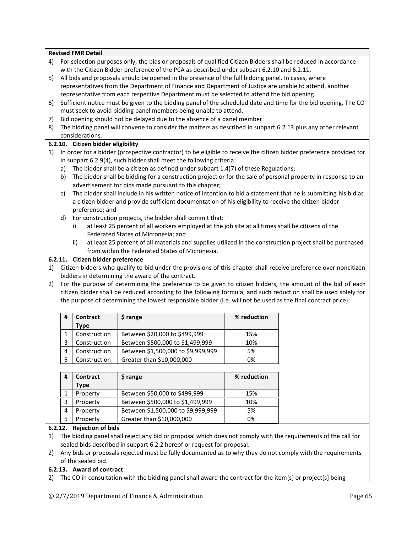|    |         | <b>Revised FMR Detail</b>          |                                                                                                                                                                                     |             |  |
|----|---------|------------------------------------|-------------------------------------------------------------------------------------------------------------------------------------------------------------------------------------|-------------|--|
| 4) |         |                                    | For selection purposes only, the bids or proposals of qualified Citizen Bidders shall be reduced in accordance                                                                      |             |  |
|    |         |                                    | with the Citizen Bidder preference of the PCA as described under subpart 6.2.10 and 6.2.11.                                                                                         |             |  |
| 5) |         |                                    | All bids and proposals should be opened in the presence of the full bidding panel. In cases, where                                                                                  |             |  |
|    |         |                                    | representatives from the Department of Finance and Department of Justice are unable to attend, another                                                                              |             |  |
|    |         |                                    | representative from each respective Department must be selected to attend the bid opening.                                                                                          |             |  |
| 6) |         |                                    | Sufficient notice must be given to the bidding panel of the scheduled date and time for the bid opening. The CO<br>must seek to avoid bidding panel members being unable to attend. |             |  |
| 7) |         |                                    | Bid opening should not be delayed due to the absence of a panel member.                                                                                                             |             |  |
| 8) |         |                                    | The bidding panel will convene to consider the matters as described in subpart 6.2.13 plus any other relevant                                                                       |             |  |
|    |         | considerations.                    |                                                                                                                                                                                     |             |  |
|    |         | 6.2.10. Citizen bidder eligibility |                                                                                                                                                                                     |             |  |
| 1) |         |                                    | In order for a bidder (prospective contractor) to be eligible to receive the citizen bidder preference provided for                                                                 |             |  |
|    |         |                                    | in subpart 6.2.9(4), such bidder shall meet the following criteria:                                                                                                                 |             |  |
|    | a)      |                                    | The bidder shall be a citizen as defined under subpart 1.4(7) of these Regulations;                                                                                                 |             |  |
|    | b)      |                                    | The bidder shall be bidding for a construction project or for the sale of personal property in response to an                                                                       |             |  |
|    |         |                                    | advertisement for bids made pursuant to this chapter;                                                                                                                               |             |  |
|    | c)      |                                    | The bidder shall include in his written notice of intention to bid a statement that he is submitting his bid as                                                                     |             |  |
|    |         |                                    | a citizen bidder and provide sufficient documentation of his eligibility to receive the citizen bidder                                                                              |             |  |
|    |         | preference; and                    |                                                                                                                                                                                     |             |  |
|    | d)      |                                    | For construction projects, the bidder shall commit that:                                                                                                                            |             |  |
|    |         | i)                                 | at least 25 percent of all workers employed at the job site at all times shall be citizens of the                                                                                   |             |  |
|    |         |                                    | Federated States of Micronesia; and                                                                                                                                                 |             |  |
|    |         | ii)                                | at least 25 percent of all materials and supplies utilized in the construction project shall be purchased                                                                           |             |  |
|    |         |                                    | from within the Federated States of Micronesia.                                                                                                                                     |             |  |
|    |         | 6.2.11. Citizen bidder preference  |                                                                                                                                                                                     |             |  |
| 1) |         |                                    | Citizen bidders who qualify to bid under the provisions of this chapter shall receive preference over noncitizen<br>bidders in determining the award of the contract.               |             |  |
| 2) |         |                                    | For the purpose of determining the preference to be given to citizen bidders, the amount of the bid of each                                                                         |             |  |
|    |         |                                    | citizen bidder shall be reduced according to the following formula, and such reduction shall be used solely for                                                                     |             |  |
|    |         |                                    | the purpose of determining the lowest responsible bidder (i.e. will not be used as the final contract price):                                                                       |             |  |
|    |         |                                    |                                                                                                                                                                                     |             |  |
|    | #       | <b>Contract</b>                    | \$ range                                                                                                                                                                            | % reduction |  |
|    |         | <b>Type</b>                        |                                                                                                                                                                                     |             |  |
|    | 1       | Construction                       | Between \$20,000 to \$499,999                                                                                                                                                       | 15%         |  |
|    | 3       | Construction                       | Between \$500,000 to \$1,499,999                                                                                                                                                    | 10%         |  |
|    | 4       | Construction                       | Between \$1,500,000 to \$9,999,999                                                                                                                                                  | 5%          |  |
|    | 5       | Construction                       | Greater than \$10,000,000                                                                                                                                                           | 0%          |  |
|    | #       | Contract                           | \$ range                                                                                                                                                                            | % reduction |  |
|    |         | <b>Type</b>                        |                                                                                                                                                                                     |             |  |
|    | 1       | Property                           | Between \$50,000 to \$499,999                                                                                                                                                       | 15%         |  |
|    | 3       | Property                           | Between \$500,000 to \$1,499,999                                                                                                                                                    | 10%         |  |
|    |         |                                    |                                                                                                                                                                                     |             |  |
|    |         |                                    |                                                                                                                                                                                     |             |  |
|    | 4       | Property                           | Between \$1,500,000 to \$9,999,999                                                                                                                                                  | 5%          |  |
|    | 5       | Property                           | Greater than \$10,000,000                                                                                                                                                           | 0%          |  |
|    | 6.2.12. | <b>Rejection of bids</b>           |                                                                                                                                                                                     |             |  |
| 1) |         |                                    | The bidding panel shall reject any bid or proposal which does not comply with the requirements of the call for                                                                      |             |  |
|    |         |                                    | sealed bids described in subpart 6.2.2 hereof or request for proposal.                                                                                                              |             |  |
| 2) |         | of the sealed bid.                 | Any bids or proposals rejected must be fully documented as to why they do not comply with the requirements                                                                          |             |  |

2) The CO in consultation with the bidding panel shall award the contract for the item[s] or project[s] being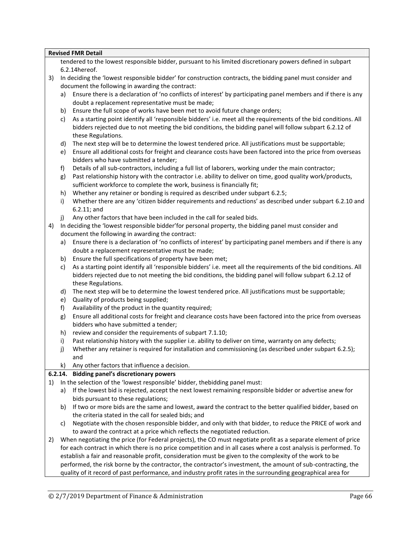|    |    | <b>Revised FMR Detail</b>                                                                                                                           |
|----|----|-----------------------------------------------------------------------------------------------------------------------------------------------------|
|    |    | tendered to the lowest responsible bidder, pursuant to his limited discretionary powers defined in subpart                                          |
|    |    | 6.2.14hereof.                                                                                                                                       |
| 3) |    | In deciding the 'lowest responsible bidder' for construction contracts, the bidding panel must consider and                                         |
|    |    | document the following in awarding the contract:                                                                                                    |
|    | a) | Ensure there is a declaration of 'no conflicts of interest' by participating panel members and if there is any                                      |
|    |    | doubt a replacement representative must be made;                                                                                                    |
|    | b) | Ensure the full scope of works have been met to avoid future change orders;                                                                         |
|    | c) | As a starting point identify all 'responsible bidders' i.e. meet all the requirements of the bid conditions. All                                    |
|    |    | bidders rejected due to not meeting the bid conditions, the bidding panel will follow subpart 6.2.12 of                                             |
|    |    | these Regulations.                                                                                                                                  |
|    | d) | The next step will be to determine the lowest tendered price. All justifications must be supportable;                                               |
|    | e) | Ensure all additional costs for freight and clearance costs have been factored into the price from overseas<br>bidders who have submitted a tender; |
|    | f) | Details of all sub-contractors, including a full list of laborers, working under the main contractor;                                               |
|    | g) | Past relationship history with the contractor i.e. ability to deliver on time, good quality work/products,                                          |
|    |    | sufficient workforce to complete the work, business is financially fit;                                                                             |
|    | h) | Whether any retainer or bonding is required as described under subpart 6.2.5;                                                                       |
|    | i) | Whether there are any 'citizen bidder requirements and reductions' as described under subpart 6.2.10 and<br>$6.2.11$ ; and                          |
|    | j) | Any other factors that have been included in the call for sealed bids.                                                                              |
| 4) |    | In deciding the 'lowest responsible bidder' for personal property, the bidding panel must consider and                                              |
|    |    | document the following in awarding the contract:                                                                                                    |
|    | a) | Ensure there is a declaration of 'no conflicts of interest' by participating panel members and if there is any                                      |
|    |    | doubt a replacement representative must be made;                                                                                                    |
|    | b) | Ensure the full specifications of property have been met;                                                                                           |
|    | c) | As a starting point identify all 'responsible bidders' i.e. meet all the requirements of the bid conditions. All                                    |
|    |    | bidders rejected due to not meeting the bid conditions, the bidding panel will follow subpart 6.2.12 of                                             |
|    |    | these Regulations.                                                                                                                                  |
|    | d) | The next step will be to determine the lowest tendered price. All justifications must be supportable;                                               |
|    | e) | Quality of products being supplied;                                                                                                                 |
|    | f) | Availability of the product in the quantity required;                                                                                               |
|    | g) | Ensure all additional costs for freight and clearance costs have been factored into the price from overseas                                         |
|    |    | bidders who have submitted a tender;                                                                                                                |
|    | h) | review and consider the requirements of subpart 7.1.10;                                                                                             |
|    | i) | Past relationship history with the supplier i.e. ability to deliver on time, warranty on any defects;                                               |
|    | j) | Whether any retainer is required for installation and commissioning (as described under subpart 6.2.5);<br>and                                      |
|    | k) | Any other factors that influence a decision.                                                                                                        |
|    |    | 6.2.14. Bidding panel's discretionary powers                                                                                                        |
| 1) |    | In the selection of the 'lowest responsible' bidder, thebidding panel must:                                                                         |
|    | a) | If the lowest bid is rejected, accept the next lowest remaining responsible bidder or advertise anew for                                            |
|    |    | bids pursuant to these regulations;                                                                                                                 |
|    | b) | If two or more bids are the same and lowest, award the contract to the better qualified bidder, based on                                            |
|    |    | the criteria stated in the call for sealed bids; and                                                                                                |
|    | C) | Negotiate with the chosen responsible bidder, and only with that bidder, to reduce the PRICE of work and                                            |
|    |    | to award the contract at a price which reflects the negotiated reduction.                                                                           |
| 2) |    | When negotiating the price (for Federal projects), the CO must negotiate profit as a separate element of price                                      |
|    |    | for each contract in which there is no price competition and in all cases where a cost analysis is performed. To                                    |
|    |    | establish a fair and reasonable profit, consideration must be given to the complexity of the work to be                                             |
|    |    | performed, the risk borne by the contractor, the contractor's investment, the amount of sub-contracting, the                                        |
|    |    | quality of it record of past performance, and industry profit rates in the surrounding geographical area for                                        |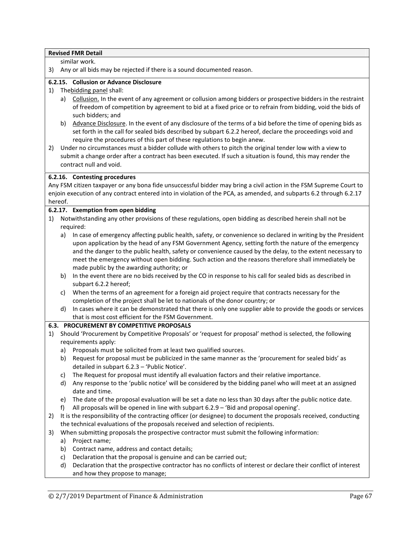|    |         | <b>Revised FMR Detail</b>                                                                                                                                                         |
|----|---------|-----------------------------------------------------------------------------------------------------------------------------------------------------------------------------------|
|    |         | similar work.                                                                                                                                                                     |
| 3) |         | Any or all bids may be rejected if there is a sound documented reason.                                                                                                            |
|    |         | 6.2.15. Collusion or Advance Disclosure                                                                                                                                           |
| 1) |         | Thebidding panel shall:                                                                                                                                                           |
|    | a)      | Collusion. In the event of any agreement or collusion among bidders or prospective bidders in the restraint                                                                       |
|    |         | of freedom of competition by agreement to bid at a fixed price or to refrain from bidding, void the bids of                                                                       |
|    |         | such bidders; and                                                                                                                                                                 |
|    | b)      | Advance Disclosure. In the event of any disclosure of the terms of a bid before the time of opening bids as                                                                       |
|    |         | set forth in the call for sealed bids described by subpart 6.2.2 hereof, declare the proceedings void and                                                                         |
|    |         | require the procedures of this part of these regulations to begin anew.                                                                                                           |
| 2) |         | Under no circumstances must a bidder collude with others to pitch the original tender low with a view to                                                                          |
|    |         | submit a change order after a contract has been executed. If such a situation is found, this may render the                                                                       |
|    |         | contract null and void.                                                                                                                                                           |
|    |         | 6.2.16. Contesting procedures                                                                                                                                                     |
|    |         | Any FSM citizen taxpayer or any bona fide unsuccessful bidder may bring a civil action in the FSM Supreme Court to                                                                |
|    |         | enjoin execution of any contract entered into in violation of the PCA, as amended, and subparts 6.2 through 6.2.17                                                                |
|    | hereof. |                                                                                                                                                                                   |
|    |         | 6.2.17. Exemption from open bidding                                                                                                                                               |
| 1) |         | Notwithstanding any other provisions of these regulations, open bidding as described herein shall not be                                                                          |
|    |         | required:                                                                                                                                                                         |
|    | a)      | In case of emergency affecting public health, safety, or convenience so declared in writing by the President                                                                      |
|    |         | upon application by the head of any FSM Government Agency, setting forth the nature of the emergency                                                                              |
|    |         | and the danger to the public health, safety or convenience caused by the delay, to the extent necessary to                                                                        |
|    |         | meet the emergency without open bidding. Such action and the reasons therefore shall immediately be                                                                               |
|    |         | made public by the awarding authority; or                                                                                                                                         |
|    | b)      | In the event there are no bids received by the CO in response to his call for sealed bids as described in                                                                         |
|    |         | subpart 6.2.2 hereof;                                                                                                                                                             |
|    | c)      | When the terms of an agreement for a foreign aid project require that contracts necessary for the<br>completion of the project shall be let to nationals of the donor country; or |
|    | d)      | In cases where it can be demonstrated that there is only one supplier able to provide the goods or services                                                                       |
|    |         | that is most cost efficient for the FSM Government.                                                                                                                               |
|    |         | <b>6.3. PROCUREMENT BY COMPETITIVE PROPOSALS</b>                                                                                                                                  |
| 1) |         | Should 'Procurement by Competitive Proposals' or 'request for proposal' method is selected, the following                                                                         |
|    |         | requirements apply:                                                                                                                                                               |
|    | a)      | Proposals must be solicited from at least two qualified sources.                                                                                                                  |
|    | b)      | Request for proposal must be publicized in the same manner as the 'procurement for sealed bids' as                                                                                |
|    |         | detailed in subpart 6.2.3 - 'Public Notice'.                                                                                                                                      |
|    | C)      | The Request for proposal must identify all evaluation factors and their relative importance.                                                                                      |
|    | d)      | Any response to the 'public notice' will be considered by the bidding panel who will meet at an assigned                                                                          |
|    |         | date and time.                                                                                                                                                                    |
|    | e)      | The date of the proposal evaluation will be set a date no less than 30 days after the public notice date.                                                                         |
|    | f)      | All proposals will be opened in line with subpart 6.2.9 - 'Bid and proposal opening'.                                                                                             |
| 2) |         | It is the responsibility of the contracting officer (or designee) to document the proposals received, conducting                                                                  |
|    |         | the technical evaluations of the proposals received and selection of recipients.                                                                                                  |
| 3) |         | When submitting proposals the prospective contractor must submit the following information:                                                                                       |
|    | a)      | Project name;                                                                                                                                                                     |
|    | b)      | Contract name, address and contact details;                                                                                                                                       |
|    | c)      | Declaration that the proposal is genuine and can be carried out;                                                                                                                  |
|    | d)      | Declaration that the prospective contractor has no conflicts of interest or declare their conflict of interest                                                                    |
|    |         | and how they propose to manage;                                                                                                                                                   |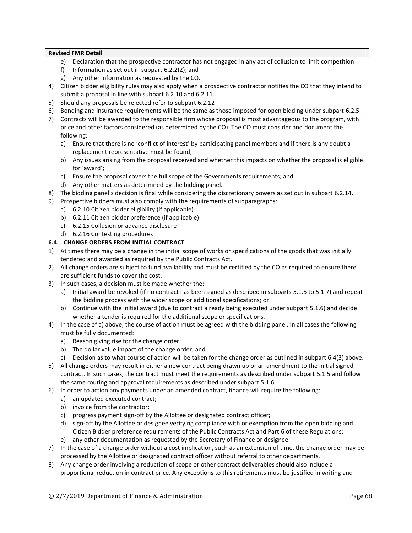- e) Declaration that the prospective contractor has not engaged in any act of collusion to limit competition
- f) Information as set out in subpart 6.2.2(2); and
- g) Any other information as requested by the CO.
- 4) Citizen bidder eligibility rules may also apply when a prospective contractor notifies the CO that they intend to submit a proposal in line with subpart 6.2.10 and 6.2.11.
- 5) Should any proposals be rejected refer to subpart 6.2.12
- 6) Bonding and insurance requirements will be the same as those imposed for open bidding under subpart 6.2.5.
- 7) Contracts will be awarded to the responsible firm whose proposal is most advantageous to the program, with price and other factors considered (as determined by the CO). The CO must consider and document the following:
	- a) Ensure that there is no 'conflict of interest' by participating panel members and if there is any doubt a replacement representative must be found;
	- b) Any issues arising from the proposal received and whether this impacts on whether the proposal is eligible for 'award';
	- c) Ensure the proposal covers the full scope of the Governments requirements; and
	- d) Any other matters as determined by the bidding panel.
- 8) The bidding panel's decision is final while considering the discretionary powers as set out in subpart 6.2.14.
- 9) Prospective bidders must also comply with the requirements of subparagraphs:
	- a) 6.2.10 Citizen bidder eligibility (if applicable)
	- b) 6.2.11 Citizen bidder preference (if applicable)
	- c) 6.2.15 Collusion or advance disclosure
	- d) 6.2.16 Contesting procedures

# **6.4. CHANGE ORDERS FROM INITIAL CONTRACT**

- 1) At times there may be a change in the initial scope of works or specifications of the goods that was initially tendered and awarded as required by the Public Contracts Act.
- 2) All change orders are subject to fund availability and must be certified by the CO as required to ensure there are sufficient funds to cover the cost.
- 3) In such cases, a decision must be made whether the:
	- a) Initial award be revoked (if no contract has been signed as described in subparts 5.1.5 to 5.1.7) and repeat the bidding process with the wider scope or additional specifications; or
	- b) Continue with the initial award (due to contract already being executed under subpart 5.1.6) and decide whether a tender is required for the additional scope or specifications.
- 4) In the case of a) above, the course of action must be agreed with the bidding panel. In all cases the following must be fully documented:
	- a) Reason giving rise for the change order;
	- b) The dollar value impact of the change order; and
	- c) Decision as to what course of action will be taken for the change order as outlined in subpart 6.4(3) above.
- 5) All change orders may result in either a new contract being drawn up or an amendment to the initial signed contract. In such cases, the contract must meet the requirements as described under subpart 5.1.5 and follow the same routing and approval requirements as described under subpart 5.1.6.
- 6) In order to action any payments under an amended contract, finance will require the following:
	- a) an updated executed contract;
	- b) invoice from the contractor;
	- c) progress payment sign-off by the Allottee or designated contract officer;
	- d) sign-off by the Allottee or designee verifying compliance with or exemption from the open bidding and Citizen Bidder preference requirements of the Public Contracts Act and Part 6 of these Regulations;
	- e) any other documentation as requested by the Secretary of Finance or designee.
- 7) In the case of a change order without a cost implication, such as an extension of time, the change order may be processed by the Allottee or designated contract officer without referral to other departments.
- 8) Any change order involving a reduction of scope or other contract deliverables should also include a proportional reduction in contract price. Any exceptions to this retirements must be justified in writing and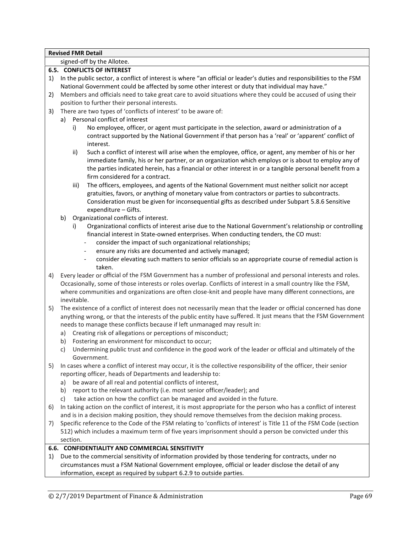signed-off by the Allotee.

# **6.5. CONFLICTS OF INTEREST**

- 1) In the public sector, a conflict of interest is where "an official or leader's duties and responsibilities to the FSM National Government could be affected by some other interest or duty that individual may have."
- 2) Members and officials need to take great care to avoid situations where they could be accused of using their position to further their personal interests.
- 3) There are two types of 'conflicts of interest' to be aware of:
	- a) Personal conflict of interest
		- i) No employee, officer, or agent must participate in the selection, award or administration of a contract supported by the National Government if that person has a 'real' or 'apparent' conflict of interest.
		- ii) Such a conflict of interest will arise when the employee, office, or agent, any member of his or her immediate family, his or her partner, or an organization which employs or is about to employ any of the parties indicated herein, has a financial or other interest in or a tangible personal benefit from a firm considered for a contract.
		- iii) The officers, employees, and agents of the National Government must neither solicit nor accept gratuities, favors, or anything of monetary value from contractors or parties to subcontracts. Consideration must be given for inconsequential gifts as described under Subpart 5.8.6 Sensitive expenditure – Gifts.
	- b) Organizational conflicts of interest.
		- i) Organizational conflicts of interest arise due to the National Government's relationship or controlling financial interest in State-owned enterprises. When conducting tenders, the CO must:
			- consider the impact of such organizational relationships;
			- ensure any risks are documented and actively managed;
			- consider elevating such matters to senior officials so an appropriate course of remedial action is taken.
- 4) Every leader or official of the FSM Government has a number of professional and personal interests and roles. Occasionally, some of those interests or roles overlap. Conflicts of interest in a small country like the FSM, where communities and organizations are often close-knit and people have many different connections, are inevitable.
- 5) The existence of a conflict of interest does not necessarily mean that the leader or official concerned has done anything wrong, or that the interests of the public entity have suffered. It just means that the FSM Government needs to manage these conflicts because if left unmanaged may result in:
	- a) Creating risk of allegations or perceptions of misconduct;
	- b) Fostering an environment for misconduct to occur;
	- c) Undermining public trust and confidence in the good work ofthe leader or official and ultimately of the Government.
- 5) In cases where a conflict of interest may occur, it is the collective responsibility of the officer, their senior reporting officer, heads of Departments and leadership to:
	- a) be aware of all real and potential conflicts of interest,
	- b) report to the relevant authority (i.e. most senior officer/leader); and
	- c) take action on how the conflict can be managed and avoided in the future.
- 6) In taking action on the conflict of interest, it is most appropriate for the person who has a conflict of interest and is in a decision making position, they should remove themselves from the decision making process.
- 7) Specific reference to the Code of the FSM relating to 'conflicts of interest' is Title 11 of the FSM Code (section 512) which includes a maximum term of five years imprisonment should a person be convicted under this section.

# **6.6. CONFIDENTIALITY AND COMMERCIAL SENSITIVITY**

1) Due to the commercial sensitivity of information provided by those tendering for contracts, under no circumstances must a FSM National Government employee, official or leader disclose the detail of any information, except as required by subpart 6.2.9 to outside parties.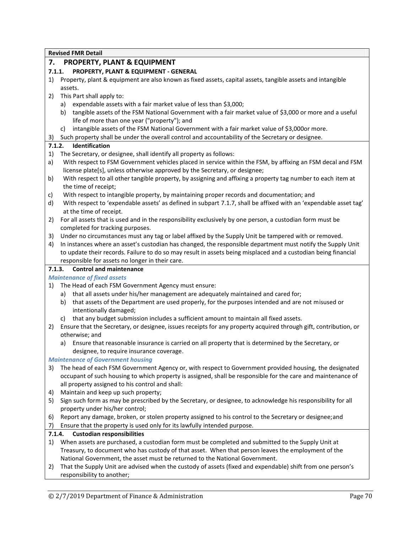# **7. PROPERTY, PLANT & EQUIPMENT**

# **7.1.1. PROPERTY, PLANT & EQUIPMENT - GENERAL**

- 1) Property, plant & equipment are also known as fixed assets, capital assets, tangible assets and intangible assets.
- 2) This Part shall apply to:
	- a) expendable assets with a fair market value of less than \$3,000;
	- b) tangible assets of the FSM National Government with a fair market value of \$3,000 or more and a useful life of more than one year ("property"); and
	- c) intangible assets of the FSM National Government with a fair market value of \$3,000or more.
- 3) Such property shall be under the overall control and accountability of the Secretary or designee.

# **7.1.2. Identification**

- 1) The Secretary, or designee, shall identify all property as follows:
- a) With respect to FSM Government vehicles placed in service within the FSM, by affixing an FSM decal and FSM license plate[s], unless otherwise approved by the Secretary, or designee;
- b) With respect to all other tangible property, by assigning and affixing a property tag number to each item at the time of receipt;
- c) With respect to intangible property, by maintaining proper records and documentation; and
- d) With respect to 'expendable assets' as defined in subpart 7.1.7, shall be affixed with an 'expendable asset tag' at the time of receipt.
- 2) For all assets that is used and in the responsibility exclusively by one person, a custodian form must be completed for tracking purposes.
- 3) Under no circumstances must any tag or label affixed by the Supply Unit be tampered with or removed.
- 4) In instances where an asset's custodian has changed, the responsible department must notify the Supply Unit to update their records. Failure to do so may result in assets being misplaced and a custodian being financial responsible for assets no longer in their care.

# **7.1.3. Control and maintenance**

# *Maintenance of fixed assets*

- 1) The Head of each FSM Government Agency must ensure:
	- a) that all assets under his/her management are adequately maintained and cared for;
	- b) that assets of the Department are used properly, for the purposes intended and are not misused or intentionally damaged;
	- c) that any budget submission includes a sufficient amount to maintain all fixed assets.
- 2) Ensure that the Secretary, or designee, issues receipts for any property acquired through gift, contribution, or otherwise; and
	- a) Ensure that reasonable insurance is carried on all property that is determined by the Secretary, or designee, to require insurance coverage.

# *Maintenance of Government housing*

- 3) The head of each FSM Government Agency or, with respect to Government provided housing, the designated occupant of such housing to which property is assigned, shall be responsible for the care and maintenance of all property assigned to his control and shall:
- 4) Maintain and keep up such property;
- 5) Sign such form as may be prescribed by the Secretary, or designee, to acknowledge his responsibility for all property under his/her control;
- 6) Report any damage, broken, or stolen property assigned to his control to the Secretary or designee;and
- 7) Ensure that the property is used only for its lawfully intended purpose.

# **7.1.4. Custodian responsibilities**

- 1) When assets are purchased, a custodian form must be completed and submitted to the Supply Unit at Treasury, to document who has custody of that asset. When that person leaves the employment of the National Government, the asset must be returned to the National Government.
- 2) That the Supply Unit are advised when the custody of assets (fixed and expendable) shift from one person's responsibility to another;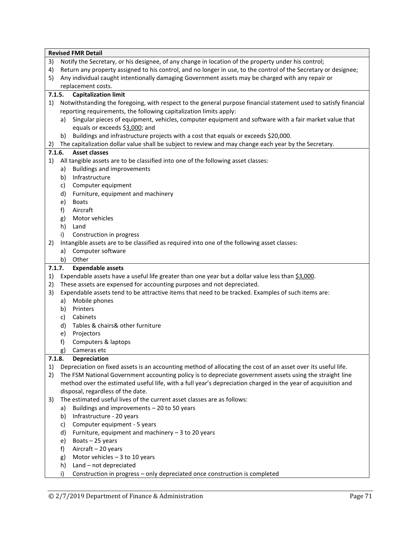|        |    | <b>Revised FMR Detail</b>                                                                                        |
|--------|----|------------------------------------------------------------------------------------------------------------------|
| 3)     |    | Notify the Secretary, or his designee, of any change in location of the property under his control;              |
| 4)     |    | Return any property assigned to his control, and no longer in use, to the control of the Secretary or designee;  |
| 5)     |    | Any individual caught intentionally damaging Government assets may be charged with any repair or                 |
|        |    | replacement costs.                                                                                               |
| 7.1.5. |    | <b>Capitalization limit</b>                                                                                      |
| 1)     |    | Notwithstanding the foregoing, with respect to the general purpose financial statement used to satisfy financial |
|        |    | reporting requirements, the following capitalization limits apply:                                               |
|        | a) | Singular pieces of equipment, vehicles, computer equipment and software with a fair market value that            |
|        |    | equals or exceeds \$3,000; and                                                                                   |
|        | b) | Buildings and infrastructure projects with a cost that equals or exceeds \$20,000.                               |
| 2)     |    | The capitalization dollar value shall be subject to review and may change each year by the Secretary.            |
| 7.1.6. |    | <b>Asset classes</b>                                                                                             |
| 1)     |    | All tangible assets are to be classified into one of the following asset classes:                                |
|        | a) | <b>Buildings and improvements</b>                                                                                |
|        | b) | Infrastructure                                                                                                   |
|        | c) | Computer equipment                                                                                               |
|        | d) | Furniture, equipment and machinery                                                                               |
|        | e) | <b>Boats</b>                                                                                                     |
|        | f) | Aircraft                                                                                                         |
|        | g) | Motor vehicles                                                                                                   |
|        | h) | Land                                                                                                             |
|        | i) | Construction in progress                                                                                         |
| 2)     |    | Intangible assets are to be classified as required into one of the following asset classes:                      |
|        | a) | Computer software                                                                                                |
|        | b) | Other                                                                                                            |
| 7.1.7. |    |                                                                                                                  |
|        |    | <b>Expendable assets</b>                                                                                         |
| 1)     |    | Expendable assets have a useful life greater than one year but a dollar value less than \$3,000.                 |
| 2)     |    | These assets are expensed for accounting purposes and not depreciated.                                           |
| 3)     |    | Expendable assets tend to be attractive items that need to be tracked. Examples of such items are:               |
|        | a) | Mobile phones                                                                                                    |
|        | b) | Printers                                                                                                         |
|        | c) | Cabinets                                                                                                         |
|        | d) | Tables & chairs& other furniture                                                                                 |
|        | e) | Projectors                                                                                                       |
|        | f) | Computers & laptops                                                                                              |
|        | g) | Cameras etc                                                                                                      |
| 7.1.8. |    | <b>Depreciation</b>                                                                                              |
| 1)     |    | Depreciation on fixed assets is an accounting method of allocating the cost of an asset over its useful life.    |
| 2)     |    | The FSM National Government accounting policy is to depreciate government assets using the straight line         |
|        |    | method over the estimated useful life, with a full year's depreciation charged in the year of acquisition and    |
|        |    | disposal, regardless of the date.                                                                                |
| 3)     |    | The estimated useful lives of the current asset classes are as follows:                                          |
|        | a) | Buildings and improvements - 20 to 50 years                                                                      |
|        | b) | Infrastructure - 20 years                                                                                        |
|        | c) | Computer equipment - 5 years                                                                                     |
|        | d) | Furniture, equipment and machinery $-3$ to 20 years                                                              |
|        | e) | Boats-25 years                                                                                                   |
|        | f) | Aircraft - 20 years                                                                                              |
|        | g) | Motor vehicles $-3$ to 10 years                                                                                  |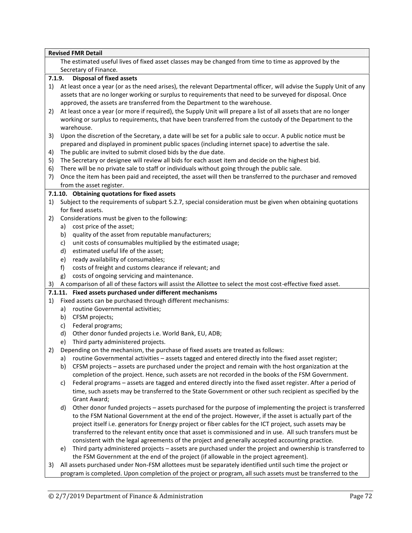|    | <b>Revised FMR Detail</b>                                                                             |                                                                                                                                                                                                                                                                                                               |
|----|-------------------------------------------------------------------------------------------------------|---------------------------------------------------------------------------------------------------------------------------------------------------------------------------------------------------------------------------------------------------------------------------------------------------------------|
|    | The estimated useful lives of fixed asset classes may be changed from time to time as approved by the |                                                                                                                                                                                                                                                                                                               |
|    |                                                                                                       | Secretary of Finance.                                                                                                                                                                                                                                                                                         |
|    | 7.1.9.                                                                                                | <b>Disposal of fixed assets</b>                                                                                                                                                                                                                                                                               |
| 1) |                                                                                                       | At least once a year (or as the need arises), the relevant Departmental officer, will advise the Supply Unit of any<br>assets that are no longer working or surplus to requirements that need to be surveyed for disposal. Once<br>approved, the assets are transferred from the Department to the warehouse. |
| 2) |                                                                                                       | At least once a year (or more if required), the Supply Unit will prepare a list of all assets that are no longer<br>working or surplus to requirements, that have been transferred from the custody of the Department to the<br>warehouse.                                                                    |
| 3) |                                                                                                       | Upon the discretion of the Secretary, a date will be set for a public sale to occur. A public notice must be<br>prepared and displayed in prominent public spaces (including internet space) to advertise the sale.                                                                                           |
| 4) |                                                                                                       | The public are invited to submit closed bids by the due date.                                                                                                                                                                                                                                                 |
| 5) |                                                                                                       | The Secretary or designee will review all bids for each asset item and decide on the highest bid.                                                                                                                                                                                                             |
| 6) |                                                                                                       | There will be no private sale to staff or individuals without going through the public sale.                                                                                                                                                                                                                  |
| 7) |                                                                                                       | Once the item has been paid and receipted, the asset will then be transferred to the purchaser and removed<br>from the asset register.                                                                                                                                                                        |
|    |                                                                                                       | 7.1.10. Obtaining quotations for fixed assets                                                                                                                                                                                                                                                                 |
| 1) |                                                                                                       | Subject to the requirements of subpart 5.2.7, special consideration must be given when obtaining quotations                                                                                                                                                                                                   |
|    |                                                                                                       | for fixed assets.                                                                                                                                                                                                                                                                                             |
| 2) |                                                                                                       | Considerations must be given to the following:                                                                                                                                                                                                                                                                |
|    | a)                                                                                                    | cost price of the asset;                                                                                                                                                                                                                                                                                      |
|    | b)                                                                                                    | quality of the asset from reputable manufacturers;                                                                                                                                                                                                                                                            |
|    | c)                                                                                                    | unit costs of consumables multiplied by the estimated usage;                                                                                                                                                                                                                                                  |
|    | d)                                                                                                    | estimated useful life of the asset;                                                                                                                                                                                                                                                                           |
|    | e)                                                                                                    | ready availability of consumables;                                                                                                                                                                                                                                                                            |
|    | f)                                                                                                    | costs of freight and customs clearance if relevant; and                                                                                                                                                                                                                                                       |
|    | g)                                                                                                    | costs of ongoing servicing and maintenance.                                                                                                                                                                                                                                                                   |
| 3) |                                                                                                       | A comparison of all of these factors will assist the Allottee to select the most cost-effective fixed asset.                                                                                                                                                                                                  |
|    |                                                                                                       | 7.1.11. Fixed assets purchased under different mechanisms                                                                                                                                                                                                                                                     |
| 1) |                                                                                                       | Fixed assets can be purchased through different mechanisms:                                                                                                                                                                                                                                                   |
|    | a)                                                                                                    | routine Governmental activities;                                                                                                                                                                                                                                                                              |
|    | b)                                                                                                    | CFSM projects;                                                                                                                                                                                                                                                                                                |
|    | c)                                                                                                    | Federal programs;                                                                                                                                                                                                                                                                                             |
|    | d)                                                                                                    | Other donor funded projects i.e. World Bank, EU, ADB;                                                                                                                                                                                                                                                         |
|    | e)                                                                                                    | Third party administered projects.                                                                                                                                                                                                                                                                            |
| 2) | Depending on the mechanism, the purchase of fixed assets are treated as follows:                      |                                                                                                                                                                                                                                                                                                               |
|    | a)                                                                                                    | routine Governmental activities - assets tagged and entered directly into the fixed asset register;                                                                                                                                                                                                           |
|    | b)                                                                                                    | CFSM projects - assets are purchased under the project and remain with the host organization at the                                                                                                                                                                                                           |
|    |                                                                                                       | completion of the project. Hence, such assets are not recorded in the books of the FSM Government.                                                                                                                                                                                                            |
|    | C)                                                                                                    | Federal programs - assets are tagged and entered directly into the fixed asset register. After a period of                                                                                                                                                                                                    |
|    |                                                                                                       | time, such assets may be transferred to the State Government or other such recipient as specified by the                                                                                                                                                                                                      |
|    |                                                                                                       | Grant Award;                                                                                                                                                                                                                                                                                                  |
|    | d)                                                                                                    | Other donor funded projects - assets purchased for the purpose of implementing the project is transferred<br>to the FSM National Government at the end of the project. However, if the asset is actually part of the                                                                                          |
|    |                                                                                                       | project itself i.e. generators for Energy project or fiber cables for the ICT project, such assets may be                                                                                                                                                                                                     |
|    |                                                                                                       | transferred to the relevant entity once that asset is commissioned and in use. All such transfers must be                                                                                                                                                                                                     |
|    |                                                                                                       | consistent with the legal agreements of the project and generally accepted accounting practice.                                                                                                                                                                                                               |
|    | e)                                                                                                    | Third party administered projects - assets are purchased under the project and ownership is transferred to<br>the FSM Government at the end of the project (if allowable in the project agreement).                                                                                                           |
| 3) |                                                                                                       | All assets purchased under Non-FSM allottees must be separately identified until such time the project or                                                                                                                                                                                                     |

program is completed. Upon completion of the project or program, all such assets must be transferred to the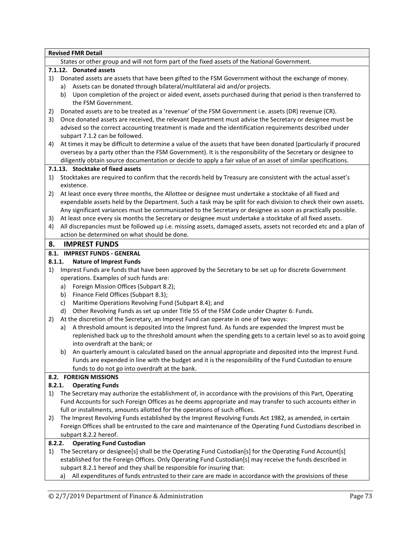|        | <b>Revised FMR Detail</b>                                                                                        |  |  |  |  |
|--------|------------------------------------------------------------------------------------------------------------------|--|--|--|--|
|        | States or other group and will not form part of the fixed assets of the National Government.                     |  |  |  |  |
|        | 7.1.12. Donated assets                                                                                           |  |  |  |  |
| 1)     | Donated assets are assets that have been gifted to the FSM Government without the exchange of money.             |  |  |  |  |
|        | Assets can be donated through bilateral/multilateral aid and/or projects.<br>a)                                  |  |  |  |  |
|        | Upon completion of the project or aided event, assets purchased during that period is then transferred to<br>b)  |  |  |  |  |
|        | the FSM Government.                                                                                              |  |  |  |  |
| 2)     | Donated assets are to be treated as a 'revenue' of the FSM Government i.e. assets (DR) revenue (CR).             |  |  |  |  |
| 3)     | Once donated assets are received, the relevant Department must advise the Secretary or designee must be          |  |  |  |  |
|        | advised so the correct accounting treatment is made and the identification requirements described under          |  |  |  |  |
|        | subpart 7.1.2 can be followed.                                                                                   |  |  |  |  |
| 4)     | At times it may be difficult to determine a value of the assets that have been donated (particularly if procured |  |  |  |  |
|        | overseas by a party other than the FSM Government). It is the responsibility of the Secretary or designee to     |  |  |  |  |
|        | diligently obtain source documentation or decide to apply a fair value of an asset of similar specifications.    |  |  |  |  |
|        | 7.1.13. Stocktake of fixed assets                                                                                |  |  |  |  |
| 1)     | Stocktakes are required to confirm that the records held by Treasury are consistent with the actual asset's      |  |  |  |  |
|        | existence.                                                                                                       |  |  |  |  |
| 2)     | At least once every three months, the Allottee or designee must undertake a stocktake of all fixed and           |  |  |  |  |
|        | expendable assets held by the Department. Such a task may be split for each division to check their own assets.  |  |  |  |  |
|        | Any significant variances must be communicated to the Secretary or designee as soon as practically possible.     |  |  |  |  |
| 3)     | At least once every six months the Secretary or designee must undertake a stocktake of all fixed assets.         |  |  |  |  |
| 4)     | All discrepancies must be followed up i.e. missing assets, damaged assets, assets not recorded etc and a plan of |  |  |  |  |
|        | action be determined on what should be done.                                                                     |  |  |  |  |
| 8.     | <b>IMPREST FUNDS</b>                                                                                             |  |  |  |  |
|        | 8.1. IMPREST FUNDS - GENERAL                                                                                     |  |  |  |  |
|        | 8.1.1.<br><b>Nature of Imprest Funds</b>                                                                         |  |  |  |  |
| 1)     | Imprest Funds are funds that have been approved by the Secretary to be set up for discrete Government            |  |  |  |  |
|        | operations. Examples of such funds are:                                                                          |  |  |  |  |
|        | Foreign Mission Offices (Subpart 8.2);<br>a)                                                                     |  |  |  |  |
|        | Finance Field Offices (Subpart 8.3);<br>b)                                                                       |  |  |  |  |
|        | Maritime Operations Revolving Fund (Subpart 8.4); and<br>c)                                                      |  |  |  |  |
|        | Other Revolving Funds as set up under Title 55 of the FSM Code under Chapter 6: Funds.<br>d)                     |  |  |  |  |
| 2)     | At the discretion of the Secretary, an Imprest Fund can operate in one of two ways:                              |  |  |  |  |
|        | A threshold amount is deposited into the Imprest fund. As funds are expended the Imprest must be<br>a)           |  |  |  |  |
|        | replenished back up to the threshold amount when the spending gets to a certain level so as to avoid going       |  |  |  |  |
|        | into overdraft at the bank; or                                                                                   |  |  |  |  |
|        | An quarterly amount is calculated based on the annual appropriate and deposited into the Imprest Fund.<br>b)     |  |  |  |  |
|        | Funds are expended in line with the budget and it is the responsibility of the Fund Custodian to ensure          |  |  |  |  |
|        | funds to do not go into overdraft at the bank.                                                                   |  |  |  |  |
|        | 8.2. FOREIGN MISSIONS                                                                                            |  |  |  |  |
| 8.2.1. | <b>Operating Funds</b>                                                                                           |  |  |  |  |
| 1)     | The Secretary may authorize the establishment of, in accordance with the provisions of this Part, Operating      |  |  |  |  |
|        | Fund Accounts for such Foreign Offices as he deems appropriate and may transfer to such accounts either in       |  |  |  |  |
|        | full or installments, amounts allotted for the operations of such offices.                                       |  |  |  |  |
| 2)     | The Imprest Revolving Funds established by the Imprest Revolving Funds Act 1982, as amended, in certain          |  |  |  |  |
|        | Foreign Offices shall be entrusted to the care and maintenance of the Operating Fund Custodians described in     |  |  |  |  |
|        | subpart 8.2.2 hereof.                                                                                            |  |  |  |  |
| 8.2.2. | <b>Operating Fund Custodian</b>                                                                                  |  |  |  |  |
| 1)     | The Secretary or designee[s] shall be the Operating Fund Custodian[s] for the Operating Fund Account[s]          |  |  |  |  |
|        | established for the Foreign Offices. Only Operating Fund Custodian[s] may receive the funds described in         |  |  |  |  |
|        | subpart 8.2.1 hereof and they shall be responsible for insuring that:                                            |  |  |  |  |
|        | All expenditures of funds entrusted to their care are made in accordance with the provisions of these<br>a)      |  |  |  |  |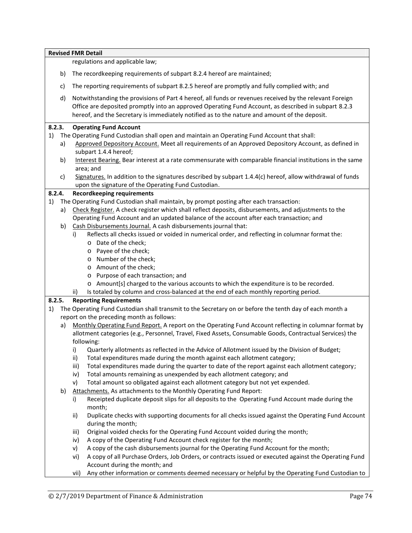|        |        | <b>Revised FMR Detail</b>                                                                                                                                                                                                                                                                                        |
|--------|--------|------------------------------------------------------------------------------------------------------------------------------------------------------------------------------------------------------------------------------------------------------------------------------------------------------------------|
|        |        | regulations and applicable law;                                                                                                                                                                                                                                                                                  |
|        | b)     | The recordkeeping requirements of subpart 8.2.4 hereof are maintained;                                                                                                                                                                                                                                           |
|        | c)     | The reporting requirements of subpart 8.2.5 hereof are promptly and fully complied with; and                                                                                                                                                                                                                     |
|        | d)     | Notwithstanding the provisions of Part 4 hereof, all funds or revenues received by the relevant Foreign<br>Office are deposited promptly into an approved Operating Fund Account, as described in subpart 8.2.3<br>hereof, and the Secretary is immediately notified as to the nature and amount of the deposit. |
|        | 8.2.3. | <b>Operating Fund Account</b>                                                                                                                                                                                                                                                                                    |
| 1)     |        | The Operating Fund Custodian shall open and maintain an Operating Fund Account that shall:                                                                                                                                                                                                                       |
|        | a)     | Approved Depository Account. Meet all requirements of an Approved Depository Account, as defined in<br>subpart 1.4.4 hereof;                                                                                                                                                                                     |
|        | b)     | Interest Bearing. Bear interest at a rate commensurate with comparable financial institutions in the same<br>area; and                                                                                                                                                                                           |
|        | c)     | Signatures. In addition to the signatures described by subpart 1.4.4(c) hereof, allow withdrawal of funds<br>upon the signature of the Operating Fund Custodian.                                                                                                                                                 |
| 8.2.4. |        | <b>Recordkeeping requirements</b>                                                                                                                                                                                                                                                                                |
| 1)     |        | The Operating Fund Custodian shall maintain, by prompt posting after each transaction:                                                                                                                                                                                                                           |
|        |        | a) Check Register. A check register which shall reflect deposits, disbursements, and adjustments to the                                                                                                                                                                                                          |
|        |        | Operating Fund Account and an updated balance of the account after each transaction; and                                                                                                                                                                                                                         |
|        | b)     | Cash Disbursements Journal. A cash disbursements journal that:                                                                                                                                                                                                                                                   |
|        |        | Reflects all checks issued or voided in numerical order, and reflecting in columnar format the:<br>i)                                                                                                                                                                                                            |
|        |        | o Date of the check;                                                                                                                                                                                                                                                                                             |
|        |        | o Payee of the check;                                                                                                                                                                                                                                                                                            |
|        |        | o Number of the check;                                                                                                                                                                                                                                                                                           |
|        |        | o Amount of the check;                                                                                                                                                                                                                                                                                           |
|        |        | o Purpose of each transaction; and                                                                                                                                                                                                                                                                               |
|        |        | o Amount[s] charged to the various accounts to which the expenditure is to be recorded.                                                                                                                                                                                                                          |
|        |        | Is totaled by column and cross-balanced at the end of each monthly reporting period.<br>ii)                                                                                                                                                                                                                      |
|        | 8.2.5. | <b>Reporting Requirements</b>                                                                                                                                                                                                                                                                                    |
| 1)     |        | The Operating Fund Custodian shall transmit to the Secretary on or before the tenth day of each month a                                                                                                                                                                                                          |
|        |        | report on the preceding month as follows:                                                                                                                                                                                                                                                                        |
|        | a)     | Monthly Operating Fund Report. A report on the Operating Fund Account reflecting in columnar format by<br>allotment categories (e.g., Personnel, Travel, Fixed Assets, Consumable Goods, Contractual Services) the                                                                                               |
|        |        | following:                                                                                                                                                                                                                                                                                                       |
|        |        | Quarterly allotments as reflected in the Advice of Allotment issued by the Division of Budget;<br>i)                                                                                                                                                                                                             |
|        |        | Total expenditures made during the month against each allotment category;<br>ii)                                                                                                                                                                                                                                 |
|        |        | Total expenditures made during the quarter to date of the report against each allotment category;<br>iii)                                                                                                                                                                                                        |
|        |        | Total amounts remaining as unexpended by each allotment category; and<br>iv)                                                                                                                                                                                                                                     |
|        |        | Total amount so obligated against each allotment category but not yet expended.<br>v)                                                                                                                                                                                                                            |
|        | b)     | Attachments. As attachments to the Monthly Operating Fund Report:                                                                                                                                                                                                                                                |
|        |        | Receipted duplicate deposit slips for all deposits to the Operating Fund Account made during the<br>i)<br>month;                                                                                                                                                                                                 |
|        |        | Duplicate checks with supporting documents for all checks issued against the Operating Fund Account<br>ii)                                                                                                                                                                                                       |
|        |        | during the month;                                                                                                                                                                                                                                                                                                |
|        |        | Original voided checks for the Operating Fund Account voided during the month;<br>iii)                                                                                                                                                                                                                           |
|        |        | A copy of the Operating Fund Account check register for the month;<br>iv)                                                                                                                                                                                                                                        |
|        |        | A copy of the cash disbursements journal for the Operating Fund Account for the month;<br>v)                                                                                                                                                                                                                     |
|        |        | A copy of all Purchase Orders, Job Orders, or contracts issued or executed against the Operating Fund<br>vi)                                                                                                                                                                                                     |
|        |        | Account during the month; and                                                                                                                                                                                                                                                                                    |
|        |        | Any other information or comments deemed necessary or helpful by the Operating Fund Custodian to<br>vii)                                                                                                                                                                                                         |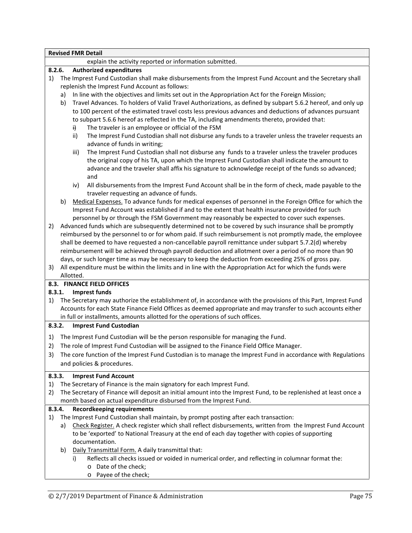|        |    |           | <b>Revised FMR Detail</b><br>explain the activity reported or information submitted.                                                  |
|--------|----|-----------|---------------------------------------------------------------------------------------------------------------------------------------|
| 8.2.6. |    |           | <b>Authorized expenditures</b>                                                                                                        |
| 1)     |    |           | The Imprest Fund Custodian shall make disbursements from the Imprest Fund Account and the Secretary shall                             |
|        |    |           | replenish the Imprest Fund Account as follows:                                                                                        |
|        |    |           |                                                                                                                                       |
|        | a) |           | In line with the objectives and limits set out in the Appropriation Act for the Foreign Mission;                                      |
|        | b) |           | Travel Advances. To holders of Valid Travel Authorizations, as defined by subpart 5.6.2 hereof, and only up                           |
|        |    |           | to 100 percent of the estimated travel costs less previous advances and deductions of advances pursuant                               |
|        |    |           | to subpart 5.6.6 hereof as reflected in the TA, including amendments thereto, provided that:                                          |
|        |    | i)        | The traveler is an employee or official of the FSM                                                                                    |
|        |    | ii)       | The Imprest Fund Custodian shall not disburse any funds to a traveler unless the traveler requests an<br>advance of funds in writing; |
|        |    | iii)      | The Imprest Fund Custodian shall not disburse any funds to a traveler unless the traveler produces                                    |
|        |    |           | the original copy of his TA, upon which the Imprest Fund Custodian shall indicate the amount to                                       |
|        |    |           | advance and the traveler shall affix his signature to acknowledge receipt of the funds so advanced;<br>and                            |
|        |    | iv)       | All disbursements from the Imprest Fund Account shall be in the form of check, made payable to the                                    |
|        |    |           | traveler requesting an advance of funds.                                                                                              |
|        | b) |           | Medical Expenses. To advance funds for medical expenses of personnel in the Foreign Office for which the                              |
|        |    |           | Imprest Fund Account was established if and to the extent that health insurance provided for such                                     |
|        |    |           | personnel by or through the FSM Government may reasonably be expected to cover such expenses.                                         |
| 2)     |    |           | Advanced funds which are subsequently determined not to be covered by such insurance shall be promptly                                |
|        |    |           | reimbursed by the personnel to or for whom paid. If such reimbursement is not promptly made, the employee                             |
|        |    |           | shall be deemed to have requested a non-cancellable payroll remittance under subpart 5.7.2(d) whereby                                 |
|        |    |           | reimbursement will be achieved through payroll deduction and allotment over a period of no more than 90                               |
|        |    |           | days, or such longer time as may be necessary to keep the deduction from exceeding 25% of gross pay.                                  |
| 3)     |    |           | All expenditure must be within the limits and in line with the Appropriation Act for which the funds were                             |
|        |    | Allotted. |                                                                                                                                       |
|        |    |           | 8.3. FINANCE FIELD OFFICES                                                                                                            |
| 8.3.1. |    |           | <b>Imprest funds</b>                                                                                                                  |
| 1)     |    |           | The Secretary may authorize the establishment of, in accordance with the provisions of this Part, Imprest Fund                        |
|        |    |           | Accounts for each State Finance Field Offices as deemed appropriate and may transfer to such accounts either                          |
|        |    |           | in full or installments, amounts allotted for the operations of such offices.                                                         |
| 8.3.2. |    |           | <b>Imprest Fund Custodian</b>                                                                                                         |
| 1)     |    |           | The Imprest Fund Custodian will be the person responsible for managing the Fund.                                                      |
|        |    |           | 2) The role of Imprest Fund Custodian will be assigned to the Finance Field Office Manager.                                           |
|        |    |           |                                                                                                                                       |
| 3)     |    |           | The core function of the Imprest Fund Custodian is to manage the Imprest Fund in accordance with Regulations                          |
|        |    |           | and policies & procedures.                                                                                                            |
| 8.3.3. |    |           | <b>Imprest Fund Account</b>                                                                                                           |
| 1)     |    |           | The Secretary of Finance is the main signatory for each Imprest Fund.                                                                 |
| 2)     |    |           | The Secretary of Finance will deposit an initial amount into the Imprest Fund, to be replenished at least once a                      |
|        |    |           | month based on actual expenditure disbursed from the Imprest Fund.                                                                    |
| 8.3.4. |    |           | <b>Recordkeeping requirements</b>                                                                                                     |
| 1)     |    |           | The Imprest Fund Custodian shall maintain, by prompt posting after each transaction:                                                  |
|        | a) |           | Check Register. A check register which shall reflect disbursements, written from the Imprest Fund Account                             |
|        |    |           | to be 'exported' to National Treasury at the end of each day together with copies of supporting                                       |
|        |    |           |                                                                                                                                       |
|        |    |           | documentation.                                                                                                                        |
|        | b) |           | Daily Transmittal Form. A daily transmittal that:                                                                                     |
|        |    | i)        | Reflects all checks issued or voided in numerical order, and reflecting in columnar format the:                                       |
|        |    |           | o Date of the check;                                                                                                                  |

o Payee of the check;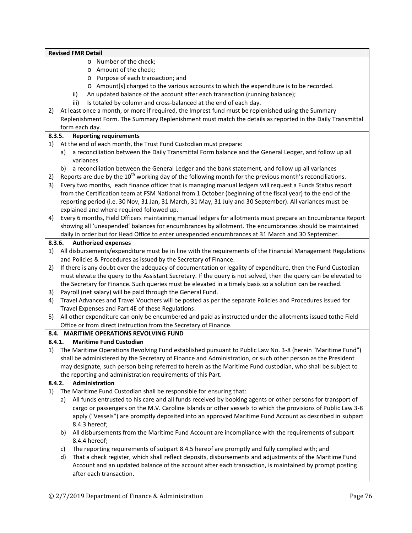| 2)<br>8.3.5.<br>1)<br>2)<br>3)<br>4)<br>8.3.6.<br>1)<br>2)<br>3)<br>4) | o Number of the check;<br>o Amount of the check;<br>o Purpose of each transaction; and<br>o Amount[s] charged to the various accounts to which the expenditure is to be recorded.<br>An updated balance of the account after each transaction (running balance);<br>ii)<br>Is totaled by column and cross-balanced at the end of each day.<br>iii)<br>At least once a month, or more if required, the Imprest fund must be replenished using the Summary<br>Replenishment Form. The Summary Replenishment must match the details as reported in the Daily Transmittal<br>form each day.<br><b>Reporting requirements</b><br>At the end of each month, the Trust Fund Custodian must prepare:<br>a reconciliation between the Daily Transmittal Form balance and the General Ledger, and follow up all<br>a)<br>variances.<br>b) a reconciliation between the General Ledger and the bank statement, and follow up all variances<br>Reports are due by the $10^{th}$ working day of the following month for the previous month's reconciliations. |
|------------------------------------------------------------------------|--------------------------------------------------------------------------------------------------------------------------------------------------------------------------------------------------------------------------------------------------------------------------------------------------------------------------------------------------------------------------------------------------------------------------------------------------------------------------------------------------------------------------------------------------------------------------------------------------------------------------------------------------------------------------------------------------------------------------------------------------------------------------------------------------------------------------------------------------------------------------------------------------------------------------------------------------------------------------------------------------------------------------------------------------|
|                                                                        |                                                                                                                                                                                                                                                                                                                                                                                                                                                                                                                                                                                                                                                                                                                                                                                                                                                                                                                                                                                                                                                  |
|                                                                        |                                                                                                                                                                                                                                                                                                                                                                                                                                                                                                                                                                                                                                                                                                                                                                                                                                                                                                                                                                                                                                                  |
|                                                                        |                                                                                                                                                                                                                                                                                                                                                                                                                                                                                                                                                                                                                                                                                                                                                                                                                                                                                                                                                                                                                                                  |
|                                                                        |                                                                                                                                                                                                                                                                                                                                                                                                                                                                                                                                                                                                                                                                                                                                                                                                                                                                                                                                                                                                                                                  |
|                                                                        |                                                                                                                                                                                                                                                                                                                                                                                                                                                                                                                                                                                                                                                                                                                                                                                                                                                                                                                                                                                                                                                  |
|                                                                        |                                                                                                                                                                                                                                                                                                                                                                                                                                                                                                                                                                                                                                                                                                                                                                                                                                                                                                                                                                                                                                                  |
|                                                                        |                                                                                                                                                                                                                                                                                                                                                                                                                                                                                                                                                                                                                                                                                                                                                                                                                                                                                                                                                                                                                                                  |
|                                                                        |                                                                                                                                                                                                                                                                                                                                                                                                                                                                                                                                                                                                                                                                                                                                                                                                                                                                                                                                                                                                                                                  |
|                                                                        |                                                                                                                                                                                                                                                                                                                                                                                                                                                                                                                                                                                                                                                                                                                                                                                                                                                                                                                                                                                                                                                  |
|                                                                        |                                                                                                                                                                                                                                                                                                                                                                                                                                                                                                                                                                                                                                                                                                                                                                                                                                                                                                                                                                                                                                                  |
|                                                                        |                                                                                                                                                                                                                                                                                                                                                                                                                                                                                                                                                                                                                                                                                                                                                                                                                                                                                                                                                                                                                                                  |
|                                                                        |                                                                                                                                                                                                                                                                                                                                                                                                                                                                                                                                                                                                                                                                                                                                                                                                                                                                                                                                                                                                                                                  |
|                                                                        |                                                                                                                                                                                                                                                                                                                                                                                                                                                                                                                                                                                                                                                                                                                                                                                                                                                                                                                                                                                                                                                  |
|                                                                        |                                                                                                                                                                                                                                                                                                                                                                                                                                                                                                                                                                                                                                                                                                                                                                                                                                                                                                                                                                                                                                                  |
|                                                                        | Every two months, each finance officer that is managing manual ledgers will request a Funds Status report                                                                                                                                                                                                                                                                                                                                                                                                                                                                                                                                                                                                                                                                                                                                                                                                                                                                                                                                        |
|                                                                        | from the Certification team at FSM National from 1 October (beginning of the fiscal year) to the end of the                                                                                                                                                                                                                                                                                                                                                                                                                                                                                                                                                                                                                                                                                                                                                                                                                                                                                                                                      |
|                                                                        | reporting period (i.e. 30 Nov, 31 Jan, 31 March, 31 May, 31 July and 30 September). All variances must be                                                                                                                                                                                                                                                                                                                                                                                                                                                                                                                                                                                                                                                                                                                                                                                                                                                                                                                                        |
|                                                                        | explained and where required followed up.                                                                                                                                                                                                                                                                                                                                                                                                                                                                                                                                                                                                                                                                                                                                                                                                                                                                                                                                                                                                        |
|                                                                        | Every 6 months, Field Officers maintaining manual ledgers for allotments must prepare an Encumbrance Report                                                                                                                                                                                                                                                                                                                                                                                                                                                                                                                                                                                                                                                                                                                                                                                                                                                                                                                                      |
|                                                                        | showing all 'unexpended' balances for encumbrances by allotment. The encumbrances should be maintained                                                                                                                                                                                                                                                                                                                                                                                                                                                                                                                                                                                                                                                                                                                                                                                                                                                                                                                                           |
|                                                                        | daily in order but for Head Office to enter unexpended encumbrances at 31 March and 30 September.                                                                                                                                                                                                                                                                                                                                                                                                                                                                                                                                                                                                                                                                                                                                                                                                                                                                                                                                                |
|                                                                        | <b>Authorized expenses</b>                                                                                                                                                                                                                                                                                                                                                                                                                                                                                                                                                                                                                                                                                                                                                                                                                                                                                                                                                                                                                       |
|                                                                        | All disbursements/expenditure must be in line with the requirements of the Financial Management Regulations<br>and Policies & Procedures as issued by the Secretary of Finance.                                                                                                                                                                                                                                                                                                                                                                                                                                                                                                                                                                                                                                                                                                                                                                                                                                                                  |
|                                                                        | If there is any doubt over the adequacy of documentation or legality of expenditure, then the Fund Custodian                                                                                                                                                                                                                                                                                                                                                                                                                                                                                                                                                                                                                                                                                                                                                                                                                                                                                                                                     |
|                                                                        | must elevate the query to the Assistant Secretary. If the query is not solved, then the query can be elevated to                                                                                                                                                                                                                                                                                                                                                                                                                                                                                                                                                                                                                                                                                                                                                                                                                                                                                                                                 |
|                                                                        | the Secretary for Finance. Such queries must be elevated in a timely basis so a solution can be reached.                                                                                                                                                                                                                                                                                                                                                                                                                                                                                                                                                                                                                                                                                                                                                                                                                                                                                                                                         |
|                                                                        | Payroll (net salary) will be paid through the General Fund.                                                                                                                                                                                                                                                                                                                                                                                                                                                                                                                                                                                                                                                                                                                                                                                                                                                                                                                                                                                      |
|                                                                        | Travel Advances and Travel Vouchers will be posted as per the separate Policies and Procedures issued for                                                                                                                                                                                                                                                                                                                                                                                                                                                                                                                                                                                                                                                                                                                                                                                                                                                                                                                                        |
|                                                                        | Travel Expenses and Part 4E of these Regulations.                                                                                                                                                                                                                                                                                                                                                                                                                                                                                                                                                                                                                                                                                                                                                                                                                                                                                                                                                                                                |
| 5)                                                                     | All other expenditure can only be encumbered and paid as instructed under the allotments issued tothe Field                                                                                                                                                                                                                                                                                                                                                                                                                                                                                                                                                                                                                                                                                                                                                                                                                                                                                                                                      |
|                                                                        | Office or from direct instruction from the Secretary of Finance.                                                                                                                                                                                                                                                                                                                                                                                                                                                                                                                                                                                                                                                                                                                                                                                                                                                                                                                                                                                 |
|                                                                        | 8.4. MARITIME OPERATIONS REVOLVING FUND                                                                                                                                                                                                                                                                                                                                                                                                                                                                                                                                                                                                                                                                                                                                                                                                                                                                                                                                                                                                          |
| 8.4.1.                                                                 | <b>Maritime Fund Custodian</b>                                                                                                                                                                                                                                                                                                                                                                                                                                                                                                                                                                                                                                                                                                                                                                                                                                                                                                                                                                                                                   |
| 1)                                                                     | The Maritime Operations Revolving Fund established pursuant to Public Law No. 3-8 (herein "Maritime Fund")                                                                                                                                                                                                                                                                                                                                                                                                                                                                                                                                                                                                                                                                                                                                                                                                                                                                                                                                       |
|                                                                        | shall be administered by the Secretary of Finance and Administration, or such other person as the President                                                                                                                                                                                                                                                                                                                                                                                                                                                                                                                                                                                                                                                                                                                                                                                                                                                                                                                                      |
|                                                                        | may designate, such person being referred to herein as the Maritime Fund custodian, who shall be subject to                                                                                                                                                                                                                                                                                                                                                                                                                                                                                                                                                                                                                                                                                                                                                                                                                                                                                                                                      |
|                                                                        | the reporting and administration requirements of this Part.                                                                                                                                                                                                                                                                                                                                                                                                                                                                                                                                                                                                                                                                                                                                                                                                                                                                                                                                                                                      |
| 8.4.2.                                                                 | Administration                                                                                                                                                                                                                                                                                                                                                                                                                                                                                                                                                                                                                                                                                                                                                                                                                                                                                                                                                                                                                                   |
| 1)                                                                     | The Maritime Fund Custodian shall be responsible for ensuring that:                                                                                                                                                                                                                                                                                                                                                                                                                                                                                                                                                                                                                                                                                                                                                                                                                                                                                                                                                                              |
|                                                                        | All funds entrusted to his care and all funds received by booking agents or other persons for transport of<br>a)                                                                                                                                                                                                                                                                                                                                                                                                                                                                                                                                                                                                                                                                                                                                                                                                                                                                                                                                 |
|                                                                        | cargo or passengers on the M.V. Caroline Islands or other vessels to which the provisions of Public Law 3-8                                                                                                                                                                                                                                                                                                                                                                                                                                                                                                                                                                                                                                                                                                                                                                                                                                                                                                                                      |
|                                                                        |                                                                                                                                                                                                                                                                                                                                                                                                                                                                                                                                                                                                                                                                                                                                                                                                                                                                                                                                                                                                                                                  |
|                                                                        |                                                                                                                                                                                                                                                                                                                                                                                                                                                                                                                                                                                                                                                                                                                                                                                                                                                                                                                                                                                                                                                  |
|                                                                        |                                                                                                                                                                                                                                                                                                                                                                                                                                                                                                                                                                                                                                                                                                                                                                                                                                                                                                                                                                                                                                                  |
|                                                                        | 8.4.4 hereof;                                                                                                                                                                                                                                                                                                                                                                                                                                                                                                                                                                                                                                                                                                                                                                                                                                                                                                                                                                                                                                    |
|                                                                        | The reporting requirements of subpart 8.4.5 hereof are promptly and fully complied with; and<br>C)                                                                                                                                                                                                                                                                                                                                                                                                                                                                                                                                                                                                                                                                                                                                                                                                                                                                                                                                               |
|                                                                        | That a check register, which shall reflect deposits, disbursements and adjustments of the Maritime Fund<br>d)<br>Account and an updated balance of the account after each transaction, is maintained by prompt posting                                                                                                                                                                                                                                                                                                                                                                                                                                                                                                                                                                                                                                                                                                                                                                                                                           |
|                                                                        | apply ("Vessels") are promptly deposited into an approved Maritime Fund Account as described in subpart<br>8.4.3 hereof;<br>All disbursements from the Maritime Fund Account are incompliance with the requirements of subpart<br>b)                                                                                                                                                                                                                                                                                                                                                                                                                                                                                                                                                                                                                                                                                                                                                                                                             |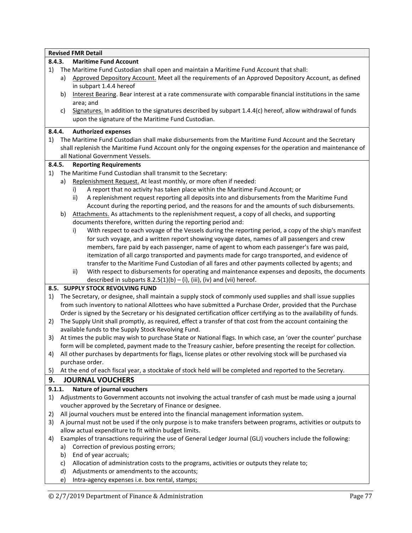|        |    | <b>Revised FMR Detail</b>                                                                                                                                              |
|--------|----|------------------------------------------------------------------------------------------------------------------------------------------------------------------------|
| 8.4.3. |    | <b>Maritime Fund Account</b>                                                                                                                                           |
| 1)     |    | The Maritime Fund Custodian shall open and maintain a Maritime Fund Account that shall:                                                                                |
|        | a) | Approved Depository Account. Meet all the requirements of an Approved Depository Account, as defined<br>in subpart 1.4.4 hereof                                        |
|        | b) | Interest Bearing. Bear interest at a rate commensurate with comparable financial institutions in the same<br>area; and                                                 |
|        | c) | Signatures. In addition to the signatures described by subpart 1.4.4(c) hereof, allow withdrawal of funds<br>upon the signature of the Maritime Fund Custodian.        |
| 8.4.4. |    | <b>Authorized expenses</b>                                                                                                                                             |
| 1)     |    | The Maritime Fund Custodian shall make disbursements from the Maritime Fund Account and the Secretary                                                                  |
|        |    | shall replenish the Maritime Fund Account only for the ongoing expenses for the operation and maintenance of                                                           |
|        |    | all National Government Vessels.                                                                                                                                       |
| 8.4.5. |    | <b>Reporting Requirements</b>                                                                                                                                          |
| 1)     |    | The Maritime Fund Custodian shall transmit to the Secretary:                                                                                                           |
|        | a) | Replenishment Request. At least monthly, or more often if needed:<br>A report that no activity has taken place within the Maritime Fund Account; or<br>i)              |
|        |    | A replenishment request reporting all deposits into and disbursements from the Maritime Fund<br>ii)                                                                    |
|        |    | Account during the reporting period, and the reasons for and the amounts of such disbursements.                                                                        |
|        | b) | Attachments. As attachments to the replenishment request, a copy of all checks, and supporting                                                                         |
|        |    | documents therefore, written during the reporting period and:                                                                                                          |
|        |    | With respect to each voyage of the Vessels during the reporting period, a copy of the ship's manifest<br>i)                                                            |
|        |    | for such voyage, and a written report showing voyage dates, names of all passengers and crew                                                                           |
|        |    | members, fare paid by each passenger, name of agent to whom each passenger's fare was paid,                                                                            |
|        |    | itemization of all cargo transported and payments made for cargo transported, and evidence of                                                                          |
|        |    | transfer to the Maritime Fund Custodian of all fares and other payments collected by agents; and                                                                       |
|        |    | With respect to disbursements for operating and maintenance expenses and deposits, the documents<br>ii)                                                                |
|        |    | described in subparts $8.2.5(1)(b) - (i)$ , (iii), (iv) and (vii) hereof.                                                                                              |
|        |    | 8.5. SUPPLY STOCK REVOLVING FUND                                                                                                                                       |
| 1)     |    | The Secretary, or designee, shall maintain a supply stock of commonly used supplies and shall issue supplies                                                           |
|        |    | from such inventory to national Allottees who have submitted a Purchase Order, provided that the Purchase                                                              |
|        |    | Order is signed by the Secretary or his designated certification officer certifying as to the availability of funds.                                                   |
| 2)     |    | The Supply Unit shall promptly, as required, effect a transfer of that cost from the account containing the<br>available funds to the Supply Stock Revolving Fund.     |
| 3)     |    | At times the public may wish to purchase State or National flags. In which case, an 'over the counter' purchase                                                        |
|        |    | form will be completed, payment made to the Treasury cashier, before presenting the receipt for collection.                                                            |
| 4)     |    | All other purchases by departments for flags, license plates or other revolving stock will be purchased via                                                            |
|        |    | purchase order.                                                                                                                                                        |
| 5)     |    | At the end of each fiscal year, a stocktake of stock held will be completed and reported to the Secretary.                                                             |
| 9.     |    | <b>JOURNAL VOUCHERS</b>                                                                                                                                                |
| 9.1.1. |    | Nature of journal vouchers                                                                                                                                             |
| 1)     |    | Adjustments to Government accounts not involving the actual transfer of cash must be made using a journal<br>voucher approved by the Secretary of Finance or designee. |
| 2)     |    | All journal vouchers must be entered into the financial management information system.                                                                                 |
| 3)     |    | A journal must not be used if the only purpose is to make transfers between programs, activities or outputs to                                                         |
|        |    | allow actual expenditure to fit within budget limits.                                                                                                                  |
| 4)     |    | Examples of transactions requiring the use of General Ledger Journal (GLJ) vouchers include the following:                                                             |
|        | a) | Correction of previous posting errors;                                                                                                                                 |
|        | b) | End of year accruals;                                                                                                                                                  |
|        | c) | Allocation of administration costs to the programs, activities or outputs they relate to;                                                                              |
|        | d) | Adjustments or amendments to the accounts;                                                                                                                             |
|        | e) | Intra-agency expenses i.e. box rental, stamps;                                                                                                                         |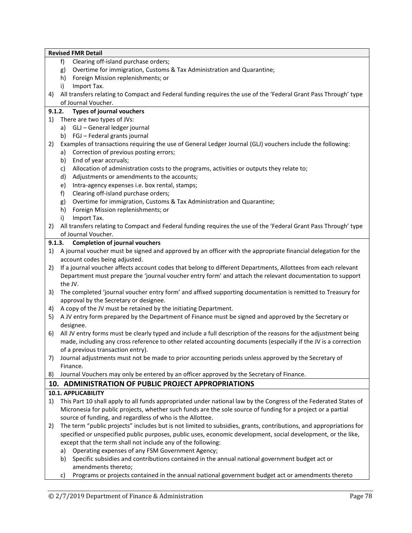|    | <b>Revised FMR Detail</b>                                                                                          |
|----|--------------------------------------------------------------------------------------------------------------------|
|    | Clearing off-island purchase orders;<br>f                                                                          |
|    | Overtime for immigration, Customs & Tax Administration and Quarantine;<br>g)                                       |
|    | Foreign Mission replenishments; or<br>h)                                                                           |
|    | Import Tax.<br>i)                                                                                                  |
| 4) | All transfers relating to Compact and Federal funding requires the use of the 'Federal Grant Pass Through' type    |
|    | of Journal Voucher.                                                                                                |
|    | 9.1.2.<br><b>Types of journal vouchers</b>                                                                         |
| 1) | There are two types of JVs:                                                                                        |
|    | a) GLJ - General ledger journal                                                                                    |
|    | b) FGJ - Federal grants journal                                                                                    |
| 2) | Examples of transactions requiring the use of General Ledger Journal (GLJ) vouchers include the following:         |
|    | Correction of previous posting errors;<br>a)                                                                       |
|    | End of year accruals;<br>b)                                                                                        |
|    | Allocation of administration costs to the programs, activities or outputs they relate to;<br>c)                    |
|    | Adjustments or amendments to the accounts;<br>d)                                                                   |
|    | Intra-agency expenses i.e. box rental, stamps;<br>e)                                                               |
|    | f)<br>Clearing off-island purchase orders;                                                                         |
|    | Overtime for immigration, Customs & Tax Administration and Quarantine;<br>g)                                       |
|    | Foreign Mission replenishments; or<br>h)                                                                           |
|    | Import Tax.<br>i)                                                                                                  |
| 2) | All transfers relating to Compact and Federal funding requires the use of the 'Federal Grant Pass Through' type    |
|    | of Journal Voucher.                                                                                                |
|    | <b>Completion of journal vouchers</b><br>9.1.3.                                                                    |
| 1) | A journal voucher must be signed and approved by an officer with the appropriate financial delegation for the      |
|    | account codes being adjusted.                                                                                      |
| 2) | If a journal voucher affects account codes that belong to different Departments, Allottees from each relevant      |
|    | Department must prepare the 'journal voucher entry form' and attach the relevant documentation to support          |
|    | the JV.                                                                                                            |
| 3) | The completed 'journal voucher entry form' and affixed supporting documentation is remitted to Treasury for        |
|    | approval by the Secretary or designee.                                                                             |
| 4) | A copy of the JV must be retained by the initiating Department.                                                    |
| 5) | A JV entry form prepared by the Department of Finance must be signed and approved by the Secretary or              |
|    | designee.                                                                                                          |
| 6) | All JV entry forms must be clearly typed and include a full description of the reasons for the adjustment being    |
|    | made, including any cross reference to other related accounting documents (especially if the JV is a correction    |
|    | of a previous transaction entry).                                                                                  |
| 7) | Journal adjustments must not be made to prior accounting periods unless approved by the Secretary of               |
|    | Finance.                                                                                                           |
| 8) | Journal Vouchers may only be entered by an officer approved by the Secretary of Finance.                           |
|    | 10. ADMINISTRATION OF PUBLIC PROJECT APPROPRIATIONS                                                                |
|    | 10.1. APPLICABILITY                                                                                                |
| 1) | This Part 10 shall apply to all funds appropriated under national law by the Congress of the Federated States of   |
|    | Micronesia for public projects, whether such funds are the sole source of funding for a project or a partial       |
|    | source of funding, and regardless of who is the Allottee.                                                          |
| 2) | The term "public projects" includes but is not limited to subsidies, grants, contributions, and appropriations for |
|    | specified or unspecified public purposes, public uses, economic development, social development, or the like,      |
|    | except that the term shall not include any of the following:                                                       |
|    | Operating expenses of any FSM Government Agency;<br>a)                                                             |
|    | Specific subsidies and contributions contained in the annual national government budget act or<br>b)               |
|    | amendments thereto;                                                                                                |
|    | Programs or projects contained in the annual national government budget act or amendments thereto<br>C)            |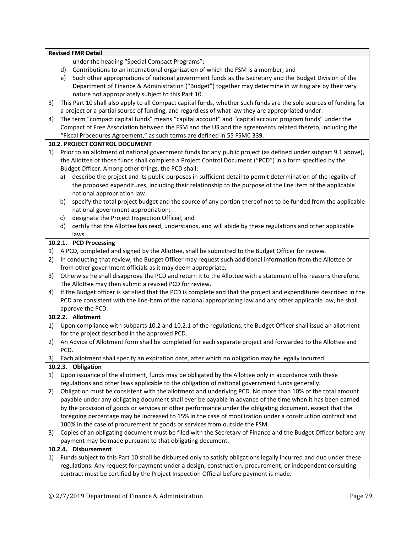|    | <b>Revised FMR Detail</b>                                                                                                          |
|----|------------------------------------------------------------------------------------------------------------------------------------|
|    | under the heading "Special Compact Programs";                                                                                      |
|    | Contributions to an international organization of which the FSM is a member; and<br>d)                                             |
|    | Such other appropriations of national government funds as the Secretary and the Budget Division of the<br>e)                       |
|    | Department of Finance & Administration ("Budget") together may determine in writing are by their very                              |
|    | nature not appropriately subject to this Part 10.                                                                                  |
| 3) | This Part 10 shall also apply to all Compact capital funds, whether such funds are the sole sources of funding for                 |
|    | a project or a partial source of funding, and regardless of what law they are appropriated under.                                  |
| 4) | The term "compact capital funds" means "capital account" and "capital account program funds" under the                             |
|    | Compact of Free Association between the FSM and the US and the agreements related thereto, including the                           |
|    | "Fiscal Procedures Agreement," as such terms are defined in 55 FSMC 339.                                                           |
|    | 10.2. PROJECT CONTROL DOCUMENT                                                                                                     |
| 1) | Prior to an allotment of national government funds for any public project (as defined under subpart 9.1 above),                    |
|    | the Allottee of those funds shall complete a Project Control Document ("PCD") in a form specified by the                           |
|    | Budget Officer. Among other things, the PCD shall:                                                                                 |
|    | describe the project and its public purposes in sufficient detail to permit determination of the legality of<br>a)                 |
|    | the proposed expenditures, including their relationship to the purpose of the line item of the applicable                          |
|    | national appropriation law.                                                                                                        |
|    | specify the total project budget and the source of any portion thereof not to be funded from the applicable<br>b)                  |
|    | national government appropriation;                                                                                                 |
|    | designate the Project Inspection Official; and<br>c)                                                                               |
|    | certify that the Allottee has read, understands, and will abide by these regulations and other applicable<br>d)                    |
|    | laws.                                                                                                                              |
|    | 10.2.1. PCD Processing                                                                                                             |
| 1) | A PCD, completed and signed by the Allottee, shall be submitted to the Budget Officer for review.                                  |
| 2) | In conducting that review, the Budget Officer may request such additional information from the Allottee or                         |
|    | from other government officials as it may deem appropriate.                                                                        |
| 3) | Otherwise he shall disapprove the PCD and return it to the Allottee with a statement of his reasons therefore.                     |
|    | The Allottee may then submit a revised PCD for review.                                                                             |
| 4) | If the Budget officer is satisfied that the PCD is complete and that the project and expenditures described in the                 |
|    | PCD are consistent with the line-item of the national appropriating law and any other applicable law, he shall<br>approve the PCD. |
|    | 10.2.2. Allotment                                                                                                                  |
| 1) | Upon compliance with subparts 10.2 and 10.2.1 of the regulations, the Budget Officer shall issue an allotment                      |
|    | for the project described in the approved PCD.                                                                                     |
| 2) | An Advice of Allotment form shall be completed for each separate project and forwarded to the Allottee and                         |
|    | PCD.                                                                                                                               |
| 3) | Each allotment shall specify an expiration date, after which no obligation may be legally incurred.                                |
|    | 10.2.3. Obligation                                                                                                                 |
| 1) | Upon issuance of the allotment, funds may be obligated by the Allottee only in accordance with these                               |
|    | regulations and other laws applicable to the obligation of national government funds generally.                                    |
| 2) | Obligation must be consistent with the allotment and underlying PCD. No more than 10% of the total amount                          |
|    | payable under any obligating document shall ever be payable in advance of the time when it has been earned                         |
|    | by the provision of goods or services or other performance under the obligating document, except that the                          |
|    | foregoing percentage may be increased to 15% in the case of mobilization under a construction contract and                         |
|    | 100% in the case of procurement of goods or services from outside the FSM.                                                         |
| 3) | Copies of an obligating document must be filed with the Secretary of Finance and the Budget Officer before any                     |
|    | payment may be made pursuant to that obligating document.                                                                          |
|    | 10.2.4. Disbursement                                                                                                               |
| 1) | Funds subject to this Part 10 shall be disbursed only to satisfy obligations legally incurred and due under these                  |
|    | regulations. Any request for payment under a design, construction, procurement, or independent consulting                          |
|    | contract must be certified by the Project Inspection Official before payment is made.                                              |
|    |                                                                                                                                    |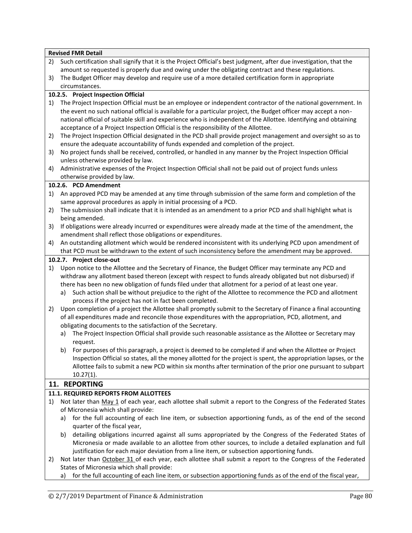|    | <b>Revised FMR Detail</b>                                                                                           |
|----|---------------------------------------------------------------------------------------------------------------------|
| 2) | Such certification shall signify that it is the Project Official's best judgment, after due investigation, that the |
|    | amount so requested is properly due and owing under the obligating contract and these regulations.                  |
| 3) | The Budget Officer may develop and require use of a more detailed certification form in appropriate                 |
|    | circumstances.                                                                                                      |
|    | 10.2.5. Project Inspection Official                                                                                 |
| 1) | The Project Inspection Official must be an employee or independent contractor of the national government. In        |
|    | the event no such national official is available for a particular project, the Budget officer may accept a non-     |
|    | national official of suitable skill and experience who is independent of the Allottee. Identifying and obtaining    |
|    | acceptance of a Project Inspection Official is the responsibility of the Allottee.                                  |
| 2) | The Project Inspection Official designated in the PCD shall provide project management and oversight so as to       |
|    | ensure the adequate accountability of funds expended and completion of the project.                                 |
| 3) | No project funds shall be received, controlled, or handled in any manner by the Project Inspection Official         |
|    | unless otherwise provided by law.                                                                                   |
| 4) | Administrative expenses of the Project Inspection Official shall not be paid out of project funds unless            |
|    | otherwise provided by law.                                                                                          |
|    | 10.2.6. PCD Amendment                                                                                               |
| 1) | An approved PCD may be amended at any time through submission of the same form and completion of the                |
|    | same approval procedures as apply in initial processing of a PCD.                                                   |
| 2) | The submission shall indicate that it is intended as an amendment to a prior PCD and shall highlight what is        |
|    | being amended.                                                                                                      |
| 3) | If obligations were already incurred or expenditures were already made at the time of the amendment, the            |
|    | amendment shall reflect those obligations or expenditures.                                                          |
| 4) | An outstanding allotment which would be rendered inconsistent with its underlying PCD upon amendment of             |
|    | that PCD must be withdrawn to the extent of such inconsistency before the amendment may be approved.                |
|    | 10.2.7. Project close-out                                                                                           |
| 1) | Upon notice to the Allottee and the Secretary of Finance, the Budget Officer may terminate any PCD and              |
|    | withdraw any allotment based thereon (except with respect to funds already obligated but not disbursed) if          |
|    | there has been no new obligation of funds filed under that allotment for a period of at least one year.             |
|    | Such action shall be without prejudice to the right of the Allottee to recommence the PCD and allotment<br>a)       |
|    | process if the project has not in fact been completed.                                                              |
| 2) | Upon completion of a project the Allottee shall promptly submit to the Secretary of Finance a final accounting      |
|    | of all expenditures made and reconcile those expenditures with the appropriation, PCD, allotment, and               |
|    | obligating documents to the satisfaction of the Secretary.                                                          |
|    | The Project Inspection Official shall provide such reasonable assistance as the Allottee or Secretary may<br>a)     |
|    | request.                                                                                                            |
|    | b) For purposes of this paragraph, a project is deemed to be completed if and when the Allottee or Project          |
|    | Inspection Official so states, all the money allotted for the project is spent, the appropriation lapses, or the    |
|    | Allottee fails to submit a new PCD within six months after termination of the prior one pursuant to subpart         |
|    | $10.27(1)$ .                                                                                                        |
|    | 11. REPORTING                                                                                                       |
|    | 11.1. REQUIRED REPORTS FROM ALLOTTEES                                                                               |
| 1) | Not later than May 1 of each year, each allottee shall submit a report to the Congress of the Federated States      |
|    | of Micronesia which shall provide:                                                                                  |
|    | for the full accounting of each line item, or subsection apportioning funds, as of the end of the second<br>a)      |
|    | quarter of the fiscal year,                                                                                         |
|    | detailing obligations incurred against all sums appropriated by the Congress of the Federated States of<br>b)       |
|    | Micronesia or made available to an allottee from other sources, to include a detailed explanation and full          |
|    | justification for each major deviation from a line item, or subsection apportioning funds.                          |
| 2) | Not later than October 31 of each year, each allottee shall submit a report to the Congress of the Federated        |
|    | States of Micronesia which shall provide:                                                                           |
|    | for the full accounting of each line item, or subsection apportioning funds as of the end of the fiscal year,<br>a) |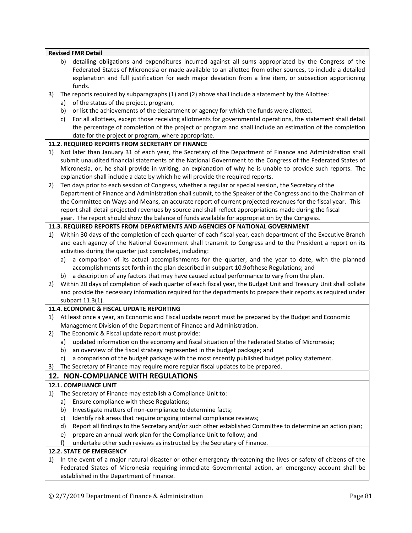**Revised FMR Detail** b) detailing obligations and expenditures incurred against all sums appropriated by the Congress of the Federated States of Micronesia or made available to an allottee from other sources, to include a detailed explanation and full justification for each major deviation from a line item, or subsection apportioning funds. 3) The reports required by subparagraphs (1) and (2) above shall include a statement by the Allottee: a) of the status of the project, program, b) or list the achievements of the department or agency for which the funds were allotted. c) For all allottees, except those receiving allotments for governmental operations, the statement shall detail the percentage of completion of the project or program and shall include an estimation of the completion date for the project or program, where appropriate. **11.2. REQUIRED REPORTS FROM SECRETARY OF FINANCE** 1) Not later than January 31 of each year, the Secretary of the Department of Finance and Administration shall submit unaudited financial statements of the National Government to the Congress of the Federated States of Micronesia, or, he shall provide in writing, an explanation of why he is unable to provide such reports. The explanation shall include a date by which he will provide the required reports. 2) Ten days prior to each session of Congress, whether a regular or special session, the Secretary of the Department of Finance and Administration shall submit, to the Speaker of the Congress and to the Chairman of the Committee on Ways and Means, an accurate report of current projected revenues for the fiscal year. This report shall detail projected revenues by source and shall reflect appropriations made during the fiscal year. The report should show the balance of funds available for appropriation by the Congress. **11.3. REQUIRED REPORTS FROM DEPARTMENTS AND AGENCIES OF NATIONAL GOVERNMENT** 1) Within 30 days of the completion of each quarter of each fiscal year, each department of the Executive Branch and each agency of the National Government shall transmit to Congress and to the President a report on its activities during the quarter just completed, including: a) a comparison of its actual accomplishments for the quarter, and the year to date, with the planned accomplishments set forth in the plan described in subpart 10.9ofthese Regulations; and b) a description of any factors that may have caused actual performance to vary from the plan. 2) Within 20 days of completion of each quarter of each fiscal year, the Budget Unit and Treasury Unit shall collate and provide the necessary information required for the departments to prepare their reports as required under subpart 11.3(1). **11.4. ECONOMIC & FISCAL UPDATE REPORTING** 1) At least once a year, an Economic and Fiscal update report must be prepared by the Budget and Economic Management Division of the Department of Finance and Administration. 2) The Economic & Fiscal update report must provide: a) updated information on the economy and fiscal situation of the Federated States of Micronesia; b) an overview of the fiscal strategy represented in the budget package; and c) a comparison of the budget package with the most recently published budget policy statement. 3) The Secretary of Finance may require more regular fiscal updates to be prepared. **12. NON-COMPLIANCE WITH REGULATIONS 12.1. COMPLIANCE UNIT** 1) The Secretary of Finance may establish a Compliance Unit to: a) Ensure compliance with these Regulations; b) Investigate matters of non-compliance to determine facts; c) Identify risk areas that require ongoing internal compliance reviews; d) Report all findings to the Secretary and/or such other established Committee to determine an action plan; e) prepare an annual work plan for the Compliance Unit to follow; and f) undertake other such reviews as instructed by the Secretary of Finance. **12.2. STATE OF EMERGENCY** 1) In the event of a major natural disaster or other emergency threatening the lives or safety of citizens of the Federated States of Micronesia requiring immediate Governmental action, an emergency account shall be established in the Department of Finance.